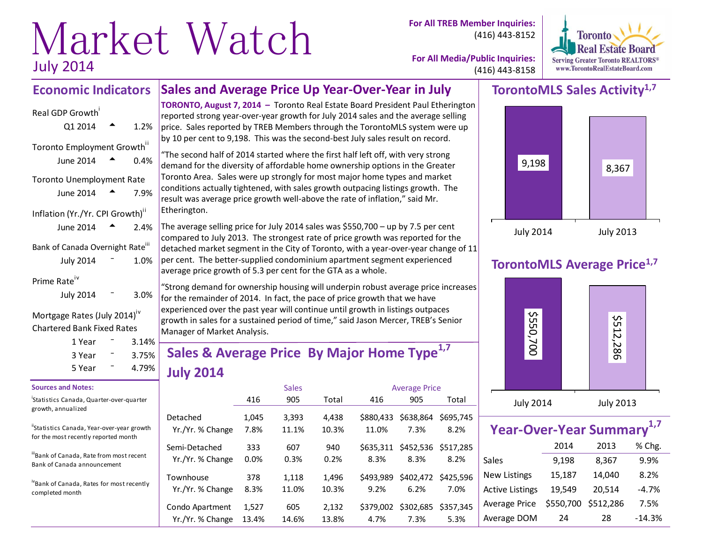# Market Watch<sup>
cor All TREB Member Inquiries:</sup> July 2014

(416) 443-8152



**For All Media/Public Inquiries:** (416) 443-8158

#### **Sales and Average Price Up Year-Over-Year in July Economic Indicators**

# Real GDP Growth Q1 2014  $\bullet$  1.2% Toronto Employment Growth<sup>ii</sup> June 2014  $\triangle$  0.4% Toronto Unemployment Rate June 2014  $\bullet$  7.9% Inflation (Yr./Yr. CPI Growth)<sup>"</sup> June 2014  $\triangle$  2.4% Bank of Canada Overnight Rate<sup>iii</sup> July  $2014$   $-$  1.0%

#### Prime Rate<sup>iv</sup>

| <b>July 2014</b> | 3.0% |
|------------------|------|
|                  |      |

#### Mortgage Rates (July 2014)<sup>iv</sup> Chartered Bank Fixed Rates

| 1 Year | 3.14% |  |
|--------|-------|--|
| 3 Year | 3.75% |  |
| 5 Year | 4.79% |  |

#### **Sources and Notes:**

i Statistics Canada, Quarter-over-quarter growth, annualized

"Statistics Canada, Year-over-year growth for the most recently reported month

ii<sub>Bank</sub> of Canada, Rate from most recent Bank of Canada announcement

ivBank of Canada, Rates for most recently completed month

**TORONTO, August 7, 2014 –** Toronto Real Estate Board President Paul Etherington reported strong year-over-year growth for July 2014 sales and the average selling price. Sales reported by TREB Members through the TorontoMLS system were up by 10 per cent to 9,198. This was the second-best July sales result on record.

"The second half of 2014 started where the first half left off, with very strong demand for the diversity of affordable home ownership options in the Greater Toronto Area. Sales were up strongly for most major home types and market conditions actually tightened, with sales growth outpacing listings growth. The result was average price growth well-above the rate of inflation," said Mr. Etherington.

The average selling price for July 2014 sales was  $$550,700 - up$  by 7.5 per cent compared to July 2013. The strongest rate of price growth was reported for the detached market segment in the City of Toronto, with a year-over-year change of 11  $|$  per cent. The better-supplied condominium apartment segment experienced average price growth of 5.3 per cent for the GTA as a whole.

"Strong demand for ownership housing will underpin robust average price increases for the remainder of 2014. In fact, the pace of price growth that we have experienced over the past year will continue until growth in listings outpaces  $|$ growth in sales for a sustained period of time," said Jason Mercer, TREB's Senior Manager of Market Analysis.

# **Sales & Average Price By Major Home Type1,7 July 2014**

|                                   |             | <b>Sales</b> |             | <b>Average Price</b> |                             |           |
|-----------------------------------|-------------|--------------|-------------|----------------------|-----------------------------|-----------|
|                                   | 416         | 905          | Total       | 416                  | 905                         | Total     |
| Detached                          | 1,045       | 3,393        | 4,438       | \$880.433            | \$638,864                   | \$695,745 |
| Yr./Yr. % Change                  | 7.8%        | 11.1%        | 10.3%       | 11.0%                | 7.3%                        | 8.2%      |
| Semi-Detached<br>Yr./Yr. % Change | 333<br>0.0% | 607<br>0.3%  | 940<br>0.2% | \$635.311<br>8.3%    | \$452,536 \$517,285<br>8.3% | 8.2%      |
| Townhouse                         | 378         | 1,118        | 1,496       | \$493.989            | \$402,472                   | \$425.596 |
| Yr./Yr. % Change                  | 8.3%        | 11.0%        | 10.3%       | 9.2%                 | 6.2%                        | 7.0%      |
| Condo Apartment                   | 1,527       | 605          | 2,132       | \$379,002            | \$302,685                   | \$357.345 |
| Yr./Yr. % Change                  | 13.4%       | 14.6%        | 13.8%       | 4.7%                 | 7.3%                        | 5.3%      |

# **TorontoMLS Sales Activity1,7**



# **TorontoMLS Average Price1,7**



| Year-Over-Year Summary <sup>1,7</sup> |           |           |          |  |  |  |  |  |  |  |  |
|---------------------------------------|-----------|-----------|----------|--|--|--|--|--|--|--|--|
|                                       | % Chg.    |           |          |  |  |  |  |  |  |  |  |
| Sales                                 | 9,198     | 8,367     | 9.9%     |  |  |  |  |  |  |  |  |
| <b>New Listings</b>                   | 15,187    | 14,040    | 8.2%     |  |  |  |  |  |  |  |  |
| <b>Active Listings</b>                | 19,549    | 20,514    | $-4.7%$  |  |  |  |  |  |  |  |  |
| Average Price                         | \$550,700 | \$512,286 | 7.5%     |  |  |  |  |  |  |  |  |
| Average DOM                           | 24        | 28        | $-14.3%$ |  |  |  |  |  |  |  |  |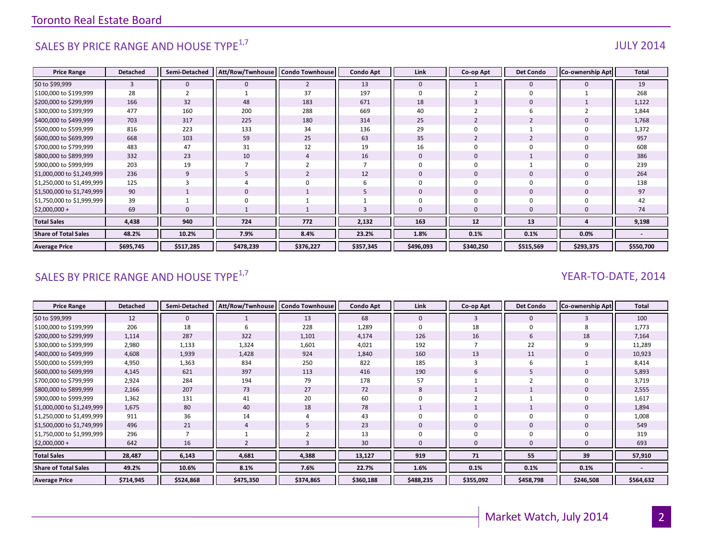# SALES BY PRICE RANGE AND HOUSE TYPE $^{1,7}$  and the set of the set of the set of the set of the set of the set of the set of the set of the set of the set of the set of the set of the set of the set of the set of the set o

#### **Price Range Detached Semi-Detached Att/Row/Twnhouse Condo Townhouse Condo Apt Link Co-op Apt Det Condo Co-ownership Apt Total** \$0 to \$99,999 3 0 0 2 13 0 1 0 0 19 \$100,000 to \$199,999 | 28 || 2 || 1 || 37 || 197 || 0 || 2 || 0 || 1 || 268 \$200,000 to \$299,999 | 166 || 32 || 48 || 183 || 671 || 18 || 3 || 0 || 1 || 1,122 \$300,000 to \$399,999 | 477 || 160 || 200 || 288 || 669 || 40 || 2 || 6 || 2 || 1,844 \$400,000 to \$499,999 | 703 || 317 || 225 || 180 || 314 || 25 || 2 || 2 || 0 || 1,768 \$500,000 to \$599,999 | 816 || 223 || 133 || 34 || 136 || 29 || 0 || 1 || 0 || 1,372 \$600,000 to \$699,999 | 668 || 103 || 59 || 25 || 63 || 35 || 2 || 2 || 0 || 957 \$700,000 to \$799,999 | 483 || 47 || 31 || 12 || 19 || 16 || 0 || 0 || 0 || 608 \$800,000 to \$899,999 | 332 || 23 || 10 || 4 || 16 || 0 || 0 || 1 || 0 || 386 \$900,000 to \$999,999 | 203 || 19 || 7 || 2 || 7 || 0 || 0 || 1 || 0 || 239 \$1,000,000 to \$1,249,999 236 || 9 || 5 || 2 || 12 || 0 || 0 || 0 || 0 || 0 | \$1,250,000 to \$1,499,999 125 3 4 0 6 0 0 0 0 138 \$1,500,000 to \$1,749,999 90 1 0 1 5 0 0 0 0 97 \$1,750,000 to \$1,999,999 39 | 1 | 0 | 1 | 1 | 1 | 0 | 0 | 0 | 0 | 42 \$2,000,000 + 69 0 1 1 3 0 0 0 0 74 **Total Sales 4,438 940 724 772 2,132 163 12 13 4 9,198 Share of Total Sales 48.2% 10.2% 7.9% 8.4% 23.2% 1.8% 0.1% 0.1% 0.0% - Average Price \$695,745 \$517,285 \$478,239 \$376,227 \$357,345 \$496,093 \$340,250 \$515,569 \$293,375 \$550,700**

### SALES BY PRICE RANGE AND HOUSE TYPE<sup>1,7</sup> YEAR-TO-DATE, 2014

| <b>Price Range</b>          | Detached  | Semi-Detached | Att/Row/Twnhouse   Condo Townhouse |           | <b>Condo Apt</b> | Link         | Co-op Apt | <b>Det Condo</b> | <b>Co-ownership Apt</b> | Total     |
|-----------------------------|-----------|---------------|------------------------------------|-----------|------------------|--------------|-----------|------------------|-------------------------|-----------|
| \$0 to \$99,999             | 12        | 0             |                                    | 13        | 68               | $\mathbf{0}$ | 3         | $\mathbf 0$      |                         | 100       |
| \$100,000 to \$199,999      | 206       | 18            |                                    | 228       | 1,289            |              | 18        | $\Omega$         |                         | 1,773     |
| \$200,000 to \$299,999      | 1,114     | 287           | 322                                | 1,101     | 4,174            | 126          | 16        | 6                | 18                      | 7,164     |
| \$300,000 to \$399,999      | 2,980     | 1,133         | 1,324                              | 1,601     | 4,021            | 192          |           | 22               |                         | 11,289    |
| \$400,000 to \$499,999      | 4,608     | 1,939         | 1,428                              | 924       | 1,840            | 160          | 13        | 11               |                         | 10,923    |
| \$500,000 to \$599,999      | 4,950     | 1,363         | 834                                | 250       | 822              | 185          |           | 6                |                         | 8,414     |
| \$600,000 to \$699,999      | 4,145     | 621           | 397                                | 113       | 416              | 190          | 6         | 5                |                         | 5,893     |
| \$700,000 to \$799,999      | 2,924     | 284           | 194                                | 79        | 178              | 57           |           |                  |                         | 3,719     |
| \$800,000 to \$899,999      | 2,166     | 207           | 73                                 | 27        | 72               | 8            |           |                  |                         | 2,555     |
| \$900,000 to \$999,999      | 1,362     | 131           | 41                                 | 20        | 60               |              |           |                  |                         | 1,617     |
| \$1,000,000 to \$1,249,999  | 1,675     | 80            | 40                                 | 18        | 78               |              |           |                  |                         | 1,894     |
| \$1,250,000 to \$1,499,999  | 911       | 36            | 14                                 | 4         | 43               |              | 0         | $\Omega$         |                         | 1,008     |
| \$1,500,000 to \$1,749,999  | 496       | 21            |                                    |           | 23               |              | 0         | $\mathbf 0$      |                         | 549       |
| \$1,750,000 to \$1,999,999  | 296       |               |                                    |           | 13               |              | 0         |                  |                         | 319       |
| $$2,000,000 +$              | 642       | 16            |                                    |           | 30               |              | 0         | $\Omega$         |                         | 693       |
| <b>Total Sales</b>          | 28,487    | 6,143         | 4,681                              | 4,388     | 13,127           | 919          | 71        | 55               | 39                      | 57,910    |
| <b>Share of Total Sales</b> | 49.2%     | 10.6%         | 8.1%                               | 7.6%      | 22.7%            | 1.6%         | 0.1%      | 0.1%             | 0.1%                    |           |
| <b>Average Price</b>        | \$714,945 | \$524,868     | \$475,350                          | \$374,865 | \$360,188        | \$488,235    | \$355,092 | \$458,798        | \$246,508               | \$564,632 |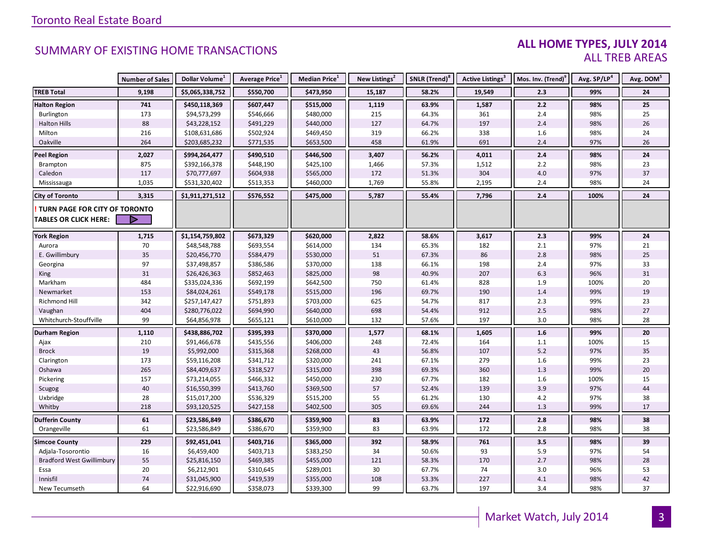#### **ALL HOME TYPES, JULY 2014** ALL TREB AREAS

|                                  | <b>Number of Sales</b> | Dollar Volume <sup>1</sup> | Average Price <sup>1</sup> | Median Price <sup>1</sup> | New Listings <sup>2</sup> | SNLR (Trend) <sup>8</sup> | Active Listings <sup>3</sup> | Mos. Inv. (Trend) <sup>9</sup> | Avg. SP/LP <sup>4</sup> | Avg. DOM <sup>5</sup> |
|----------------------------------|------------------------|----------------------------|----------------------------|---------------------------|---------------------------|---------------------------|------------------------------|--------------------------------|-------------------------|-----------------------|
| <b>TREB Total</b>                | 9,198                  | \$5,065,338,752            | \$550,700                  | \$473,950                 | 15,187                    | 58.2%                     | 19,549                       | 2.3                            | 99%                     | 24                    |
| <b>Halton Region</b>             | 741                    | \$450,118,369              | \$607,447                  | \$515,000                 | 1,119                     | 63.9%                     | 1,587                        | 2.2                            | 98%                     | 25                    |
| Burlington                       | 173                    | \$94,573,299               | \$546,666                  | \$480,000                 | 215                       | 64.3%                     | 361                          | 2.4                            | 98%                     | 25                    |
| <b>Halton Hills</b>              | 88                     | \$43,228,152               | \$491,229                  | \$440,000                 | 127                       | 64.7%                     | 197                          | 2.4                            | 98%                     | 26                    |
| Milton                           | 216                    | \$108,631,686              | \$502,924                  | \$469,450                 | 319                       | 66.2%                     | 338                          | 1.6                            | 98%                     | 24                    |
| Oakville                         | 264                    | \$203,685,232              | \$771,535                  | \$653,500                 | 458                       | 61.9%                     | 691                          | 2.4                            | 97%                     | 26                    |
| <b>Peel Region</b>               | 2,027                  | \$994,264,477              | \$490,510                  | \$446,500                 | 3,407                     | 56.2%                     | 4,011                        | 2.4                            | 98%                     | 24                    |
| Brampton                         | 875                    | \$392,166,378              | \$448,190                  | \$425,100                 | 1,466                     | 57.3%                     | 1,512                        | 2.2                            | 98%                     | 23                    |
| Caledon                          | 117                    | \$70,777,697               | \$604,938                  | \$565,000                 | 172                       | 51.3%                     | 304                          | 4.0                            | 97%                     | 37                    |
| Mississauga                      | 1,035                  | \$531,320,402              | \$513,353                  | \$460,000                 | 1,769                     | 55.8%                     | 2,195                        | 2.4                            | 98%                     | 24                    |
| <b>City of Toronto</b>           | 3,315                  | \$1,911,271,512            | \$576,552                  | \$475,000                 | 5,787                     | 55.4%                     | 7,796                        | 2.4                            | 100%                    | 24                    |
| TURN PAGE FOR CITY OF TORONTO    |                        |                            |                            |                           |                           |                           |                              |                                |                         |                       |
| <b>TABLES OR CLICK HERE:</b>     |                        |                            |                            |                           |                           |                           |                              |                                |                         |                       |
|                                  |                        |                            |                            |                           |                           |                           |                              |                                |                         |                       |
| <b>York Region</b>               | 1,715                  | \$1,154,759,802            | \$673,329                  | \$620,000                 | 2,822                     | 58.6%                     | 3,617                        | 2.3                            | 99%                     | 24                    |
| Aurora                           | 70                     | \$48,548,788               | \$693,554                  | \$614,000                 | 134                       | 65.3%                     | 182                          | 2.1                            | 97%                     | 21                    |
| E. Gwillimbury                   | 35                     | \$20,456,770               | \$584,479                  | \$530,000                 | 51                        | 67.3%                     | 86                           | $2.8$                          | 98%                     | 25                    |
| Georgina                         | 97                     | \$37,498,857               | \$386,586                  | \$370,000                 | 138                       | 66.1%                     | 198                          | 2.4                            | 97%                     | 33                    |
| King                             | 31                     | \$26,426,363               | \$852,463                  | \$825,000                 | 98                        | 40.9%                     | 207                          | 6.3                            | 96%                     | 31                    |
| Markham                          | 484                    | \$335,024,336              | \$692,199                  | \$642,500                 | 750                       | 61.4%                     | 828                          | 1.9                            | 100%                    | 20                    |
| Newmarket                        | 153                    | \$84,024,261               | \$549,178                  | \$515,000                 | 196                       | 69.7%                     | 190                          | 1.4                            | 99%                     | 19                    |
| <b>Richmond Hill</b>             | 342                    | \$257,147,427              | \$751,893                  | \$703,000                 | 625                       | 54.7%                     | 817                          | 2.3                            | 99%                     | 23                    |
| Vaughan                          | 404                    | \$280,776,022              | \$694,990                  | \$640,000                 | 698                       | 54.4%                     | 912                          | $2.5$                          | 98%                     | 27                    |
| Whitchurch-Stouffville           | 99                     | \$64,856,978               | \$655,121                  | \$610,000                 | 132                       | 57.6%                     | 197                          | 3.0                            | 98%                     | 28                    |
| <b>Durham Region</b>             | 1,110                  | \$438,886,702              | \$395,393                  | \$370,000                 | 1,577                     | 68.1%                     | 1,605                        | 1.6                            | 99%                     | 20                    |
| Ajax                             | 210                    | \$91,466,678               | \$435,556                  | \$406,000                 | 248                       | 72.4%                     | 164                          | 1.1                            | 100%                    | 15                    |
| <b>Brock</b>                     | 19                     | \$5,992,000                | \$315,368                  | \$268,000                 | 43                        | 56.8%                     | 107                          | $5.2$                          | 97%                     | 35                    |
| Clarington                       | 173                    | \$59,116,208               | \$341,712                  | \$320,000                 | 241                       | 67.1%                     | 279                          | 1.6                            | 99%                     | 23                    |
| Oshawa                           | 265                    | \$84,409,637               | \$318,527                  | \$315,000                 | 398                       | 69.3%                     | 360                          | 1.3                            | 99%                     | 20                    |
| Pickering                        | 157                    | \$73,214,055               | \$466,332                  | \$450,000                 | 230                       | 67.7%                     | 182                          | 1.6                            | 100%                    | 15                    |
| Scugog                           | 40                     | \$16,550,399               | \$413,760                  | \$369,500                 | 57                        | 52.4%                     | 139                          | 3.9                            | 97%                     | 44                    |
| Uxbridge                         | 28                     | \$15,017,200               | \$536,329                  | \$515,200                 | 55                        | 61.2%                     | 130                          | 4.2                            | 97%                     | 38                    |
| Whitby                           | 218                    | \$93,120,525               | \$427,158                  | \$402,500                 | 305                       | 69.6%                     | 244                          | 1.3                            | 99%                     | 17                    |
| <b>Dufferin County</b>           | 61                     | \$23,586,849               | \$386,670                  | \$359,900                 | 83                        | 63.9%                     | 172                          | $2.8$                          | 98%                     | 38                    |
| Orangeville                      | 61                     | \$23,586,849               | \$386,670                  | \$359,900                 | 83                        | 63.9%                     | 172                          | 2.8                            | 98%                     | 38                    |
| <b>Simcoe County</b>             | 229                    | \$92,451,041               | \$403,716                  | \$365,000                 | 392                       | 58.9%                     | 761                          | 3.5                            | 98%                     | 39                    |
| Adjala-Tosorontio                | 16                     | \$6,459,400                | \$403,713                  | \$383,250                 | 34                        | 50.6%                     | 93                           | 5.9                            | 97%                     | 54                    |
| <b>Bradford West Gwillimbury</b> | 55                     | \$25,816,150               | \$469,385                  | \$455,000                 | 121                       | 58.3%                     | 170                          | 2.7                            | 98%                     | 28                    |
| Essa                             | 20                     | \$6,212,901                | \$310,645                  | \$289,001                 | 30                        | 67.7%                     | 74                           | $3.0\,$                        | 96%                     | 53                    |
| Innisfil                         | 74                     | \$31,045,900               | \$419,539                  | \$355,000                 | 108                       | 53.3%                     | 227                          | 4.1                            | 98%                     | 42                    |
| New Tecumseth                    | 64                     | \$22,916,690               | \$358,073                  | \$339,300                 | 99                        | 63.7%                     | 197                          | 3.4                            | 98%                     | 37                    |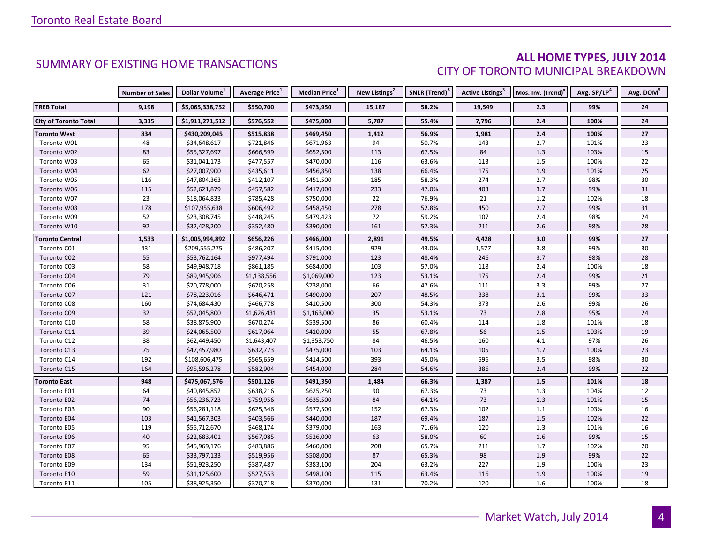#### **ALL HOME TYPES, JULY 2014** CITY OF TORONTO MUNICIPAL BREAKDOWN

|                              | <b>Number of Sales</b> | Dollar Volume <sup>1</sup> | <b>Average Price</b> <sup>1</sup> | <b>Median Price</b> <sup>1</sup> | New Listings <sup>2</sup> | SNLR (Trend) <sup>8</sup> | Active Listings <sup>3</sup> | Mos. Inv. (Trend) <sup>9</sup> | Avg. SP/LP <sup>4</sup> | Avg. DOM <sup>3</sup> |
|------------------------------|------------------------|----------------------------|-----------------------------------|----------------------------------|---------------------------|---------------------------|------------------------------|--------------------------------|-------------------------|-----------------------|
| <b>TREB Total</b>            | 9,198                  | \$5,065,338,752            | \$550,700                         | \$473,950                        | 15,187                    | 58.2%                     | 19,549                       | 2.3                            | 99%                     | 24                    |
| <b>City of Toronto Total</b> | 3,315                  | \$1,911,271,512            | \$576,552                         | \$475,000                        | 5,787                     | 55.4%                     | 7,796                        | 2.4                            | 100%                    | 24                    |
| <b>Toronto West</b>          | 834                    | \$430,209,045              | \$515,838                         | \$469,450                        | 1,412                     | 56.9%                     | 1,981                        | 2.4                            | 100%                    | 27                    |
| Toronto W01                  | 48                     | \$34,648,617               | \$721,846                         | \$671,963                        | 94                        | 50.7%                     | 143                          | 2.7                            | 101%                    | 23                    |
| Toronto W02                  | 83                     | \$55,327,697               | \$666,599                         | \$652,500                        | 113                       | 67.5%                     | 84                           | 1.3                            | 103%                    | 15                    |
| Toronto W03                  | 65                     | \$31,041,173               | \$477,557                         | \$470,000                        | 116                       | 63.6%                     | 113                          | 1.5                            | 100%                    | 22                    |
| Toronto W04                  | 62                     | \$27,007,900               | \$435,611                         | \$456,850                        | 138                       | 66.4%                     | 175                          | 1.9                            | 101%                    | 25                    |
| Toronto W05                  | 116                    | \$47,804,363               | \$412,107                         | \$451,500                        | 185                       | 58.3%                     | 274                          | 2.7                            | 98%                     | 30                    |
| Toronto W06                  | 115                    | \$52,621,879               | \$457,582                         | \$417,000                        | 233                       | 47.0%                     | 403                          | 3.7                            | 99%                     | 31                    |
| Toronto W07                  | 23                     | \$18,064,833               | \$785,428                         | \$750,000                        | 22                        | 76.9%                     | 21                           | $1.2\,$                        | 102%                    | 18                    |
| Toronto W08                  | 178                    | \$107,955,638              | \$606,492                         | \$458,450                        | 278                       | 52.8%                     | 450                          | 2.7                            | 99%                     | 31                    |
| Toronto W09                  | 52                     | \$23,308,745               | \$448,245                         | \$479,423                        | 72                        | 59.2%                     | 107                          | 2.4                            | 98%                     | 24                    |
| Toronto W10                  | 92                     | \$32,428,200               | \$352,480                         | \$390,000                        | 161                       | 57.3%                     | 211                          | $2.6\,$                        | 98%                     | 28                    |
| Toronto Central              | 1,533                  | \$1,005,994,892            | \$656,226                         | \$466,000                        | 2,891                     | 49.5%                     | 4,428                        | $3.0\,$                        | 99%                     | 27                    |
| Toronto C01                  | 431                    | \$209,555,275              | \$486,207                         | \$415,000                        | 929                       | 43.0%                     | 1,577                        | 3.8                            | 99%                     | 30                    |
| Toronto C02                  | 55                     | \$53,762,164               | \$977,494                         | \$791,000                        | 123                       | 48.4%                     | 246                          | 3.7                            | 98%                     | 28                    |
| Toronto C03                  | 58                     | \$49,948,718               | \$861,185                         | \$684,000                        | 103                       | 57.0%                     | 118                          | 2.4                            | 100%                    | 18                    |
| Toronto C04                  | 79                     | \$89,945,906               | \$1,138,556                       | \$1,069,000                      | 123                       | 53.1%                     | 175                          | 2.4                            | 99%                     | 21                    |
| Toronto C06                  | 31                     | \$20,778,000               | \$670,258                         | \$738,000                        | 66                        | 47.6%                     | 111                          | 3.3                            | 99%                     | 27                    |
| Toronto C07                  | 121                    | \$78,223,016               | \$646,471                         | \$490,000                        | 207                       | 48.5%                     | 338                          | 3.1                            | 99%                     | 33                    |
| Toronto C08                  | 160                    | \$74,684,430               | \$466,778                         | \$410,500                        | 300                       | 54.3%                     | 373                          | $2.6$                          | 99%                     | 26                    |
| Toronto C09                  | 32                     | \$52,045,800               | \$1,626,431                       | \$1,163,000                      | 35                        | 53.1%                     | 73                           | 2.8                            | 95%                     | 24                    |
| Toronto C10                  | 58                     | \$38,875,900               | \$670,274                         | \$539,500                        | 86                        | 60.4%                     | 114                          | 1.8                            | 101%                    | 18                    |
| Toronto C11                  | 39                     | \$24,065,500               | \$617,064                         | \$410,000                        | 55                        | 67.8%                     | 56                           | 1.5                            | 103%                    | 19                    |
| Toronto C12                  | 38                     | \$62,449,450               | \$1,643,407                       | \$1,353,750                      | 84                        | 46.5%                     | 160                          | 4.1                            | 97%                     | 26                    |
| Toronto C13                  | 75                     | \$47,457,980               | \$632,773                         | \$475,000                        | 103                       | 64.1%                     | 105                          | $1.7$                          | 100%                    | 23                    |
| Toronto C14                  | 192                    | \$108,606,475              | \$565,659                         | \$414,500                        | 393                       | 45.0%                     | 596                          | 3.5                            | 98%                     | 30                    |
| Toronto C15                  | 164                    | \$95,596,278               | \$582,904                         | \$454,000                        | 284                       | 54.6%                     | 386                          | 2.4                            | 99%                     | 22                    |
| Toronto East                 | 948                    | \$475,067,576              | \$501,126                         | \$491,350                        | 1,484                     | 66.3%                     | 1,387                        | 1.5                            | 101%                    | 18                    |
| Toronto E01                  | 64                     | \$40,845,852               | \$638,216                         | \$625,250                        | 90                        | 67.3%                     | 73                           | 1.3                            | 104%                    | 12                    |
| Toronto E02                  | $74\,$                 | \$56,236,723               | \$759,956                         | \$635,500                        | 84                        | 64.1%                     | 73                           | 1.3                            | 101%                    | 15                    |
| Toronto E03                  | 90                     | \$56,281,118               | \$625,346                         | \$577,500                        | 152                       | 67.3%                     | 102                          | $1.1\,$                        | 103%                    | 16                    |
| Toronto E04                  | 103                    | \$41,567,303               | \$403,566                         | \$440,000                        | 187                       | 69.4%                     | 187                          | 1.5                            | 102%                    | 22                    |
| Toronto E05                  | 119                    | \$55,712,670               | \$468,174                         | \$379,000                        | 163                       | 71.6%                     | 120                          | 1.3                            | 101%                    | 16                    |
| Toronto E06                  | 40                     | \$22,683,401               | \$567,085                         | \$526,000                        | 63                        | 58.0%                     | 60                           | 1.6                            | 99%                     | 15                    |
| Toronto E07                  | 95                     | \$45,969,176               | \$483,886                         | \$460,000                        | 208                       | 65.7%                     | 211                          | 1.7                            | 102%                    | 20                    |
| Toronto E08                  | 65                     | \$33,797,133               | \$519,956                         | \$508,000                        | 87                        | 65.3%                     | 98                           | 1.9                            | 99%                     | 22                    |
| Toronto E09                  | 134                    | \$51,923,250               | \$387,487                         | \$383,100                        | 204                       | 63.2%                     | 227                          | 1.9                            | 100%                    | 23                    |
| Toronto E10                  | 59                     | \$31,125,600               | \$527,553                         | \$498,100                        | 115                       | 63.4%                     | 116                          | 1.9                            | 100%                    | 19                    |
| Toronto E11                  | 105                    | \$38,925,350               | \$370,718                         | \$370,000                        | 131                       | 70.2%                     | 120                          | 1.6                            | 100%                    | 18                    |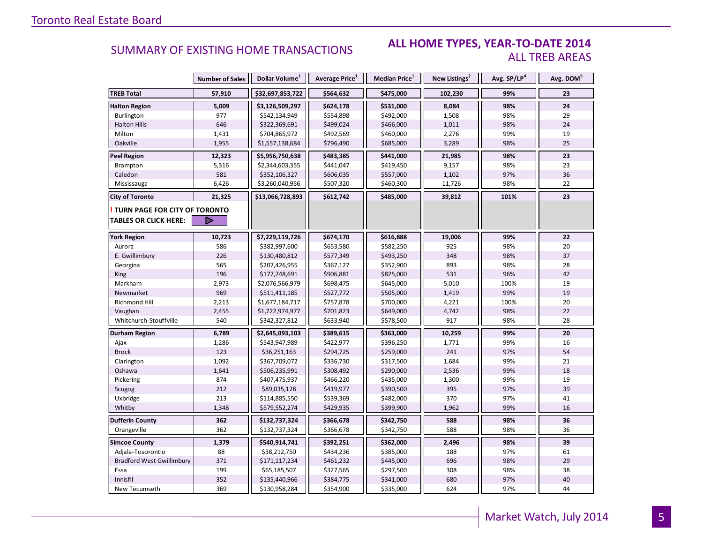#### **ALL HOME TYPES, YEAR-TO-DATE 2014** ALL TREB AREAS

|                                                                      | <b>Number of Sales</b> | Dollar Volume <sup>1</sup> | Average Price <sup>1</sup> | Median Price <sup>1</sup> | New Listings <sup>2</sup> | Avg. SP/LP <sup>4</sup> | Avg. DOM <sup>5</sup> |
|----------------------------------------------------------------------|------------------------|----------------------------|----------------------------|---------------------------|---------------------------|-------------------------|-----------------------|
| <b>TREB Total</b>                                                    | 57,910                 | \$32,697,853,722           | \$564,632                  | \$475,000                 | 102,230                   | 99%                     | 23                    |
| <b>Halton Region</b>                                                 | 5,009                  | \$3,126,509,297            | \$624,178                  | \$531,000                 | 8,084                     | 98%                     | 24                    |
| Burlington                                                           | 977                    | \$542,134,949              | \$554,898                  | \$492,000                 | 1,508                     | 98%                     | 29                    |
| <b>Halton Hills</b>                                                  | 646                    | \$322,369,691              | \$499,024                  | \$466,000                 | 1,011                     | 98%                     | 24                    |
| Milton                                                               | 1,431                  | \$704,865,972              | \$492,569                  | \$460,000                 | 2,276                     | 99%                     | 19                    |
| Oakville                                                             | 1,955                  | \$1,557,138,684            | \$796,490                  | \$685,000                 | 3,289                     | 98%                     | 25                    |
| Peel Region                                                          | 12,323                 | \$5,956,750,638            | \$483,385                  | \$441,000                 | 21,985                    | 98%                     | 23                    |
| Brampton                                                             | 5,316                  | \$2,344,603,355            | \$441,047                  | \$419,450                 | 9,157                     | 98%                     | 23                    |
| Caledon                                                              | 581                    | \$352,106,327              | \$606,035                  | \$557,000                 | 1,102                     | 97%                     | 36                    |
| Mississauga                                                          | 6,426                  | \$3,260,040,956            | \$507,320                  | \$460,300                 | 11,726                    | 98%                     | 22                    |
| <b>City of Toronto</b>                                               | 21,325                 | \$13,066,728,893           | \$612,742                  | \$485,000                 | 39,812                    | 101%                    | 23                    |
| <b>TURN PAGE FOR CITY OF TORONTO</b><br><b>TABLES OR CLICK HERE:</b> |                        |                            |                            |                           |                           |                         |                       |
| <b>York Region</b>                                                   | 10,723                 | \$7,229,119,726            | \$674,170                  | \$616,888                 | 19,006                    | 99%                     | 22                    |
| Aurora                                                               | 586                    | \$382,997,600              | \$653,580                  | \$582,250                 | 925                       | 98%                     | 20                    |
| E. Gwillimbury                                                       | 226                    | \$130,480,812              | \$577,349                  | \$493,250                 | 348                       | 98%                     | 37                    |
| Georgina                                                             | 565                    | \$207,426,955              | \$367,127                  | \$352,900                 | 893                       | 98%                     | 28                    |
| <b>King</b>                                                          | 196                    | \$177,748,691              | \$906,881                  | \$825,000                 | 531                       | 96%                     | 42                    |
| Markham                                                              | 2,973                  | \$2,076,566,979            | \$698,475                  | \$645,000                 | 5,010                     | 100%                    | 19                    |
| Newmarket                                                            | 969                    | \$511,411,185              | \$527,772                  | \$505,000                 | 1,419                     | 99%                     | 19                    |
| <b>Richmond Hill</b>                                                 | 2,213                  | \$1,677,184,717            | \$757,878                  | \$700,000                 | 4,221                     | 100%                    | 20                    |
| Vaughan                                                              | 2,455                  | \$1,722,974,977            | \$701,823                  | \$649,000                 | 4,742                     | 98%                     | 22                    |
| Whitchurch-Stouffville                                               | 540                    | \$342,327,812              | \$633,940                  | \$578,500                 | 917                       | 98%                     | 28                    |
| Durham Region                                                        | 6,789                  | \$2,645,093,103            | \$389,615                  | \$363,000                 | 10,259                    | 99%                     | 20                    |
| Ajax                                                                 | 1,286                  | \$543,947,989              | \$422,977                  | \$396,250                 | 1,771                     | 99%                     | 16                    |
| <b>Brock</b>                                                         | 123                    | \$36,251,163               | \$294,725                  | \$259,000                 | 241                       | 97%                     | 54                    |
| Clarington                                                           | 1,092                  | \$367,709,072              | \$336,730                  | \$317,500                 | 1,684                     | 99%                     | 21                    |
| Oshawa                                                               | 1,641                  | \$506,235,991              | \$308,492                  | \$290,000                 | 2,536                     | 99%                     | 18                    |
| Pickering                                                            | 874                    | \$407,475,937              | \$466,220                  | \$435,000                 | 1,300                     | 99%                     | 19                    |
| Scugog                                                               | 212                    | \$89,035,128               | \$419,977                  | \$390,500                 | 395                       | 97%                     | 39                    |
| Uxbridge                                                             | 213                    | \$114,885,550              | \$539,369                  | \$482,000                 | 370                       | 97%                     | 41                    |
| Whitby                                                               | 1,348                  | \$579,552,274              | \$429,935                  | \$399,900                 | 1,962                     | 99%                     | 16                    |
| <b>Dufferin County</b>                                               | 362                    | \$132,737,324              | \$366,678                  | \$342,750                 | 588                       | 98%                     | 36                    |
| Orangeville                                                          | 362                    | \$132,737,324              | \$366,678                  | \$342,750                 | 588                       | 98%                     | 36                    |
| <b>Simcoe County</b>                                                 | 1,379                  | \$540,914,741              | \$392,251                  | \$362,000                 | 2,496                     | 98%                     | 39                    |
| Adjala-Tosorontio                                                    | 88                     | \$38,212,750               | \$434,236                  | \$385,000                 | 188                       | 97%                     | 61                    |
| <b>Bradford West Gwillimbury</b>                                     | 371                    | \$171,117,234              | \$461,232                  | \$445,000                 | 696                       | 98%                     | 29                    |
| Essa                                                                 | 199                    | \$65,185,507               | \$327,565                  | \$297,500                 | 308                       | 98%                     | 38                    |
| Innisfil                                                             | 352                    | \$135,440,966              | \$384,775                  | \$341,000                 | 680                       | 97%                     | 40                    |
| New Tecumseth                                                        | 369                    | \$130,958,284              | \$354,900                  | \$335,000                 | 624                       | 97%                     | 44                    |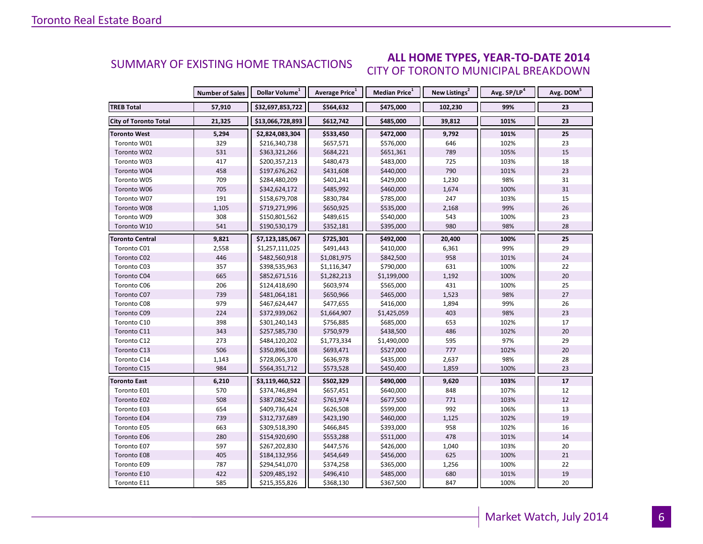#### **ALL HOME TYPES, YEAR-TO-DATE 2014** CITY OF TORONTO MUNICIPAL BREAKDOWN SUMMARY OF EXISTING HOME TRANSACTIONS

|                              | <b>Number of Sales</b> | Dollar Volume <sup>1</sup> | Average Price <sup>1</sup> | Median Price <sup>1</sup> | New Listings <sup>2</sup> | Avg. SP/LP <sup>4</sup> | Avg. DOM <sup>5</sup> |
|------------------------------|------------------------|----------------------------|----------------------------|---------------------------|---------------------------|-------------------------|-----------------------|
| <b>TREB Total</b>            | 57,910                 | \$32,697,853,722           | \$564,632                  | \$475,000                 | 102,230                   | 99%                     | 23                    |
| <b>City of Toronto Total</b> | 21,325                 | \$13,066,728,893           | \$612,742                  | \$485,000                 | 39,812                    | 101%                    | 23                    |
| <b>Toronto West</b>          | 5,294                  | \$2,824,083,304            | \$533,450                  | \$472,000                 | 9,792                     | 101%                    | 25                    |
| Toronto W01                  | 329                    | \$216,340,738              | \$657,571                  | \$576,000                 | 646                       | 102%                    | 23                    |
| Toronto W02                  | 531                    | \$363,321,266              | \$684,221                  | \$651,361                 | 789                       | 105%                    | 15                    |
| Toronto W03                  | 417                    | \$200,357,213              | \$480,473                  | \$483,000                 | 725                       | 103%                    | 18                    |
| Toronto W04                  | 458                    | \$197,676,262              | \$431,608                  | \$440,000                 | 790                       | 101%                    | 23                    |
| Toronto W05                  | 709                    | \$284,480,209              | \$401,241                  | \$429,000                 | 1,230                     | 98%                     | 31                    |
| Toronto W06                  | 705                    | \$342,624,172              | \$485,992                  | \$460,000                 | 1,674                     | 100%                    | 31                    |
| Toronto W07                  | 191                    | \$158,679,708              | \$830,784                  | \$785,000                 | 247                       | 103%                    | 15                    |
| Toronto W08                  | 1,105                  | \$719,271,996              | \$650,925                  | \$535,000                 | 2,168                     | 99%                     | 26                    |
| Toronto W09                  | 308                    | \$150,801,562              | \$489,615                  | \$540,000                 | 543                       | 100%                    | 23                    |
| Toronto W10                  | 541                    | \$190,530,179              | \$352,181                  | \$395,000                 | 980                       | 98%                     | 28                    |
| <b>Toronto Central</b>       | 9,821                  | \$7,123,185,067            | \$725,301                  | \$492,000                 | 20,400                    | 100%                    | 25                    |
| Toronto C01                  | 2,558                  | \$1,257,111,025            | \$491,443                  | \$410,000                 | 6,361                     | 99%                     | 29                    |
| Toronto C02                  | 446                    | \$482,560,918              | \$1,081,975                | \$842,500                 | 958                       | 101%                    | 24                    |
| Toronto C03                  | 357                    | \$398,535,963              | \$1,116,347                | \$790,000                 | 631                       | 100%                    | 22                    |
| Toronto C04                  | 665                    | \$852,671,516              | \$1,282,213                | \$1,199,000               | 1,192                     | 100%                    | 20                    |
| Toronto C06                  | 206                    | \$124,418,690              | \$603,974                  | \$565,000                 | 431                       | 100%                    | 25                    |
| Toronto C07                  | 739                    | \$481,064,181              | \$650,966                  | \$465,000                 | 1,523                     | 98%                     | 27                    |
| Toronto C08                  | 979                    | \$467,624,447              | \$477,655                  | \$416,000                 | 1,894                     | 99%                     | 26                    |
| Toronto C09                  | 224                    | \$372,939,062              | \$1,664,907                | \$1,425,059               | 403                       | 98%                     | 23                    |
| Toronto C10                  | 398                    | \$301,240,143              | \$756,885                  | \$685,000                 | 653                       | 102%                    | 17                    |
| Toronto C11                  | 343                    | \$257,585,730              | \$750,979                  | \$438,500                 | 486                       | 102%                    | 20                    |
| Toronto C12                  | 273                    | \$484,120,202              | \$1,773,334                | \$1,490,000               | 595                       | 97%                     | 29                    |
| Toronto C13                  | 506                    | \$350,896,108              | \$693,471                  | \$527,000                 | 777                       | 102%                    | 20                    |
| Toronto C14                  | 1,143                  | \$728,065,370              | \$636,978                  | \$435,000                 | 2,637                     | 98%                     | 28                    |
| Toronto C15                  | 984                    | \$564,351,712              | \$573,528                  | \$450,400                 | 1,859                     | 100%                    | 23                    |
| Toronto East                 | 6,210                  | \$3,119,460,522            | \$502,329                  | \$490,000                 | 9,620                     | 103%                    | ${\bf 17}$            |
| Toronto E01                  | 570                    | \$374,746,894              | \$657,451                  | \$640,000                 | 848                       | 107%                    | 12                    |
| Toronto E02                  | 508                    | \$387,082,562              | \$761,974                  | \$677,500                 | 771                       | 103%                    | 12                    |
| Toronto E03                  | 654                    | \$409,736,424              | \$626,508                  | \$599,000                 | 992                       | 106%                    | 13                    |
| Toronto E04                  | 739                    | \$312,737,689              | \$423,190                  | \$460,000                 | 1,125                     | 102%                    | 19                    |
| Toronto E05                  | 663                    | \$309,518,390              | \$466,845                  | \$393,000                 | 958                       | 102%                    | 16                    |
| Toronto E06                  | 280                    | \$154,920,690              | \$553,288                  | \$511,000                 | 478                       | 101%                    | 14                    |
| Toronto E07                  | 597                    | \$267,202,830              | \$447,576                  | \$426,000                 | 1,040                     | 103%                    | 20                    |
| Toronto E08                  | 405                    | \$184,132,956              | \$454,649                  | \$456,000                 | 625                       | 100%                    | 21                    |
| Toronto E09                  | 787                    | \$294,541,070              | \$374,258                  | \$365,000                 | 1,256                     | 100%                    | 22                    |
| Toronto E10                  | 422                    | \$209,485,192              | \$496,410                  | \$485,000                 | 680                       | 101%                    | 19                    |
| Toronto E11                  | 585                    | \$215,355,826              | \$368,130                  | \$367,500                 | 847                       | 100%                    | 20                    |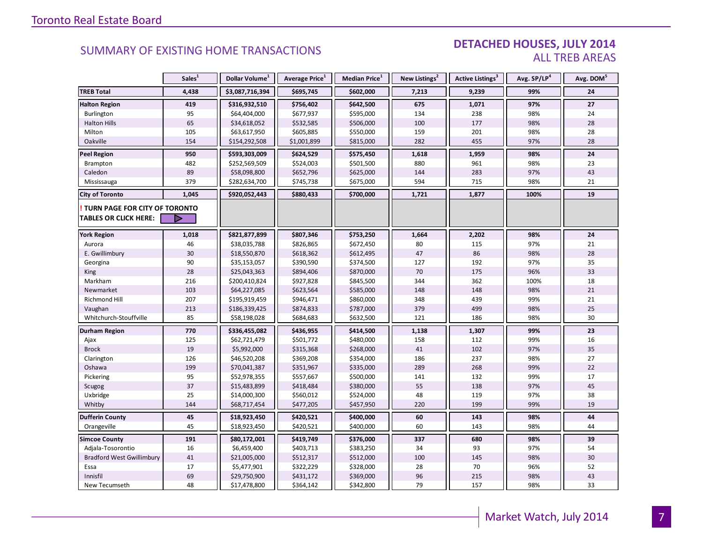#### DETACHED HOUSES, JULY 2014 ALL TREB AREAS

|                                      | Sales <sup>1</sup> | Dollar Volume <sup>1</sup> | Average Price <sup>1</sup> | Median Price <sup>1</sup> | New Listings <sup>2</sup> | Active Listings <sup>3</sup> | Avg. SP/LP <sup>4</sup> | Avg. DOM <sup>5</sup> |
|--------------------------------------|--------------------|----------------------------|----------------------------|---------------------------|---------------------------|------------------------------|-------------------------|-----------------------|
| <b>TREB Total</b>                    | 4,438              | \$3,087,716,394            | \$695,745                  | \$602,000                 | 7,213                     | 9,239                        | 99%                     | 24                    |
| <b>Halton Region</b>                 | 419                | \$316,932,510              | \$756,402                  | \$642,500                 | 675                       | 1,071                        | 97%                     | 27                    |
| Burlington                           | 95                 | \$64,404,000               | \$677,937                  | \$595,000                 | 134                       | 238                          | 98%                     | 24                    |
| <b>Halton Hills</b>                  | 65                 | \$34,618,052               | \$532,585                  | \$506,000                 | 100                       | 177                          | 98%                     | 28                    |
| Milton                               | 105                | \$63,617,950               | \$605,885                  | \$550,000                 | 159                       | 201                          | 98%                     | 28                    |
| Oakville                             | 154                | \$154,292,508              | \$1,001,899                | \$815,000                 | 282                       | 455                          | 97%                     | 28                    |
| <b>Peel Region</b>                   | 950                | \$593,303,009              | \$624,529                  | \$575,450                 | 1,618                     | 1,959                        | 98%                     | 24                    |
| Brampton                             | 482                | \$252,569,509              | \$524,003                  | \$501,500                 | 880                       | 961                          | 98%                     | 23                    |
| Caledon                              | 89                 | \$58,098,800               | \$652,796                  | \$625,000                 | 144                       | 283                          | 97%                     | 43                    |
| Mississauga                          | 379                | \$282,634,700              | \$745,738                  | \$675,000                 | 594                       | 715                          | 98%                     | 21                    |
| <b>City of Toronto</b>               | 1,045              | \$920,052,443              | \$880,433                  | \$700,000                 | 1,721                     | 1,877                        | 100%                    | 19                    |
| <b>TURN PAGE FOR CITY OF TORONTO</b> |                    |                            |                            |                           |                           |                              |                         |                       |
| <b>TABLES OR CLICK HERE:</b>         | D                  |                            |                            |                           |                           |                              |                         |                       |
| <b>York Region</b>                   | 1,018              | \$821,877,899              | \$807,346                  | \$753,250                 | 1,664                     | 2,202                        | 98%                     | 24                    |
| Aurora                               | 46                 | \$38,035,788               | \$826,865                  | \$672,450                 | 80                        | 115                          | 97%                     | 21                    |
| E. Gwillimbury                       | 30                 | \$18,550,870               | \$618,362                  | \$612,495                 | 47                        | 86                           | 98%                     | 28                    |
| Georgina                             | 90                 | \$35,153,057               | \$390,590                  | \$374,500                 | 127                       | 192                          | 97%                     | 35                    |
| King                                 | 28                 | \$25,043,363               | \$894,406                  | \$870,000                 | 70                        | 175                          | 96%                     | 33                    |
| Markham                              | 216                | \$200,410,824              | \$927,828                  | \$845,500                 | 344                       | 362                          | 100%                    | 18                    |
| Newmarket                            | 103                | \$64,227,085               | \$623,564                  | \$585,000                 | 148                       | 148                          | 98%                     | 21                    |
| Richmond Hill                        | 207                | \$195,919,459              | \$946,471                  | \$860,000                 | 348                       | 439                          | 99%                     | 21                    |
| Vaughan                              | 213                | \$186,339,425              | \$874,833                  | \$787,000                 | 379                       | 499                          | 98%                     | 25                    |
| Whitchurch-Stouffville               | 85                 | \$58,198,028               | \$684,683                  | \$632,500                 | 121                       | 186                          | 98%                     | 30                    |
| Durham Region                        | 770                | \$336,455,082              | \$436,955                  | \$414,500                 | 1,138                     | 1,307                        | 99%                     | 23                    |
| Ajax                                 | 125                | \$62,721,479               | \$501,772                  | \$480,000                 | 158                       | 112                          | 99%                     | 16                    |
| <b>Brock</b>                         | 19                 | \$5,992,000                | \$315,368                  | \$268,000                 | 41                        | 102                          | 97%                     | 35                    |
| Clarington                           | 126                | \$46,520,208               | \$369,208                  | \$354,000                 | 186                       | 237                          | 98%                     | 27                    |
| Oshawa                               | 199                | \$70,041,387               | \$351,967                  | \$335,000                 | 289                       | 268                          | 99%                     | 22                    |
| Pickering                            | 95                 | \$52,978,355               | \$557,667                  | \$500,000                 | 141                       | 132                          | 99%                     | 17                    |
| Scugog                               | 37                 | \$15,483,899               | \$418,484                  | \$380,000                 | 55                        | 138                          | 97%                     | 45                    |
| Uxbridge                             | 25                 | \$14,000,300               | \$560,012                  | \$524,000                 | 48                        | 119                          | 97%                     | 38                    |
| Whitby                               | 144                | \$68,717,454               | \$477,205                  | \$457,950                 | 220                       | 199                          | 99%                     | 19                    |
| <b>Dufferin County</b>               | 45                 | \$18,923,450               | \$420,521                  | \$400,000                 | 60                        | 143                          | 98%                     | 44                    |
| Orangeville                          | 45                 | \$18,923,450               | \$420,521                  | \$400,000                 | 60                        | 143                          | 98%                     | 44                    |
| <b>Simcoe County</b>                 | 191                | \$80,172,001               | \$419,749                  | \$376,000                 | 337                       | 680                          | 98%                     | 39                    |
| Adjala-Tosorontio                    | 16                 | \$6,459,400                | \$403,713                  | \$383,250                 | 34                        | 93                           | 97%                     | 54                    |
| <b>Bradford West Gwillimbury</b>     | $41\,$             | \$21,005,000               | \$512,317                  | \$512,000                 | 100                       | 145                          | 98%                     | 30                    |
| Essa                                 | 17                 | \$5,477,901                | \$322,229                  | \$328,000                 | 28                        | 70                           | 96%                     | 52                    |
| Innisfil                             | 69                 | \$29,750,900               | \$431,172                  | \$369,000                 | 96                        | 215                          | 98%                     | 43                    |
| New Tecumseth                        | 48                 | \$17,478,800               | \$364,142                  | \$342,800                 | 79                        | 157                          | 98%                     | 33                    |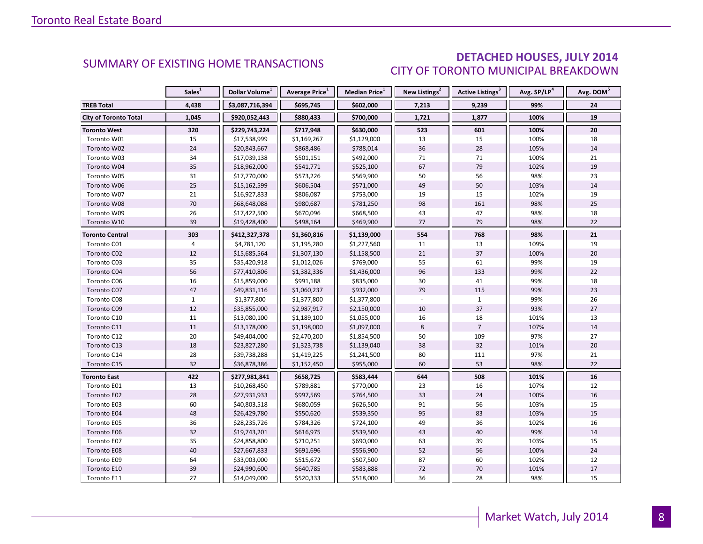### DETACHED HOUSES, JULY 2014 CITY OF TORONTO MUNICIPAL BREAKDOWN

<span id="page-7-0"></span>

|                              | Sales <sup>1</sup> | Dollar Volume <sup>1</sup> | Average Price <sup>1</sup> | Median Price <sup>1</sup> | New Listings <sup>2</sup> | <b>Active Listings<sup>3</sup></b> | Avg. SP/LP <sup>4</sup> | Avg. DOM <sup>5</sup> |
|------------------------------|--------------------|----------------------------|----------------------------|---------------------------|---------------------------|------------------------------------|-------------------------|-----------------------|
| <b>TREB Total</b>            | 4,438              | \$3,087,716,394            | \$695,745                  | \$602,000                 | 7,213                     | 9,239                              | 99%                     | 24                    |
| <b>City of Toronto Total</b> | 1,045              | \$920,052,443              | \$880,433                  | \$700,000                 | 1,721                     | 1,877                              | 100%                    | 19                    |
| <b>Toronto West</b>          | 320                | \$229,743,224              | \$717,948                  | \$630,000                 | 523                       | 601                                | 100%                    | 20                    |
| Toronto W01                  | 15                 | \$17,538,999               | \$1,169,267                | \$1,129,000               | 13                        | 15                                 | 100%                    | 18                    |
| Toronto W02                  | 24                 | \$20,843,667               | \$868,486                  | \$788,014                 | 36                        | 28                                 | 105%                    | 14                    |
| Toronto W03                  | 34                 | \$17,039,138               | \$501,151                  | \$492,000                 | 71                        | 71                                 | 100%                    | 21                    |
| Toronto W04                  | 35                 | \$18,962,000               | \$541,771                  | \$525,100                 | 67                        | 79                                 | 102%                    | 19                    |
| Toronto W05                  | 31                 | \$17,770,000               | \$573,226                  | \$569,900                 | 50                        | 56                                 | 98%                     | 23                    |
| Toronto W06                  | 25                 | \$15,162,599               | \$606,504                  | \$571,000                 | 49                        | 50                                 | 103%                    | 14                    |
| Toronto W07                  | 21                 | \$16,927,833               | \$806,087                  | \$753,000                 | 19                        | 15                                 | 102%                    | 19                    |
| Toronto W08                  | $70\,$             | \$68,648,088               | \$980,687                  | \$781,250                 | 98                        | 161                                | 98%                     | 25                    |
| Toronto W09                  | 26                 | \$17,422,500               | \$670,096                  | \$668,500                 | 43                        | 47                                 | 98%                     | 18                    |
| Toronto W10                  | 39                 | \$19,428,400               | \$498,164                  | \$469,900                 | 77                        | 79                                 | 98%                     | 22                    |
| <b>Toronto Central</b>       | 303                | \$412,327,378              | \$1,360,816                | \$1,139,000               | 554                       | 768                                | 98%                     | 21                    |
| Toronto C01                  | $\overline{4}$     | \$4,781,120                | \$1,195,280                | \$1,227,560               | 11                        | 13                                 | 109%                    | 19                    |
| Toronto C02                  | 12                 | \$15,685,564               | \$1,307,130                | \$1,158,500               | 21                        | 37                                 | 100%                    | 20                    |
| Toronto C03                  | 35                 | \$35,420,918               | \$1,012,026                | \$769,000                 | 55                        | 61                                 | 99%                     | 19                    |
| Toronto C04                  | 56                 | \$77,410,806               | \$1,382,336                | \$1,436,000               | 96                        | 133                                | 99%                     | 22                    |
| Toronto C06                  | 16                 | \$15,859,000               | \$991,188                  | \$835,000                 | 30                        | 41                                 | 99%                     | 18                    |
| Toronto C07                  | 47                 | \$49,831,116               | \$1,060,237                | \$932,000                 | 79                        | 115                                | 99%                     | 23                    |
| Toronto C08                  | $\mathbf{1}$       | \$1,377,800                | \$1,377,800                | \$1,377,800               |                           | $\mathbf{1}$                       | 99%                     | 26                    |
| Toronto C09                  | 12                 | \$35,855,000               | \$2,987,917                | \$2,150,000               | 10                        | 37                                 | 93%                     | 27                    |
| Toronto C10                  | 11                 | \$13,080,100               | \$1,189,100                | \$1,055,000               | 16                        | 18                                 | 101%                    | 13                    |
| Toronto C11                  | 11                 | \$13,178,000               | \$1,198,000                | \$1,097,000               | 8                         | $\overline{7}$                     | 107%                    | 14                    |
| Toronto C12                  | 20                 | \$49,404,000               | \$2,470,200                | \$1,854,500               | 50                        | 109                                | 97%                     | 27                    |
| Toronto C13                  | 18                 | \$23,827,280               | \$1,323,738                | \$1,139,040               | 38                        | 32                                 | 101%                    | 20                    |
| Toronto C14                  | 28                 | \$39,738,288               | \$1,419,225                | \$1,241,500               | 80                        | 111                                | 97%                     | 21                    |
| Toronto C15                  | 32                 | \$36,878,386               | \$1,152,450                | \$955,000                 | 60                        | 53                                 | 98%                     | 22                    |
| <b>Toronto East</b>          | 422                | \$277,981,841              | \$658,725                  | \$583,444                 | 644                       | 508                                | 101%                    | 16                    |
| Toronto E01                  | 13                 | \$10,268,450               | \$789,881                  | \$770,000                 | 23                        | 16                                 | 107%                    | 12                    |
| Toronto E02                  | 28                 | \$27,931,933               | \$997,569                  | \$764,500                 | 33                        | 24                                 | 100%                    | $16\,$                |
| Toronto E03                  | 60                 | \$40,803,518               | \$680,059                  | \$626,500                 | 91                        | 56                                 | 103%                    | 15                    |
| Toronto E04                  | 48                 | \$26,429,780               | \$550,620                  | \$539,350                 | 95                        | 83                                 | 103%                    | 15                    |
| Toronto E05                  | 36                 | \$28,235,726               | \$784,326                  | \$724,100                 | 49                        | 36                                 | 102%                    | 16                    |
| Toronto E06                  | 32                 | \$19,743,201               | \$616,975                  | \$539,500                 | 43                        | 40                                 | 99%                     | 14                    |
| Toronto E07                  | 35                 | \$24,858,800               | \$710,251                  | \$690,000                 | 63                        | 39                                 | 103%                    | 15                    |
| Toronto E08                  | 40                 | \$27,667,833               | \$691,696                  | \$556,900                 | 52                        | 56                                 | 100%                    | 24                    |
| Toronto E09                  | 64                 | \$33,003,000               | \$515,672                  | \$507,500                 | 87                        | 60                                 | 102%                    | 12                    |
| Toronto E10                  | 39                 | \$24,990,600               | \$640,785                  | \$583,888                 | 72                        | 70                                 | 101%                    | 17                    |
| Toronto E11                  | 27                 | \$14,049,000               | \$520,333                  | \$518,000                 | 36                        | 28                                 | 98%                     | 15                    |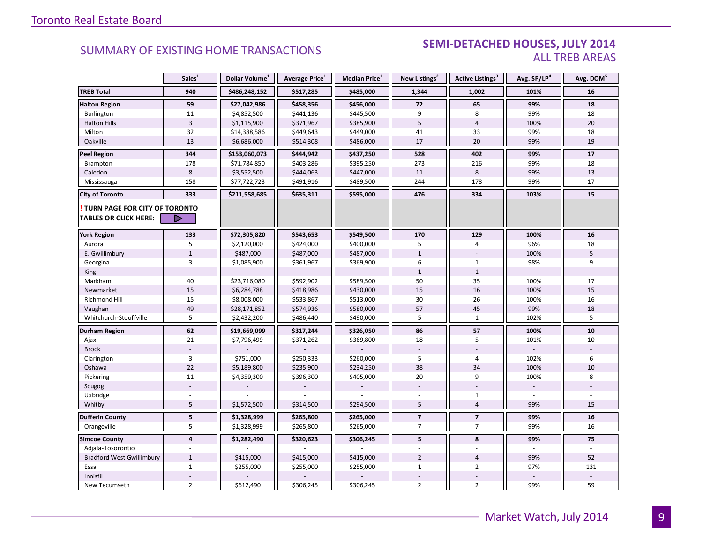#### SEMI-DETACHED HOUSES, JULY 2014 ALL TREB AREAS

|                                  | Sales <sup>1</sup>      | Dollar Volume <sup>1</sup> | Average Price <sup>1</sup> | Median Price <sup>1</sup> | New Listings <sup>2</sup> | Active Listings <sup>3</sup> | Avg. SP/LP <sup>4</sup> | Avg. DOM <sup>5</sup> |
|----------------------------------|-------------------------|----------------------------|----------------------------|---------------------------|---------------------------|------------------------------|-------------------------|-----------------------|
| <b>TREB Total</b>                | 940                     | \$486,248,152              | \$517,285                  | \$485,000                 | 1,344                     | 1,002                        | 101%                    | 16                    |
| <b>Halton Region</b>             | 59                      | \$27,042,986               | \$458,356                  | \$456,000                 | 72                        | 65                           | 99%                     | 18                    |
| Burlington                       | 11                      | \$4,852,500                | \$441,136                  | \$445,500                 | 9                         | 8                            | 99%                     | 18                    |
| <b>Halton Hills</b>              | $\overline{3}$          | \$1,115,900                | \$371,967                  | \$385,900                 | 5                         | $\overline{4}$               | 100%                    | 20                    |
| Milton                           | 32                      | \$14,388,586               | \$449,643                  | \$449,000                 | 41                        | 33                           | 99%                     | 18                    |
| Oakville                         | 13                      | \$6,686,000                | \$514,308                  | \$486,000                 | 17                        | 20                           | 99%                     | 19                    |
| <b>Peel Region</b>               | 344                     | \$153,060,073              | \$444,942                  | \$437,250                 | 528                       | 402                          | 99%                     | 17                    |
| Brampton                         | 178                     | \$71,784,850               | \$403,286                  | \$395,250                 | 273                       | 216                          | 99%                     | 18                    |
| Caledon                          | 8                       | \$3,552,500                | \$444,063                  | \$447,000                 | 11                        | 8                            | 99%                     | 13                    |
| Mississauga                      | 158                     | \$77,722,723               | \$491,916                  | \$489,500                 | 244                       | 178                          | 99%                     | 17                    |
| <b>City of Toronto</b>           | 333                     | \$211,558,685              | \$635,311                  | \$595,000                 | 476                       | 334                          | 103%                    | 15                    |
| TURN PAGE FOR CITY OF TORONTO    |                         |                            |                            |                           |                           |                              |                         |                       |
| <b>TABLES OR CLICK HERE:</b>     | D                       |                            |                            |                           |                           |                              |                         |                       |
| <b>York Region</b>               | 133                     | \$72,305,820               | \$543,653                  | \$549,500                 | 170                       | 129                          | 100%                    | 16                    |
| Aurora                           | 5                       | \$2,120,000                | \$424,000                  | \$400,000                 | 5                         | $\overline{4}$               | 96%                     | 18                    |
| E. Gwillimbury                   | $\mathbf{1}$            | \$487,000                  | \$487,000                  | \$487,000                 | $\mathbf{1}$              |                              | 100%                    | 5                     |
| Georgina                         | $\overline{3}$          | \$1,085,900                | \$361,967                  | \$369,900                 | 6                         | $\mathbf{1}$                 | 98%                     | 9                     |
| King                             |                         |                            |                            |                           | $\mathbf{1}$              | $\mathbf{1}$                 |                         |                       |
| Markham                          | 40                      | \$23,716,080               | \$592,902                  | \$589,500                 | 50                        | 35                           | 100%                    | 17                    |
| Newmarket                        | 15                      | \$6,284,788                | \$418,986                  | \$430,000                 | 15                        | 16                           | 100%                    | 15                    |
| Richmond Hill                    | 15                      | \$8,008,000                | \$533,867                  | \$513,000                 | 30                        | 26                           | 100%                    | 16                    |
| Vaughan                          | 49                      | \$28,171,852               | \$574,936                  | \$580,000                 | 57                        | 45                           | 99%                     | 18                    |
| Whitchurch-Stouffville           | 5                       | \$2,432,200                | \$486,440                  | \$490,000                 | 5                         | $\mathbf{1}$                 | 102%                    | 5                     |
| <b>Durham Region</b>             | 62                      | \$19,669,099               | \$317,244                  | \$326,050                 | 86                        | 57                           | 100%                    | 10                    |
| Ajax                             | 21                      | \$7,796,499                | \$371,262                  | \$369,800                 | $18\,$                    | 5                            | 101%                    | 10                    |
| <b>Brock</b>                     |                         |                            |                            |                           |                           |                              |                         |                       |
| Clarington                       | $\overline{3}$          | \$751,000                  | \$250,333                  | \$260,000                 | 5                         | $\overline{4}$               | 102%                    | 6                     |
| Oshawa                           | 22                      | \$5,189,800                | \$235,900                  | \$234,250                 | 38                        | 34                           | 100%                    | 10                    |
| Pickering                        | 11                      | \$4,359,300                | \$396,300                  | \$405,000                 | 20                        | 9                            | 100%                    | 8                     |
| Scugog                           |                         |                            |                            |                           |                           |                              |                         |                       |
| Uxbridge                         |                         |                            |                            |                           |                           | $\mathbf{1}$                 |                         |                       |
| Whitby                           | 5                       | \$1,572,500                | \$314,500                  | \$294,500                 | 5                         | $\overline{4}$               | 99%                     | 15                    |
| <b>Dufferin County</b>           | 5                       | \$1,328,999                | \$265,800                  | \$265,000                 | $\overline{\phantom{a}}$  | $\overline{7}$               | 99%                     | 16                    |
| Orangeville                      | 5                       | \$1,328,999                | \$265,800                  | \$265,000                 | $\overline{7}$            | $\overline{7}$               | 99%                     | 16                    |
| <b>Simcoe County</b>             | $\overline{\mathbf{4}}$ | \$1,282,490                | \$320,623                  | \$306,245                 | 5                         | 8                            | 99%                     | 75                    |
| Adjala-Tosorontio                | $\bar{a}$               |                            |                            |                           |                           |                              |                         |                       |
| <b>Bradford West Gwillimbury</b> | $\mathbf{1}$            | \$415,000                  | \$415,000                  | \$415,000                 | $\overline{2}$            | $\sqrt{4}$                   | 99%                     | 52                    |
| Essa                             | $\mathbf{1}$            | \$255,000                  | \$255,000                  | \$255,000                 | $\mathbf{1}$              | $\overline{2}$               | 97%                     | 131                   |
| Innisfil                         |                         |                            |                            |                           |                           |                              |                         |                       |
| New Tecumseth                    | $\overline{2}$          | \$612,490                  | \$306,245                  | \$306,245                 | $\overline{2}$            | $\overline{2}$               | 99%                     | 59                    |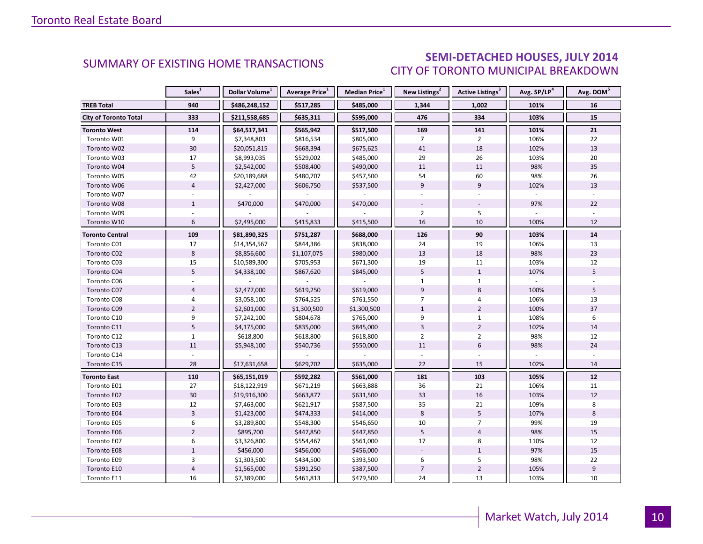### SEMI-DETACHED HOUSES, JULY 2014 CITY OF TORONTO MUNICIPAL BREAKDOWN

<span id="page-9-0"></span>

|                              | Sales <sup>1</sup>      | Dollar Volume <sup>1</sup> | Average Price <sup>1</sup> | Median Price <sup>1</sup> | New Listings <sup>2</sup> | <b>Active Listings<sup>3</sup></b> | Avg. SP/LP <sup>4</sup> | Avg. DOM <sup>5</sup> |
|------------------------------|-------------------------|----------------------------|----------------------------|---------------------------|---------------------------|------------------------------------|-------------------------|-----------------------|
| <b>TREB Total</b>            | 940                     | \$486,248,152              | \$517,285                  | \$485,000                 | 1,344                     | 1,002                              | 101%                    | 16                    |
| <b>City of Toronto Total</b> | 333                     | \$211,558,685              | \$635,311                  | \$595,000                 | 476                       | 334                                | 103%                    | 15                    |
| <b>Toronto West</b>          | 114                     | \$64,517,341               | \$565,942                  | \$517,500                 | 169                       | 141                                | 101%                    | 21                    |
| Toronto W01                  | 9                       | \$7,348,803                | \$816,534                  | \$805,000                 | $\overline{7}$            | $\overline{2}$                     | 106%                    | 22                    |
| Toronto W02                  | 30                      | \$20,051,815               | \$668,394                  | \$675,625                 | 41                        | 18                                 | 102%                    | 13                    |
| Toronto W03                  | 17                      | \$8,993,035                | \$529,002                  | \$485,000                 | 29                        | 26                                 | 103%                    | 20                    |
| Toronto W04                  | 5                       | \$2,542,000                | \$508,400                  | \$490,000                 | 11                        | 11                                 | 98%                     | 35                    |
| Toronto W05                  | 42                      | \$20,189,688               | \$480,707                  | \$457,500                 | 54                        | 60                                 | 98%                     | 26                    |
| Toronto W06                  | $\overline{4}$          | \$2,427,000                | \$606,750                  | \$537,500                 | 9                         | 9                                  | 102%                    | 13                    |
| Toronto W07                  |                         |                            |                            |                           |                           |                                    |                         |                       |
| Toronto W08                  | $\mathbf{1}$            | \$470,000                  | \$470,000                  | \$470,000                 |                           |                                    | 97%                     | 22                    |
| Toronto W09                  |                         |                            |                            |                           | $\overline{2}$            | 5                                  |                         |                       |
| Toronto W10                  | 6                       | \$2,495,000                | \$415,833                  | \$415,500                 | 16                        | 10                                 | 100%                    | 12                    |
| <b>Toronto Central</b>       | 109                     | \$81,890,325               | \$751,287                  | \$688,000                 | 126                       | 90                                 | 103%                    | 14                    |
| Toronto C01                  | 17                      | \$14,354,567               | \$844,386                  | \$838,000                 | 24                        | 19                                 | 106%                    | 13                    |
| Toronto C02                  | 8                       | \$8,856,600                | \$1,107,075                | \$980,000                 | 13                        | 18                                 | 98%                     | 23                    |
| Toronto C03                  | 15                      | \$10,589,300               | \$705,953                  | \$671,300                 | 19                        | 11                                 | 103%                    | 12                    |
| Toronto C04                  | 5                       | \$4,338,100                | \$867,620                  | \$845,000                 | 5                         | $\mathbf{1}$                       | 107%                    | 5                     |
| Toronto C06                  |                         |                            |                            |                           | $\mathbf{1}$              | $\mathbf{1}$                       |                         |                       |
| Toronto C07                  | $\overline{4}$          | \$2,477,000                | \$619,250                  | \$619,000                 | 9                         | 8                                  | 100%                    | 5                     |
| Toronto C08                  | $\overline{4}$          | \$3,058,100                | \$764,525                  | \$761,550                 | $\overline{7}$            | $\overline{4}$                     | 106%                    | 13                    |
| Toronto C09                  | $\overline{2}$          | \$2,601,000                | \$1,300,500                | \$1,300,500               | $\mathbf{1}$              | $\overline{2}$                     | 100%                    | 37                    |
| Toronto C10                  | 9                       | \$7,242,100                | \$804,678                  | \$765,000                 | 9                         | $\mathbf{1}$                       | 108%                    | 6                     |
| Toronto C11                  | 5                       | \$4,175,000                | \$835,000                  | \$845,000                 | $\overline{3}$            | $\overline{2}$                     | 102%                    | 14                    |
| Toronto C12                  | $\mathbf{1}$            | \$618,800                  | \$618,800                  | \$618,800                 | $\overline{2}$            | $\overline{2}$                     | 98%                     | 12                    |
| Toronto C13                  | 11                      | \$5,948,100                | \$540,736                  | \$550,000                 | 11                        | $6\,$                              | 98%                     | 24                    |
| Toronto C14                  |                         |                            |                            |                           |                           |                                    |                         |                       |
| Toronto C15                  | 28                      | \$17,631,658               | \$629,702                  | \$635,000                 | 22                        | 15                                 | 102%                    | 14                    |
| <b>Toronto East</b>          | 110                     | \$65,151,019               | \$592,282                  | \$561,000                 | 181                       | 103                                | 105%                    | 12                    |
| Toronto E01                  | 27                      | \$18,122,919               | \$671,219                  | \$663,888                 | 36                        | 21                                 | 106%                    | 11                    |
| Toronto E02                  | 30                      | \$19,916,300               | \$663,877                  | \$631,500                 | 33                        | 16                                 | 103%                    | 12                    |
| Toronto E03                  | 12                      | \$7,463,000                | \$621,917                  | \$587,500                 | 35                        | 21                                 | 109%                    | 8                     |
| Toronto E04                  | $\overline{\mathbf{3}}$ | \$1,423,000                | \$474,333                  | \$414,000                 | 8                         | 5                                  | 107%                    | 8                     |
| Toronto E05                  | 6                       | \$3,289,800                | \$548,300                  | \$546,650                 | 10                        | $\overline{7}$                     | 99%                     | 19                    |
| Toronto E06                  | $\overline{2}$          | \$895,700                  | \$447,850                  | \$447,850                 | 5                         | $\overline{4}$                     | 98%                     | 15                    |
| Toronto E07                  | 6                       | \$3,326,800                | \$554,467                  | \$561,000                 | 17                        | 8                                  | 110%                    | 12                    |
| Toronto E08                  | $1\,$                   | \$456,000                  | \$456,000                  | \$456,000                 |                           | $\mathbf{1}$                       | 97%                     | 15                    |
| Toronto E09                  | 3                       | \$1,303,500                | \$434,500                  | \$393,500                 | 6                         | 5                                  | 98%                     | 22                    |
| Toronto E10                  | $\overline{4}$          | \$1,565,000                | \$391,250                  | \$387,500                 | $\overline{7}$            | $\mathbf 2$                        | 105%                    | 9                     |
| Toronto E11                  | 16                      | \$7,389,000                | \$461,813                  | \$479,500                 | 24                        | 13                                 | 103%                    | 10                    |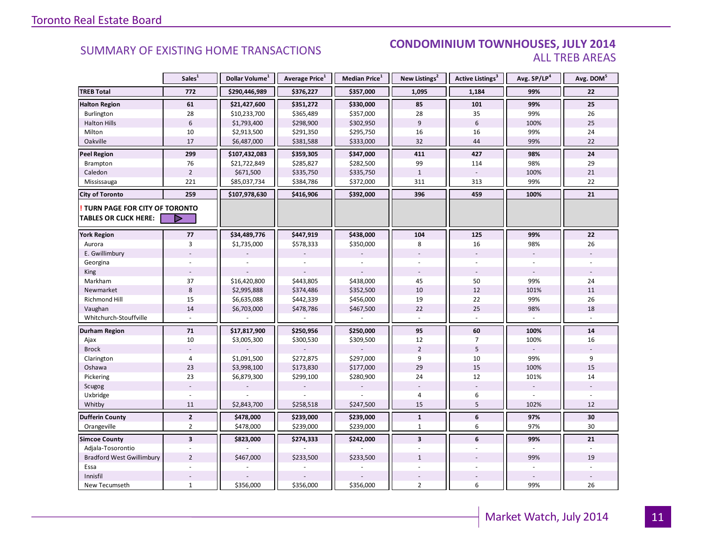#### **Industry Of EXISTING HOME TRANSACTIONS CONDOMINIUM TOWNHOUSES, JULY 2014** ALL TREB AREAS

|                                                               | Sales <sup>1</sup>      | Dollar Volume <sup>1</sup> | Average Price <sup>1</sup> | Median Price <sup>1</sup> | New Listings <sup>2</sup> | Active Listings <sup>3</sup> | Avg. SP/LP <sup>4</sup> | Avg. DOM <sup>5</sup> |
|---------------------------------------------------------------|-------------------------|----------------------------|----------------------------|---------------------------|---------------------------|------------------------------|-------------------------|-----------------------|
| <b>TREB Total</b>                                             | 772                     | \$290,446,989              | \$376,227                  | \$357,000                 | 1,095                     | 1,184                        | 99%                     | 22                    |
| <b>Halton Region</b>                                          | 61                      | \$21,427,600               | \$351,272                  | \$330,000                 | 85                        | 101                          | 99%                     | 25                    |
| Burlington                                                    | 28                      | \$10,233,700               | \$365,489                  | \$357,000                 | 28                        | 35                           | 99%                     | 26                    |
| <b>Halton Hills</b>                                           | $\boldsymbol{6}$        | \$1,793,400                | \$298,900                  | \$302,950                 | 9                         | $6\phantom{1}$               | 100%                    | 25                    |
| Milton                                                        | 10                      | \$2,913,500                | \$291,350                  | \$295,750                 | 16                        | 16                           | 99%                     | 24                    |
| Oakville                                                      | 17                      | \$6,487,000                | \$381,588                  | \$333,000                 | 32                        | 44                           | 99%                     | 22                    |
| <b>Peel Region</b>                                            | 299                     | \$107,432,083              | \$359,305                  | \$347,000                 | 411                       | 427                          | 98%                     | 24                    |
| Brampton                                                      | 76                      | \$21,722,849               | \$285,827                  | \$282,500                 | 99                        | 114                          | 98%                     | 29                    |
| Caledon                                                       | $\overline{2}$          | \$671,500                  | \$335,750                  | \$335,750                 | $1\,$                     |                              | 100%                    | 21                    |
| Mississauga                                                   | 221                     | \$85,037,734               | \$384,786                  | \$372,000                 | 311                       | 313                          | 99%                     | 22                    |
| <b>City of Toronto</b>                                        | 259                     | \$107,978,630              | \$416,906                  | \$392,000                 | 396                       | 459                          | 100%                    | 21                    |
| TURN PAGE FOR CITY OF TORONTO<br><b>TABLES OR CLICK HERE:</b> | ▶                       |                            |                            |                           |                           |                              |                         |                       |
| <b>York Region</b>                                            | 77                      | \$34,489,776               | \$447,919                  | \$438,000                 | 104                       | 125                          | 99%                     | 22                    |
| Aurora                                                        | $\overline{3}$          | \$1,735,000                | \$578,333                  | \$350,000                 | 8                         | 16                           | 98%                     | 26                    |
| E. Gwillimbury                                                |                         |                            |                            |                           |                           |                              |                         |                       |
| Georgina                                                      |                         |                            |                            |                           |                           |                              |                         |                       |
| King                                                          |                         |                            |                            |                           |                           |                              |                         |                       |
| Markham                                                       | 37                      | \$16,420,800               | \$443,805                  | \$438,000                 | 45                        | 50                           | 99%                     | 24                    |
| Newmarket                                                     | $\bf 8$                 | \$2,995,888                | \$374,486                  | \$352,500                 | 10                        | 12                           | 101%                    | 11                    |
| <b>Richmond Hill</b>                                          | 15                      | \$6,635,088                | \$442,339                  | \$456,000                 | 19                        | 22                           | 99%                     | 26                    |
| Vaughan                                                       | 14                      | \$6,703,000                | \$478,786                  | \$467,500                 | 22                        | 25                           | 98%                     | 18                    |
| Whitchurch-Stouffville                                        |                         |                            |                            |                           |                           |                              |                         |                       |
| <b>Durham Region</b>                                          | ${\bf 71}$              | \$17,817,900               | \$250,956                  | \$250,000                 | 95                        | 60                           | 100%                    | ${\bf 14}$            |
| Ajax                                                          | 10                      | \$3,005,300                | \$300,530                  | \$309,500                 | 12                        | $\overline{7}$               | 100%                    | 16                    |
| <b>Brock</b>                                                  |                         |                            |                            |                           | $\overline{2}$            | 5                            |                         |                       |
| Clarington                                                    | 4                       | \$1,091,500                | \$272,875                  | \$297,000                 | 9                         | 10                           | 99%                     | 9                     |
| Oshawa                                                        | 23                      | \$3,998,100                | \$173,830                  | \$177,000                 | 29                        | 15                           | 100%                    | 15                    |
| Pickering                                                     | 23                      | \$6,879,300                | \$299,100                  | \$280,900                 | 24                        | 12                           | 101%                    | 14                    |
| Scugog                                                        |                         |                            |                            |                           |                           | $\overline{a}$               | $\overline{a}$          |                       |
| Uxbridge                                                      |                         |                            |                            |                           | 4                         | 6                            |                         |                       |
| Whitby                                                        | 11                      | \$2,843,700                | \$258,518                  | \$247,500                 | 15                        | 5                            | 102%                    | 12                    |
| <b>Dufferin County</b>                                        | $\mathbf{2}$            | \$478,000                  | \$239,000                  | \$239,000                 | $\mathbf{1}$              | 6                            | 97%                     | 30                    |
| Orangeville                                                   | $\overline{2}$          | \$478,000                  | \$239,000                  | \$239,000                 | $\mathbf{1}$              | 6                            | 97%                     | 30                    |
| <b>Simcoe County</b>                                          | $\overline{\mathbf{3}}$ | \$823,000                  | \$274,333                  | \$242,000                 | $\overline{\mathbf{3}}$   | 6                            | 99%                     | 21                    |
| Adjala-Tosorontio                                             |                         |                            |                            |                           |                           |                              |                         |                       |
| <b>Bradford West Gwillimbury</b>                              | $\overline{2}$          | \$467,000                  | \$233,500                  | \$233,500                 | $\mathbf{1}$              |                              | 99%                     | 19                    |
| Essa                                                          |                         |                            |                            |                           |                           |                              |                         |                       |
| Innisfil                                                      |                         |                            |                            |                           |                           |                              |                         |                       |
| New Tecumseth                                                 | $\mathbf{1}$            | \$356,000                  | \$356,000                  | \$356,000                 | $\overline{2}$            | 6                            | 99%                     | 26                    |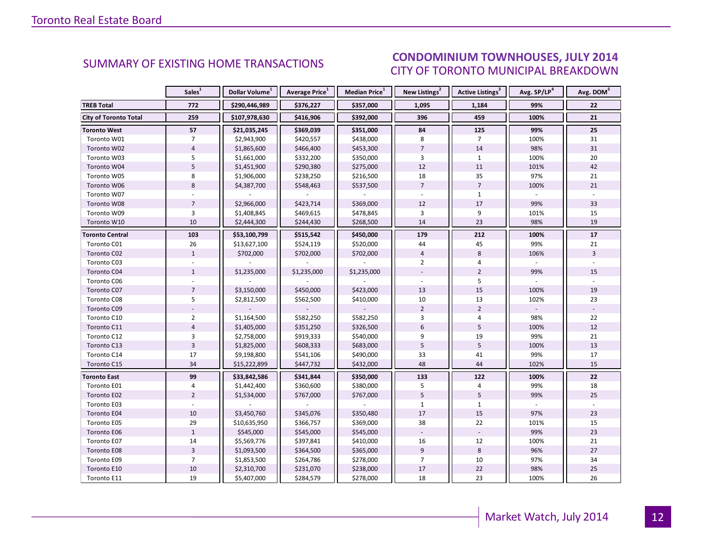#### ICEC IIIIV 2014 CITY OF TORONTO MUNICIPAL BREAKDOWN **SUMMARY OF EXISTING HOME TRANSACTIONS CONDOMINIUM TOWNHOUSES, JULY 2014**

<span id="page-11-0"></span>

|                              | Sales <sup>1</sup> | Dollar Volume <sup>1</sup> | Average Price <sup>1</sup> | Median Price <sup>1</sup> | New Listings <sup>2</sup> | Active Listings <sup>3</sup> | Avg. SP/LP <sup>4</sup> | Avg. DOM <sup>5</sup> |
|------------------------------|--------------------|----------------------------|----------------------------|---------------------------|---------------------------|------------------------------|-------------------------|-----------------------|
| <b>TREB Total</b>            | 772                | \$290,446,989              | \$376,227                  | \$357,000                 | 1,095                     | 1,184                        | 99%                     | 22                    |
| <b>City of Toronto Total</b> | 259                | \$107,978,630              | \$416,906                  | \$392,000                 | 396                       | 459                          | 100%                    | 21                    |
| <b>Toronto West</b>          | 57                 | \$21,035,245               | \$369,039                  | \$351,000                 | 84                        | 125                          | 99%                     | 25                    |
| Toronto W01                  | $\overline{7}$     | \$2,943,900                | \$420,557                  | \$438,000                 | 8                         | $\overline{7}$               | 100%                    | 31                    |
| Toronto W02                  | $\overline{4}$     | \$1,865,600                | \$466,400                  | \$453,300                 | $\overline{7}$            | 14                           | 98%                     | 31                    |
| Toronto W03                  | 5                  | \$1,661,000                | \$332,200                  | \$350,000                 | 3                         | $\mathbf{1}$                 | 100%                    | 20                    |
| Toronto W04                  | 5                  | \$1,451,900                | \$290,380                  | \$275,000                 | 12                        | 11                           | 101%                    | 42                    |
| Toronto W05                  | 8                  | \$1,906,000                | \$238,250                  | \$216,500                 | 18                        | 35                           | 97%                     | 21                    |
| Toronto W06                  | 8                  | \$4,387,700                | \$548,463                  | \$537,500                 | $\overline{7}$            | $\overline{7}$               | 100%                    | 21                    |
| Toronto W07                  |                    |                            |                            |                           |                           | $\mathbf{1}$                 |                         |                       |
| Toronto W08                  | $\overline{7}$     | \$2,966,000                | \$423,714                  | \$369,000                 | 12                        | 17                           | 99%                     | 33                    |
| Toronto W09                  | 3                  | \$1,408,845                | \$469,615                  | \$478,845                 | 3                         | 9                            | 101%                    | 15                    |
| Toronto W10                  | 10                 | \$2,444,300                | \$244,430                  | \$268,500                 | 14                        | 23                           | 98%                     | 19                    |
| <b>Toronto Central</b>       | 103                | \$53,100,799               | \$515,542                  | \$450,000                 | 179                       | 212                          | 100%                    | 17                    |
| Toronto C01                  | 26                 | \$13,627,100               | \$524,119                  | \$520,000                 | 44                        | 45                           | 99%                     | 21                    |
| Toronto C02                  | $\mathbf{1}$       | \$702,000                  | \$702,000                  | \$702,000                 | $\overline{4}$            | 8                            | 106%                    | $\overline{3}$        |
| Toronto C03                  |                    |                            |                            |                           | $\overline{2}$            | 4                            |                         |                       |
| Toronto C04                  | $\mathbf{1}$       | \$1,235,000                | \$1,235,000                | \$1,235,000               |                           | $\overline{2}$               | 99%                     | 15                    |
| Toronto C06                  |                    |                            |                            |                           |                           | 5                            |                         |                       |
| Toronto C07                  | $\overline{7}$     | \$3,150,000                | \$450,000                  | \$423,000                 | 13                        | 15                           | 100%                    | 19                    |
| Toronto C08                  | 5                  | \$2,812,500                | \$562,500                  | \$410,000                 | $10\,$                    | 13                           | 102%                    | 23                    |
| Toronto C09                  |                    |                            |                            |                           | $\overline{2}$            | $\overline{2}$               |                         |                       |
| Toronto C10                  | $\overline{2}$     | \$1,164,500                | \$582,250                  | \$582,250                 | $\overline{3}$            | $\overline{4}$               | 98%                     | 22                    |
| Toronto C11                  | $\overline{4}$     | \$1,405,000                | \$351,250                  | \$326,500                 | 6                         | 5                            | 100%                    | 12                    |
| Toronto C12                  | 3                  | \$2,758,000                | \$919,333                  | \$540,000                 | 9                         | 19                           | 99%                     | 21                    |
| Toronto C13                  | $\overline{3}$     | \$1,825,000                | \$608,333                  | \$683,000                 | 5                         | 5                            | 100%                    | 13                    |
| Toronto C14                  | 17                 | \$9,198,800                | \$541,106                  | \$490,000                 | 33                        | 41                           | 99%                     | 17                    |
| Toronto C15                  | 34                 | \$15,222,899               | \$447,732                  | \$432,000                 | 48                        | 44                           | 102%                    | 15                    |
| Toronto East                 | 99                 | \$33,842,586               | \$341,844                  | \$350,000                 | 133                       | 122                          | 100%                    | 22                    |
| Toronto E01                  | $\overline{4}$     | \$1,442,400                | \$360,600                  | \$380,000                 | 5                         | $\overline{4}$               | 99%                     | 18                    |
| Toronto E02                  | $\overline{2}$     | \$1,534,000                | \$767,000                  | \$767,000                 | 5                         | 5                            | 99%                     | 25                    |
| Toronto E03                  |                    |                            |                            |                           | $\mathbf{1}$              | $\mathbf{1}$                 |                         |                       |
| Toronto E04                  | 10                 | \$3,450,760                | \$345,076                  | \$350,480                 | 17                        | 15                           | 97%                     | 23                    |
| Toronto E05                  | 29                 | \$10,635,950               | \$366,757                  | \$369,000                 | 38                        | 22                           | 101%                    | 15                    |
| Toronto E06                  | $1\,$              | \$545,000                  | \$545,000                  | \$545,000                 |                           |                              | 99%                     | 23                    |
| Toronto E07                  | 14                 | \$5,569,776                | \$397,841                  | \$410,000                 | 16                        | 12                           | 100%                    | 21                    |
| Toronto E08                  | $\overline{3}$     | \$1,093,500                | \$364,500                  | \$365,000                 | 9                         | 8                            | 96%                     | 27                    |
| Toronto E09                  | $\overline{7}$     | \$1,853,500                | \$264,786                  | \$278,000                 | $\overline{7}$            | 10                           | 97%                     | 34                    |
| Toronto E10                  | 10                 | \$2,310,700                | \$231,070                  | \$238,000                 | 17                        | 22                           | 98%                     | 25                    |
| Toronto E11                  | 19                 | \$5,407,000                | \$284,579                  | \$278,000                 | 18                        | 23                           | 100%                    | 26                    |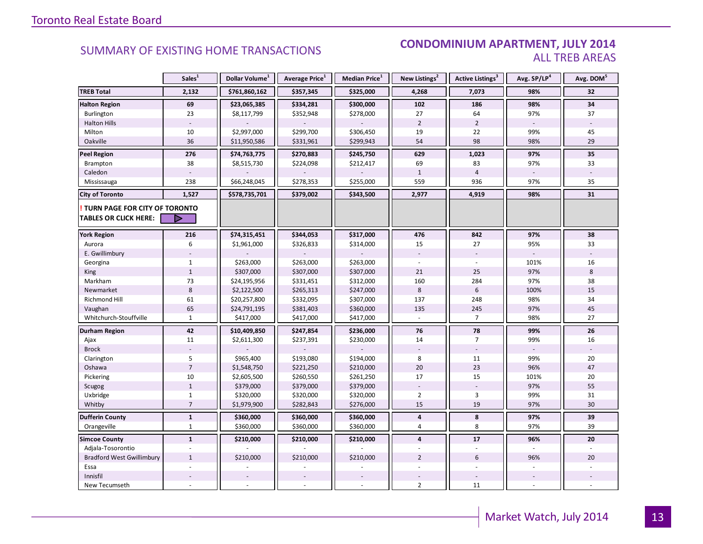#### **Industrial Leasing SUMMARY OF EXISTING HOME TRANSACTIONS CONDOMINIUM APARTMENT, JULY 2014** ALL TREB AREAS

|                                      | Sales <sup>1</sup> | Dollar Volume <sup>1</sup> | Average Price <sup>1</sup> | Median Price <sup>1</sup> | New Listings <sup>2</sup> | Active Listings <sup>3</sup> | Avg. SP/LP <sup>4</sup> | Avg. DOM <sup>5</sup> |
|--------------------------------------|--------------------|----------------------------|----------------------------|---------------------------|---------------------------|------------------------------|-------------------------|-----------------------|
| <b>TREB Total</b>                    | 2,132              | \$761,860,162              | \$357,345                  | \$325,000                 | 4,268                     | 7,073                        | 98%                     | 32                    |
| <b>Halton Region</b>                 | 69                 | \$23,065,385               | \$334,281                  | \$300,000                 | 102                       | 186                          | 98%                     | 34                    |
| Burlington                           | 23                 | \$8,117,799                | \$352,948                  | \$278,000                 | 27                        | 64                           | 97%                     | 37                    |
| <b>Halton Hills</b>                  |                    |                            |                            |                           | $\overline{2}$            | $\overline{2}$               |                         |                       |
| Milton                               | 10                 | \$2,997,000                | \$299,700                  | \$306,450                 | 19                        | 22                           | 99%                     | 45                    |
| Oakville                             | 36                 | \$11,950,586               | \$331,961                  | \$299,943                 | 54                        | 98                           | 98%                     | 29                    |
| <b>Peel Region</b>                   | 276                | \$74,763,775               | \$270,883                  | \$245,750                 | 629                       | 1,023                        | 97%                     | 35                    |
| Brampton                             | 38                 | \$8,515,730                | \$224,098                  | \$212,417                 | 69                        | 83                           | 97%                     | 33                    |
| Caledon                              |                    |                            |                            |                           | $\mathbf{1}$              | $\overline{4}$               |                         |                       |
| Mississauga                          | 238                | \$66,248,045               | \$278,353                  | \$255,000                 | 559                       | 936                          | 97%                     | 35                    |
| <b>City of Toronto</b>               | 1,527              | \$578,735,701              | \$379,002                  | \$343,500                 | 2,977                     | 4,919                        | 98%                     | 31                    |
| <b>TURN PAGE FOR CITY OF TORONTO</b> |                    |                            |                            |                           |                           |                              |                         |                       |
| <b>TABLES OR CLICK HERE:</b>         |                    |                            |                            |                           |                           |                              |                         |                       |
| <b>York Region</b>                   | 216                | \$74,315,451               | \$344,053                  | \$317,000                 | 476                       | 842                          | 97%                     | 38                    |
| Aurora                               | 6                  | \$1,961,000                | \$326,833                  | \$314,000                 | 15                        | 27                           | 95%                     | 33                    |
| E. Gwillimbury                       |                    |                            |                            |                           |                           | $\overline{\phantom{a}}$     |                         |                       |
| Georgina                             | $\mathbf{1}$       | \$263,000                  | \$263,000                  | \$263,000                 |                           |                              | 101%                    | 16                    |
| King                                 | $\mathbf{1}$       | \$307,000                  | \$307,000                  | \$307,000                 | 21                        | 25                           | 97%                     | 8                     |
| Markham                              | 73                 | \$24,195,956               | \$331,451                  | \$312,000                 | 160                       | 284                          | 97%                     | 38                    |
| Newmarket                            | $\,8\,$            | \$2,122,500                | \$265,313                  | \$247,000                 | 8                         | $6\phantom{1}$               | 100%                    | 15                    |
| Richmond Hill                        | 61                 | \$20,257,800               | \$332,095                  | \$307,000                 | 137                       | 248                          | 98%                     | 34                    |
| Vaughan                              | 65                 | \$24,791,195               | \$381,403                  | \$360,000                 | 135                       | 245                          | 97%                     | 45                    |
| Whitchurch-Stouffville               | $\mathbf{1}$       | \$417,000                  | \$417,000                  | \$417,000                 | $\overline{a}$            | $\overline{7}$               | 98%                     | 27                    |
| <b>Durham Region</b>                 | 42                 | \$10,409,850               | \$247,854                  | \$236,000                 | 76                        | 78                           | 99%                     | 26                    |
| Ajax                                 | 11                 | \$2,611,300                | \$237,391                  | \$230,000                 | 14                        | $\overline{7}$               | 99%                     | 16                    |
| <b>Brock</b>                         |                    |                            |                            |                           | $\sim$                    |                              | $\sim$                  |                       |
| Clarington                           | 5                  | \$965,400                  | \$193,080                  | \$194,000                 | 8                         | 11                           | 99%                     | 20                    |
| Oshawa                               | $\overline{7}$     | \$1,548,750                | \$221,250                  | \$210,000                 | 20                        | 23                           | 96%                     | 47                    |
| Pickering                            | 10                 | \$2,605,500                | \$260,550                  | \$261,250                 | 17                        | 15                           | 101%                    | 20                    |
| Scugog                               | $1\,$              | \$379,000                  | \$379,000                  | \$379,000                 |                           |                              | 97%                     | 55                    |
| Uxbridge                             | $\mathbf{1}$       | \$320,000                  | \$320,000                  | \$320,000                 | $\overline{2}$            | 3                            | 99%                     | 31                    |
| Whitby                               | $\overline{7}$     | \$1,979,900                | \$282,843                  | \$276,000                 | 15                        | 19                           | 97%                     | 30                    |
| <b>Dufferin County</b>               | $\mathbf{1}$       | \$360,000                  | \$360,000                  | \$360,000                 | 4                         | 8                            | 97%                     | 39                    |
| Orangeville                          | $\mathbf{1}$       | \$360,000                  | \$360,000                  | \$360,000                 | 4                         | 8                            | 97%                     | 39                    |
| <b>Simcoe County</b>                 | $\mathbf{1}$       | \$210,000                  | \$210,000                  | \$210,000                 | $\overline{\mathbf{4}}$   | 17                           | 96%                     | 20                    |
| Adjala-Tosorontio                    |                    |                            |                            |                           |                           | ÷.                           |                         |                       |
| <b>Bradford West Gwillimbury</b>     | $\mathbf{1}$       | \$210,000                  | \$210,000                  | \$210,000                 | $\overline{2}$            | 6                            | 96%                     | 20                    |
| Essa                                 |                    |                            |                            |                           |                           |                              |                         |                       |
| Innisfil                             |                    |                            |                            |                           |                           |                              |                         |                       |
| New Tecumseth                        |                    |                            |                            |                           | $\overline{2}$            | 11                           |                         |                       |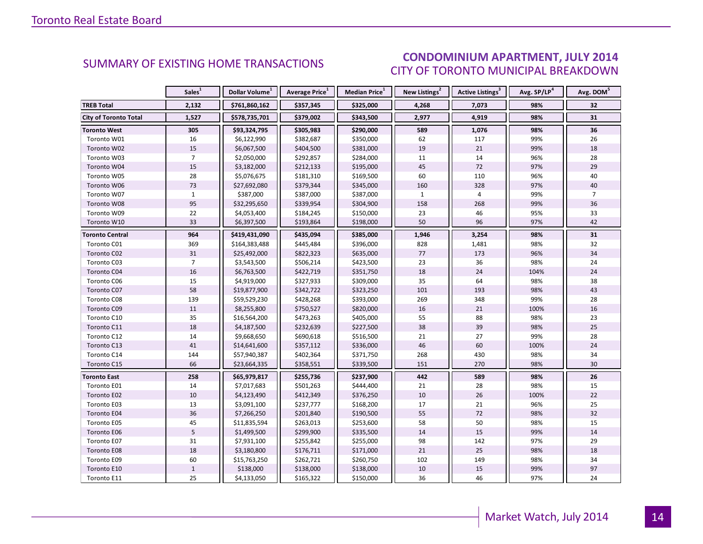### CONDOMINIUM APARTMENT, JULY 2014 CITY OF TORONTO MUNICIPAL BREAKDOWN

<span id="page-13-0"></span>

|                              | Sales <sup>1</sup> | Dollar Volume <sup>1</sup> | Average Price <sup>1</sup> | Median Price <sup>1</sup> | New Listings <sup>2</sup> | <b>Active Listings<sup>3</sup></b> | Avg. SP/LP <sup>4</sup> | Avg. DOM <sup>5</sup> |
|------------------------------|--------------------|----------------------------|----------------------------|---------------------------|---------------------------|------------------------------------|-------------------------|-----------------------|
| <b>TREB Total</b>            | 2,132              | \$761,860,162              | \$357,345                  | \$325,000                 | 4,268                     | 7,073                              | 98%                     | 32                    |
| <b>City of Toronto Total</b> | 1,527              | \$578,735,701              | \$379,002                  | \$343,500                 | 2,977                     | 4,919                              | 98%                     | 31                    |
| <b>Toronto West</b>          | 305                | \$93,324,795               | \$305,983                  | \$290,000                 | 589                       | 1,076                              | 98%                     | 36                    |
| Toronto W01                  | 16                 | \$6,122,990                | \$382,687                  | \$350,000                 | 62                        | 117                                | 99%                     | 26                    |
| Toronto W02                  | 15                 | \$6,067,500                | \$404,500                  | \$381,000                 | 19                        | 21                                 | 99%                     | 18                    |
| Toronto W03                  | $\overline{7}$     | \$2,050,000                | \$292,857                  | \$284,000                 | 11                        | 14                                 | 96%                     | 28                    |
| Toronto W04                  | 15                 | \$3,182,000                | \$212,133                  | \$195,000                 | 45                        | 72                                 | 97%                     | 29                    |
| Toronto W05                  | 28                 | \$5,076,675                | \$181,310                  | \$169,500                 | 60                        | 110                                | 96%                     | 40                    |
| Toronto W06                  | 73                 | \$27,692,080               | \$379,344                  | \$345,000                 | 160                       | 328                                | 97%                     | 40                    |
| Toronto W07                  | $\mathbf{1}$       | \$387,000                  | \$387,000                  | \$387,000                 | 1                         | $\overline{4}$                     | 99%                     | $\overline{7}$        |
| Toronto W08                  | 95                 | \$32,295,650               | \$339,954                  | \$304,900                 | 158                       | 268                                | 99%                     | 36                    |
| Toronto W09                  | 22                 | \$4,053,400                | \$184,245                  | \$150,000                 | 23                        | 46                                 | 95%                     | 33                    |
| Toronto W10                  | 33                 | \$6,397,500                | \$193,864                  | \$198,000                 | 50                        | 96                                 | 97%                     | 42                    |
| <b>Toronto Central</b>       | 964                | \$419,431,090              | \$435,094                  | \$385,000                 | 1,946                     | 3,254                              | 98%                     | 31                    |
| Toronto C01                  | 369                | \$164,383,488              | \$445,484                  | \$396,000                 | 828                       | 1,481                              | 98%                     | 32                    |
| Toronto C02                  | 31                 | \$25,492,000               | \$822,323                  | \$635,000                 | 77                        | 173                                | 96%                     | 34                    |
| Toronto C03                  | $\overline{7}$     | \$3,543,500                | \$506,214                  | \$423,500                 | 23                        | 36                                 | 98%                     | 24                    |
| Toronto C04                  | 16                 | \$6,763,500                | \$422,719                  | \$351,750                 | 18                        | 24                                 | 104%                    | 24                    |
| Toronto C06                  | 15                 | \$4,919,000                | \$327,933                  | \$309,000                 | 35                        | 64                                 | 98%                     | 38                    |
| Toronto C07                  | 58                 | \$19,877,900               | \$342,722                  | \$323,250                 | 101                       | 193                                | 98%                     | 43                    |
| Toronto C08                  | 139                | \$59,529,230               | \$428,268                  | \$393,000                 | 269                       | 348                                | 99%                     | 28                    |
| Toronto C09                  | 11                 | \$8,255,800                | \$750,527                  | \$820,000                 | 16                        | 21                                 | 100%                    | 16                    |
| Toronto C10                  | 35                 | \$16,564,200               | \$473,263                  | \$405,000                 | 55                        | 88                                 | 98%                     | 23                    |
| Toronto C11                  | 18                 | \$4,187,500                | \$232,639                  | \$227,500                 | 38                        | 39                                 | 98%                     | 25                    |
| Toronto C12                  | 14                 | \$9,668,650                | \$690,618                  | \$516,500                 | 21                        | 27                                 | 99%                     | 28                    |
| Toronto C13                  | 41                 | \$14,641,600               | \$357,112                  | \$336,000                 | 46                        | 60                                 | 100%                    | 24                    |
| Toronto C14                  | 144                | \$57,940,387               | \$402,364                  | \$371,750                 | 268                       | 430                                | 98%                     | 34                    |
| Toronto C15                  | 66                 | \$23,664,335               | \$358,551                  | \$339,500                 | 151                       | 270                                | 98%                     | 30                    |
| <b>Toronto East</b>          | 258                | \$65,979,817               | \$255,736                  | \$237,900                 | 442                       | 589                                | 98%                     | 26                    |
| Toronto E01                  | 14                 | \$7,017,683                | \$501,263                  | \$444,400                 | 21                        | 28                                 | 98%                     | 15                    |
| Toronto E02                  | 10                 | \$4,123,490                | \$412,349                  | \$376,250                 | 10                        | 26                                 | 100%                    | 22                    |
| Toronto E03                  | 13                 | \$3,091,100                | \$237,777                  | \$168,200                 | 17                        | 21                                 | 96%                     | 25                    |
| Toronto E04                  | 36                 | \$7,266,250                | \$201,840                  | \$190,500                 | 55                        | 72                                 | 98%                     | 32                    |
| Toronto E05                  | 45                 | \$11,835,594               | \$263,013                  | \$253,600                 | 58                        | 50                                 | 98%                     | 15                    |
| Toronto E06                  | 5                  | \$1,499,500                | \$299,900                  | \$335,500                 | 14                        | 15                                 | 99%                     | 14                    |
| Toronto E07                  | 31                 | \$7,931,100                | \$255,842                  | \$255,000                 | 98                        | 142                                | 97%                     | 29                    |
| Toronto E08                  | 18                 | \$3,180,800                | \$176,711                  | \$171,000                 | 21                        | 25                                 | 98%                     | 18                    |
| Toronto E09                  | 60                 | \$15,763,250               | \$262,721                  | \$260,750                 | 102                       | 149                                | 98%                     | 34                    |
| Toronto E10                  | $\,1\,$            | \$138,000                  | \$138,000                  | \$138,000                 | 10                        | 15                                 | 99%                     | 97                    |
| Toronto E11                  | 25                 | \$4,133,050                | \$165,322                  | \$150,000                 | 36                        | 46                                 | 97%                     | 24                    |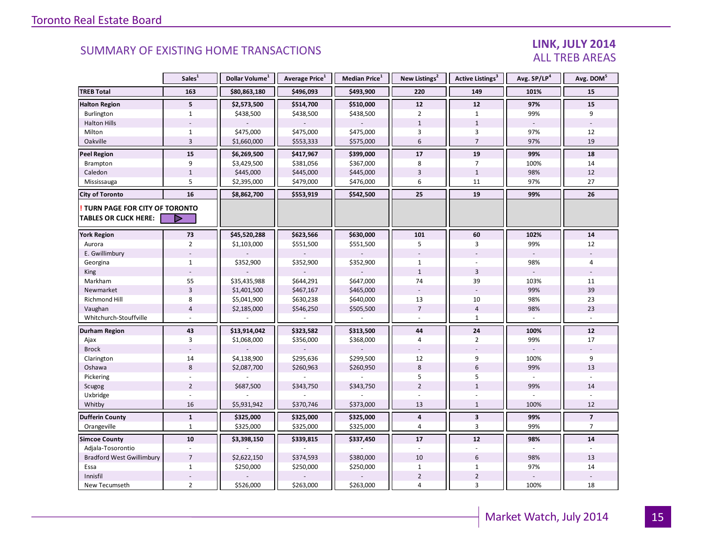#### LINK, JULY 2014 ALL TREB AREAS

|                                                               | Sales <sup>1</sup>      | Dollar Volume <sup>1</sup> | Average Price <sup>1</sup> | <b>Median Price</b> $1$ | New Listings <sup>2</sup> | <b>Active Listings<sup>3</sup></b> | Avg. SP/LP <sup>4</sup> | Avg. DOM <sup>5</sup>    |
|---------------------------------------------------------------|-------------------------|----------------------------|----------------------------|-------------------------|---------------------------|------------------------------------|-------------------------|--------------------------|
| <b>TREB Total</b>                                             | 163                     | \$80,863,180               | \$496,093                  | \$493,900               | 220                       | 149                                | 101%                    | 15                       |
| <b>Halton Region</b>                                          | 5 <sup>1</sup>          | \$2,573,500                | \$514,700                  | \$510,000               | 12                        | 12                                 | 97%                     | 15                       |
| Burlington                                                    | $\mathbf{1}$            | \$438,500                  | \$438,500                  | \$438,500               | $\overline{2}$            | $\mathbf{1}$                       | 99%                     | 9                        |
| <b>Halton Hills</b>                                           |                         |                            |                            |                         | $1\,$                     | $\mathbf 1$                        |                         |                          |
| Milton                                                        | $\mathbf{1}$            | \$475,000                  | \$475,000                  | \$475,000               | $\overline{3}$            | 3                                  | 97%                     | 12                       |
| Oakville                                                      | $\overline{3}$          | \$1,660,000                | \$553,333                  | \$575,000               | 6                         | $\overline{7}$                     | 97%                     | 19                       |
| Peel Region                                                   | 15                      | \$6,269,500                | \$417,967                  | \$399,000               | 17                        | 19                                 | 99%                     | 18                       |
| Brampton                                                      | 9                       | \$3,429,500                | \$381,056                  | \$367,000               | 8                         | 7                                  | 100%                    | 14                       |
| Caledon                                                       | $\mathbf{1}$            | \$445,000                  | \$445,000                  | \$445,000               | $\overline{3}$            | $\mathbf{1}$                       | 98%                     | 12                       |
| Mississauga                                                   | 5                       | \$2,395,000                | \$479,000                  | \$476,000               | 6                         | 11                                 | 97%                     | 27                       |
| <b>City of Toronto</b>                                        | 16                      | \$8,862,700                | \$553,919                  | \$542,500               | 25                        | 19                                 | 99%                     | 26                       |
| TURN PAGE FOR CITY OF TORONTO<br><b>TABLES OR CLICK HERE:</b> | ▷                       |                            |                            |                         |                           |                                    |                         |                          |
| <b>York Region</b>                                            | 73                      | \$45,520,288               | \$623,566                  | \$630,000               | 101                       | 60                                 | 102%                    | 14                       |
| Aurora                                                        | $\overline{2}$          | \$1,103,000                | \$551,500                  | \$551,500               | 5                         | 3                                  | 99%                     | 12                       |
| E. Gwillimbury                                                |                         |                            |                            |                         |                           |                                    |                         |                          |
| Georgina                                                      | $\mathbf{1}$            | \$352,900                  | \$352,900                  | \$352,900               | $\mathbf{1}$              |                                    | 98%                     | 4                        |
| <b>King</b>                                                   |                         |                            |                            |                         | $\mathbf{1}$              | $\overline{3}$                     |                         |                          |
| Markham                                                       | 55                      | \$35,435,988               | \$644,291                  | \$647,000               | 74                        | 39                                 | 103%                    | 11                       |
| Newmarket                                                     | $\overline{\mathbf{3}}$ | \$1,401,500                | \$467,167                  | \$465,000               |                           |                                    | 99%                     | 39                       |
| Richmond Hill                                                 | 8                       | \$5,041,900                | \$630,238                  | \$640,000               | 13                        | 10                                 | 98%                     | 23                       |
| Vaughan                                                       | $\overline{4}$          | \$2,185,000                | \$546,250                  | \$505,500               | $\overline{7}$            | $\overline{4}$                     | 98%                     | 23                       |
| Whitchurch-Stouffville                                        |                         |                            |                            |                         |                           | $\mathbf{1}$                       |                         |                          |
| Durham Region                                                 | 43                      | \$13,914,042               | \$323,582                  | \$313,500               | 44                        | 24                                 | 100%                    | 12                       |
| Ajax                                                          | 3                       | \$1,068,000                | \$356,000                  | \$368,000               | 4                         | $\overline{2}$                     | 99%                     | 17                       |
| <b>Brock</b>                                                  |                         |                            |                            |                         |                           |                                    |                         |                          |
| Clarington                                                    | 14                      | \$4,138,900                | \$295,636                  | \$299,500               | 12                        | 9                                  | 100%                    | 9                        |
| Oshawa                                                        | $8\phantom{1}$          | \$2,087,700                | \$260,963                  | \$260,950               | 8                         | 6                                  | 99%                     | 13                       |
| Pickering                                                     |                         |                            |                            |                         | 5                         | 5                                  | ÷.                      |                          |
| Scugog                                                        | $\overline{2}$          | \$687,500                  | \$343,750                  | \$343,750               | $\overline{2}$            | $\mathbf{1}$                       | 99%                     | 14                       |
| Uxbridge                                                      |                         |                            |                            |                         |                           |                                    |                         |                          |
| Whitby                                                        | 16                      | \$5,931,942                | \$370,746                  | \$373,000               | 13                        | $\mathbf{1}$                       | 100%                    | 12                       |
| <b>Dufferin County</b>                                        | $\mathbf{1}$            | \$325,000                  | \$325,000                  | \$325,000               | 4                         | $\overline{\mathbf{3}}$            | 99%                     | $\overline{\phantom{a}}$ |
| Orangeville                                                   | $\mathbf{1}$            | \$325,000                  | \$325,000                  | \$325,000               | 4                         | 3                                  | 99%                     | $\overline{7}$           |
| <b>Simcoe County</b>                                          | 10                      | \$3,398,150                | \$339,815                  | \$337,450               | 17                        | ${\bf 12}$                         | 98%                     | $14$                     |
| Adjala-Tosorontio                                             |                         |                            |                            |                         |                           |                                    |                         |                          |
| <b>Bradford West Gwillimbury</b>                              | $\overline{7}$          | \$2,622,150                | \$374,593                  | \$380,000               | 10                        | 6                                  | 98%                     | 13                       |
| Essa                                                          | $\mathbf{1}$            | \$250,000                  | \$250,000                  | \$250,000               | $\mathbf{1}$              | $\mathbf{1}$                       | 97%                     | 14                       |
| Innisfil                                                      |                         |                            |                            |                         | $\overline{2}$            | $\overline{2}$                     |                         |                          |
| New Tecumseth                                                 | $\overline{2}$          | \$526,000                  | \$263,000                  | \$263,000               | 4                         | 3                                  | 100%                    | 18                       |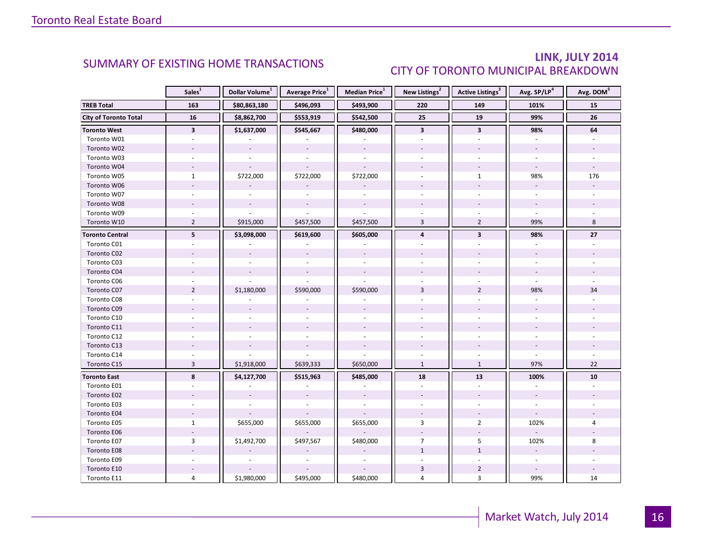### LINK, JULY 2014 CITY OF TORONTO MUNICIPAL BREAKDOWN

<span id="page-15-0"></span>

|                              | Sales <sup>1</sup>      | Dollar Volume <sup>1</sup> | Average Price <sup>1</sup> | Median Price <sup>1</sup> | New Listings <sup>2</sup> | Active Listings <sup>3</sup> | Avg. SP/LP <sup>4</sup>  | Avg. DOM <sup>5</sup> |
|------------------------------|-------------------------|----------------------------|----------------------------|---------------------------|---------------------------|------------------------------|--------------------------|-----------------------|
| <b>TREB Total</b>            | 163                     | \$80,863,180               | \$496,093                  | \$493,900                 | 220                       | 149                          | 101%                     | 15                    |
| <b>City of Toronto Total</b> | 16                      | \$8,862,700                | \$553,919                  | \$542,500                 | $\overline{25}$           | 19                           | 99%                      | 26                    |
| <b>Toronto West</b>          | $\overline{\mathbf{3}}$ | \$1,637,000                | \$545,667                  | \$480,000                 | $\overline{\mathbf{3}}$   | $\overline{\mathbf{3}}$      | 98%                      | 64                    |
| Toronto W01                  |                         |                            |                            |                           |                           |                              |                          |                       |
| Toronto W02                  |                         |                            |                            |                           |                           |                              |                          |                       |
| Toronto W03                  | $\bar{a}$               |                            | $\sim$                     | $\sim$                    |                           |                              |                          | $\sim$                |
| Toronto W04                  |                         |                            |                            |                           |                           |                              |                          |                       |
| Toronto W05                  | $\mathbf{1}$            | \$722,000                  | \$722,000                  | \$722,000                 |                           | $\mathbf{1}$                 | 98%                      | 176                   |
| Toronto W06                  |                         |                            |                            |                           |                           |                              |                          |                       |
| Toronto W07                  |                         |                            |                            |                           |                           |                              |                          |                       |
| Toronto W08                  |                         |                            | $\overline{\phantom{a}}$   |                           |                           |                              |                          |                       |
| Toronto W09                  |                         |                            |                            |                           |                           |                              |                          |                       |
| Toronto W10                  | $\overline{2}$          | \$915,000                  | \$457,500                  | \$457,500                 | $\overline{3}$            | $\overline{2}$               | 99%                      | 8                     |
| <b>Toronto Central</b>       | 5                       | \$3,098,000                | \$619,600                  | \$605,000                 | $\overline{4}$            | $\overline{\mathbf{3}}$      | 98%                      | 27                    |
| Toronto C01                  |                         |                            |                            |                           |                           |                              |                          |                       |
| Toronto C02                  |                         |                            |                            |                           |                           |                              |                          |                       |
| Toronto C03                  |                         |                            |                            |                           |                           |                              |                          |                       |
| Toronto C04                  |                         |                            |                            |                           |                           |                              |                          |                       |
| Toronto C06                  |                         |                            |                            |                           |                           |                              |                          |                       |
| Toronto C07                  | $\overline{2}$          | \$1,180,000                | \$590,000                  | \$590,000                 | $\overline{3}$            | $\overline{2}$               | 98%                      | 34                    |
| Toronto C08                  |                         |                            |                            |                           |                           |                              |                          |                       |
| Toronto C09                  |                         |                            |                            |                           |                           |                              |                          |                       |
| Toronto C10                  |                         |                            |                            |                           |                           |                              |                          |                       |
| Toronto C11                  |                         |                            |                            |                           |                           |                              |                          |                       |
| Toronto C12                  |                         |                            |                            |                           |                           |                              |                          |                       |
| Toronto C13                  |                         |                            |                            |                           |                           |                              |                          |                       |
| Toronto C14                  |                         |                            |                            |                           | ÷.                        | $\mathbf{r}$                 | $\mathbf{r}$             |                       |
| Toronto C15                  | $\overline{3}$          | \$1,918,000                | \$639,333                  | \$650,000                 | $\mathbf{1}$              | $\mathbf{1}$                 | 97%                      | 22                    |
| <b>Toronto East</b>          | 8                       | \$4,127,700                | \$515,963                  | \$485,000                 | 18                        | 13                           | 100%                     | 10                    |
| Toronto E01                  |                         |                            |                            |                           | ä,                        | $\overline{a}$               | ä,                       |                       |
| Toronto E02                  |                         |                            |                            |                           |                           |                              |                          |                       |
| Toronto E03                  |                         |                            |                            |                           |                           |                              |                          |                       |
| Toronto E04                  |                         |                            |                            |                           |                           |                              | $\overline{\phantom{a}}$ |                       |
| Toronto E05                  | $\mathbf{1}$            | \$655,000                  | \$655,000                  | \$655,000                 | 3                         | $\overline{2}$               | 102%                     | 4                     |
| Toronto E06                  |                         |                            |                            |                           |                           |                              |                          |                       |
| Toronto E07                  | 3                       | \$1,492,700                | \$497,567                  | \$480,000                 | $\overline{7}$            | 5                            | 102%                     | 8                     |
| Toronto E08                  |                         |                            |                            |                           | $\mathbf{1}$              | $\mathbf{1}$                 |                          |                       |
| Toronto E09                  |                         |                            |                            |                           |                           |                              |                          |                       |
| Toronto E10                  |                         |                            |                            |                           | 3                         | $\overline{2}$               |                          |                       |
| Toronto E11                  | 4                       | \$1,980,000                | \$495,000                  | \$480,000                 | 4                         | $\overline{3}$               | 99%                      | 14                    |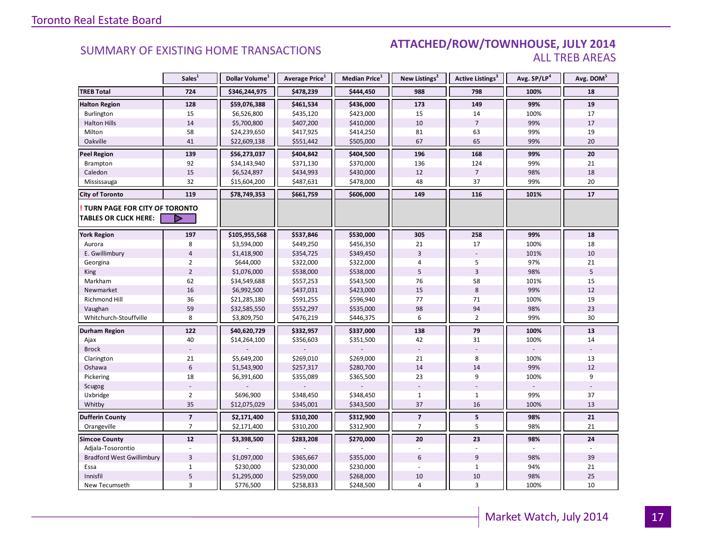#### **Industrial Leasing SUMMARY OF EXISTING HOME TRANSACTIONS ATTACHED/ROW/TOWNHOUSE, JULY 2014** ALL TREB AREAS

|                                                               | Sales <sup>1</sup>       | Dollar Volume <sup>1</sup> | Average Price <sup>1</sup> | Median Price <sup>1</sup> | New Listings <sup>2</sup> | Active Listings <sup>3</sup> | Avg. SP/LP <sup>4</sup> | Avg. DOM <sup>5</sup> |
|---------------------------------------------------------------|--------------------------|----------------------------|----------------------------|---------------------------|---------------------------|------------------------------|-------------------------|-----------------------|
| <b>TREB Total</b>                                             | 724                      | \$346,244,975              | \$478,239                  | \$444,450                 | 988                       | 798                          | 100%                    | 18                    |
| <b>Halton Region</b>                                          | 128                      | \$59,076,388               | \$461,534                  | \$436,000                 | 173                       | 149                          | 99%                     | 19                    |
| Burlington                                                    | 15                       | \$6,526,800                | \$435,120                  | \$423,000                 | 15                        | 14                           | 100%                    | 17                    |
| <b>Halton Hills</b>                                           | 14                       | \$5,700,800                | \$407,200                  | \$410,000                 | 10                        | $\overline{7}$               | 99%                     | 17                    |
| Milton                                                        | 58                       | \$24,239,650               | \$417,925                  | \$414,250                 | 81                        | 63                           | 99%                     | 19                    |
| Oakville                                                      | 41                       | \$22,609,138               | \$551,442                  | \$505,000                 | 67                        | 65                           | 99%                     | 20                    |
| <b>Peel Region</b>                                            | 139                      | \$56,273,037               | \$404,842                  | \$404,500                 | 196                       | 168                          | 99%                     | 20                    |
| Brampton                                                      | 92                       | \$34,143,940               | \$371,130                  | \$370,000                 | 136                       | 124                          | 99%                     | 21                    |
| Caledon                                                       | 15                       | \$6,524,897                | \$434,993                  | \$430,000                 | 12                        | $\overline{7}$               | 98%                     | 18                    |
| Mississauga                                                   | 32                       | \$15,604,200               | \$487,631                  | \$478,000                 | 48                        | 37                           | 99%                     | 20                    |
| <b>City of Toronto</b>                                        | 119                      | \$78,749,353               | \$661,759                  | \$606,000                 | 149                       | 116                          | 101%                    | 17                    |
| TURN PAGE FOR CITY OF TORONTO<br><b>TABLES OR CLICK HERE:</b> | ▷                        |                            |                            |                           |                           |                              |                         |                       |
| <b>York Region</b>                                            | 197                      | \$105,955,568              | \$537,846                  | \$530,000                 | 305                       | 258                          | 99%                     | 18                    |
| Aurora                                                        | 8                        | \$3,594,000                | \$449,250                  | \$456,350                 | 21                        | 17                           | 100%                    | 18                    |
| E. Gwillimbury                                                | $\overline{4}$           | \$1,418,900                | \$354,725                  | \$349,450                 | $\overline{3}$            |                              | 101%                    | 10                    |
| Georgina                                                      | $\overline{2}$           | \$644,000                  | \$322,000                  | \$322,000                 | 4                         | 5                            | 97%                     | 21                    |
| King                                                          | $\overline{2}$           | \$1,076,000                | \$538,000                  | \$538,000                 | 5                         | $\overline{3}$               | 98%                     | 5                     |
| Markham                                                       | 62                       | \$34,549,688               | \$557,253                  | \$543,500                 | 76                        | 58                           | 101%                    | 15                    |
| Newmarket                                                     | 16                       | \$6,992,500                | \$437,031                  | \$423,000                 | 15                        | 8                            | 99%                     | 12                    |
| Richmond Hill                                                 | 36                       | \$21,285,180               | \$591,255                  | \$596,940                 | 77                        | 71                           | 100%                    | 19                    |
|                                                               | 59                       | \$32,585,550               | \$552,297                  | \$535,000                 | 98                        | 94                           | 98%                     | 23                    |
| Vaughan<br>Whitchurch-Stouffville                             | 8                        | \$3,809,750                | \$476,219                  | \$446,375                 | 6                         | $\overline{2}$               | 99%                     | 30                    |
| Durham Region                                                 | 122                      | \$40,620,729               | \$332,957                  | \$337,000                 | 138                       | 79                           | 100%                    | 13                    |
| Ajax                                                          | 40                       | \$14,264,100               | \$356,603                  | \$351,500                 | 42                        | 31                           | 100%                    | 14                    |
| <b>Brock</b>                                                  |                          |                            |                            |                           |                           |                              |                         |                       |
| Clarington                                                    | 21                       | \$5,649,200                | \$269,010                  | \$269,000                 | 21                        | 8                            | 100%                    | 13                    |
| Oshawa                                                        | $6\phantom{1}$           | \$1,543,900                | \$257,317                  | \$280,700                 | 14                        | 14                           | 99%                     | 12                    |
| Pickering                                                     | 18                       | \$6,391,600                | \$355,089                  | \$365,500                 | 23                        | 9                            | 100%                    | 9                     |
| Scugog                                                        |                          |                            |                            |                           |                           |                              |                         |                       |
| Uxbridge                                                      | $\overline{2}$           | \$696,900                  | \$348,450                  | \$348,450                 | $\mathbf{1}$              | $\mathbf{1}$                 | 99%                     | 37                    |
| Whitby                                                        | 35                       | \$12,075,029               | \$345,001                  | \$343,500                 | 37                        | 16                           | 100%                    | 13                    |
| <b>Dufferin County</b>                                        | $\overline{\phantom{a}}$ | \$2,171,400                | \$310,200                  | \$312,900                 | $\overline{\mathbf{z}}$   | 5                            | 98%                     | 21                    |
| Orangeville                                                   | $\overline{7}$           | \$2,171,400                | \$310,200                  | \$312,900                 | $\overline{7}$            | 5                            | 98%                     | 21                    |
| <b>Simcoe County</b>                                          | $12$                     | \$3,398,500                | \$283,208                  | \$270,000                 | 20                        | 23                           | 98%                     | 24                    |
| Adjala-Tosorontio                                             |                          |                            |                            |                           |                           |                              |                         |                       |
| <b>Bradford West Gwillimbury</b>                              | $\overline{3}$           | \$1,097,000                | \$365,667                  | \$355,000                 | 6                         | 9                            | 98%                     | 39                    |
| Essa                                                          | $\mathbf{1}$             | \$230,000                  | \$230,000                  | \$230,000                 |                           | $\mathbf{1}$                 | 94%                     | 21                    |
| Innisfil                                                      | $\overline{5}$           | \$1,295,000                | \$259,000                  | \$268,000                 | 10                        | $10\,$                       | 98%                     | 25                    |
| New Tecumseth                                                 | 3                        | \$776,500                  | \$258,833                  | \$248,500                 | 4                         | $\overline{3}$               | 100%                    | 10                    |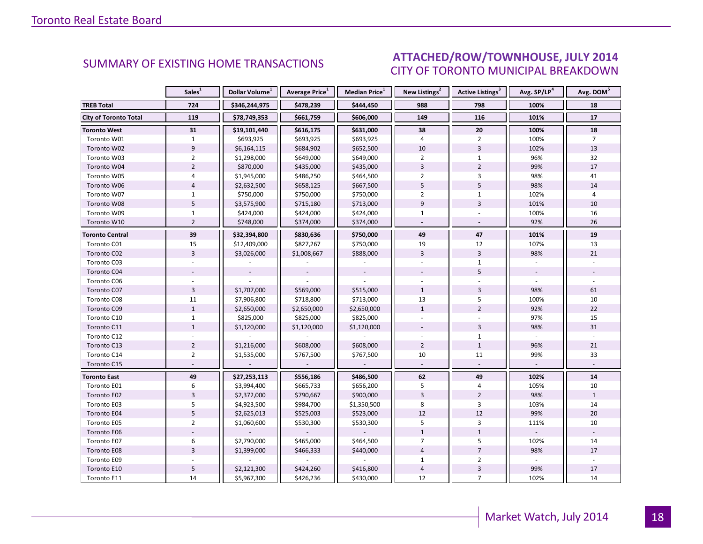#### INGU INDUSTRIAL LEASE AND LOT OF THE USE OF THE USE OF THE USE OF THE USE OF THE USE OF THE USE OF THE USE OF T<br>Industrial Lease of The USE of The USE of The USE OF The USE of The USE of The USE of The USE of The USE of Th CITY OF TORONTO MUNICIPAL BREAKDOWN SUMMARY OF EXISTING HOME TRANSACTIONS **ATTACHED/ROW/TOWNHOUSE, JULY 2014**

<span id="page-17-0"></span>

|                              | Sales <sup>1</sup> | Dollar Volume <sup>1</sup> | Average Price <sup>1</sup> | Median Price <sup>1</sup> | New Listings <sup>2</sup> | Active Listings <sup>3</sup> | Avg. SP/LP <sup>4</sup> | Avg. DOM <sup>5</sup> |
|------------------------------|--------------------|----------------------------|----------------------------|---------------------------|---------------------------|------------------------------|-------------------------|-----------------------|
| <b>TREB Total</b>            | 724                | \$346,244,975              | \$478,239                  | \$444,450                 | 988                       | 798                          | 100%                    | 18                    |
| <b>City of Toronto Total</b> | 119                | \$78,749,353               | \$661,759                  | \$606,000                 | 149                       | 116                          | 101%                    | 17                    |
| <b>Toronto West</b>          | 31                 | \$19,101,440               | \$616,175                  | \$631,000                 | 38                        | 20                           | 100%                    | 18                    |
| Toronto W01                  | $\mathbf{1}$       | \$693,925                  | \$693,925                  | \$693,925                 | $\overline{4}$            | $\overline{2}$               | 100%                    | $\overline{7}$        |
| Toronto W02                  | $\overline{9}$     | \$6,164,115                | \$684,902                  | \$652,500                 | 10                        | $\overline{3}$               | 102%                    | 13                    |
| Toronto W03                  | $\overline{2}$     | \$1,298,000                | \$649,000                  | \$649,000                 | $\overline{2}$            | $\mathbf{1}$                 | 96%                     | 32                    |
| Toronto W04                  | $\overline{2}$     | \$870,000                  | \$435,000                  | \$435,000                 | $\overline{3}$            | $\overline{2}$               | 99%                     | 17                    |
| Toronto W05                  | 4                  | \$1,945,000                | \$486,250                  | \$464,500                 | $\overline{2}$            | $\overline{3}$               | 98%                     | 41                    |
| Toronto W06                  | $\overline{4}$     | \$2,632,500                | \$658,125                  | \$667,500                 | 5                         | 5                            | 98%                     | 14                    |
| Toronto W07                  | $\mathbf{1}$       | \$750,000                  | \$750,000                  | \$750,000                 | $\overline{2}$            | $\mathbf{1}$                 | 102%                    | 4                     |
| Toronto W08                  | 5                  | \$3,575,900                | \$715,180                  | \$713,000                 | $\overline{9}$            | $\overline{3}$               | 101%                    | 10                    |
| Toronto W09                  | $\mathbf{1}$       | \$424,000                  | \$424,000                  | \$424,000                 | $\mathbf{1}$              |                              | 100%                    | 16                    |
| Toronto W10                  | $\overline{2}$     | \$748,000                  | \$374,000                  | \$374,000                 | $\sim$                    | $\sim$                       | 92%                     | 26                    |
| <b>Toronto Central</b>       | 39                 | \$32,394,800               | \$830,636                  | \$750,000                 | 49                        | 47                           | 101%                    | 19                    |
| Toronto C01                  | 15                 | \$12,409,000               | \$827,267                  | \$750,000                 | 19                        | 12                           | 107%                    | 13                    |
| Toronto C02                  | $\overline{3}$     | \$3,026,000                | \$1,008,667                | \$888,000                 | $\overline{3}$            | $\overline{3}$               | 98%                     | 21                    |
| Toronto C03                  |                    |                            |                            |                           |                           | $\mathbf{1}$                 |                         |                       |
| Toronto C04                  |                    |                            |                            |                           |                           | 5                            |                         |                       |
| Toronto C06                  |                    |                            |                            |                           |                           |                              |                         |                       |
| Toronto C07                  | $\overline{3}$     | \$1,707,000                | \$569,000                  | \$515,000                 | $\mathbf{1}$              | $\overline{3}$               | 98%                     | 61                    |
| Toronto C08                  | 11                 | \$7,906,800                | \$718,800                  | \$713,000                 | 13                        | 5                            | 100%                    | 10                    |
| Toronto C09                  | $\mathbf{1}$       | \$2,650,000                | \$2,650,000                | \$2,650,000               | $\mathbf{1}$              | $\overline{2}$               | 92%                     | 22                    |
| Toronto C10                  | $\mathbf{1}$       | \$825,000                  | \$825,000                  | \$825,000                 |                           |                              | 97%                     | 15                    |
| Toronto C11                  | $\mathbf{1}$       | \$1,120,000                | \$1,120,000                | \$1,120,000               |                           | $\overline{3}$               | 98%                     | 31                    |
| Toronto C12                  |                    |                            |                            |                           |                           | $\mathbf{1}$                 |                         |                       |
| Toronto C13                  | $\overline{2}$     | \$1,216,000                | \$608,000                  | \$608,000                 | $\overline{2}$            | $\mathbf{1}$                 | 96%                     | 21                    |
| Toronto C14                  | $\overline{2}$     | \$1,535,000                | \$767,500                  | \$767,500                 | 10                        | 11                           | 99%                     | 33                    |
| Toronto C15                  |                    |                            |                            |                           | $\equiv$                  |                              |                         |                       |
| <b>Toronto East</b>          | 49                 | \$27,253,113               | \$556,186                  | \$486,500                 | 62                        | 49                           | 102%                    | 14                    |
| Toronto E01                  | 6                  | \$3,994,400                | \$665,733                  | \$656,200                 | 5                         | 4                            | 105%                    | 10                    |
| Toronto E02                  | $\overline{3}$     | \$2,372,000                | \$790,667                  | \$900,000                 | 3                         | $\overline{2}$               | 98%                     | $\mathbf{1}$          |
| Toronto E03                  | 5                  | \$4,923,500                | \$984,700                  | \$1,350,500               | 8                         | 3                            | 103%                    | 14                    |
| Toronto E04                  | 5                  | \$2,625,013                | \$525,003                  | \$523,000                 | 12                        | 12                           | 99%                     | 20                    |
| Toronto E05                  | $\overline{2}$     | \$1,060,600                | \$530,300                  | \$530,300                 | 5                         | $\overline{3}$               | 111%                    | 10                    |
| Toronto E06                  |                    |                            |                            |                           | $\mathbf{1}$              | $\mathbf{1}$                 |                         |                       |
| Toronto E07                  | 6                  | \$2,790,000                | \$465,000                  | \$464,500                 | $\overline{7}$            | 5                            | 102%                    | 14                    |
| Toronto E08                  | $\overline{3}$     | \$1,399,000                | \$466,333                  | \$440,000                 | $\overline{4}$            | $\overline{7}$               | 98%                     | 17                    |
| Toronto E09                  |                    |                            |                            |                           | $\mathbf 1$               | $\overline{2}$               |                         |                       |
| Toronto E10                  | 5                  | \$2,121,300                | \$424,260                  | \$416,800                 | $\overline{4}$            | $\ensuremath{\mathsf{3}}$    | 99%                     | 17                    |
| Toronto E11                  | 14                 | \$5,967,300                | \$426,236                  | \$430,000                 | 12                        | $\overline{7}$               | 102%                    | 14                    |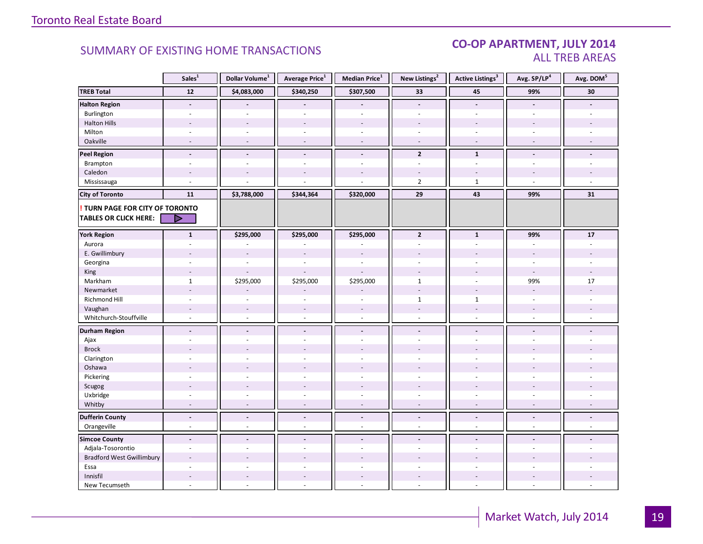#### CO-OP APARTMENT, JULY 2014 ALL TREB AREAS

|                                  | Sales <sup>1</sup>       | Dollar Volume <sup>1</sup> | Average Price <sup>1</sup> | Median Price <sup>1</sup> | New Listings <sup>2</sup> | <b>Active Listings<sup>3</sup></b> | Avg. SP/LP <sup>4</sup>  | Avg. DOM <sup>5</sup> |
|----------------------------------|--------------------------|----------------------------|----------------------------|---------------------------|---------------------------|------------------------------------|--------------------------|-----------------------|
| <b>TREB Total</b>                | 12                       | \$4,083,000                | \$340,250                  | \$307,500                 | 33                        | 45                                 | 99%                      | 30                    |
| <b>Halton Region</b>             | $\overline{\phantom{a}}$ |                            |                            |                           | $\blacksquare$            | $\blacksquare$                     | $\blacksquare$           |                       |
| Burlington                       |                          |                            |                            |                           |                           |                                    |                          |                       |
| <b>Halton Hills</b>              | $\overline{a}$           | $\sim$                     | $\overline{a}$             | $\overline{a}$            | $\sim$                    | $\overline{a}$                     |                          |                       |
| Milton                           | $\overline{\phantom{a}}$ | $\sim$                     | $\sim$                     | $\sim$                    | $\sim$                    | $\sim$                             | $\sim$                   |                       |
| Oakville                         | $\sim$                   | $\sim$                     | $\sim$                     | $\sim$                    | $\sim$                    | $\sim$                             | $\sim$                   |                       |
| <b>Peel Region</b>               | $\blacksquare$           | $\blacksquare$             | $\frac{1}{2}$              | $\blacksquare$            | $\overline{2}$            | $\mathbf{1}$                       | $\blacksquare$           |                       |
| Brampton                         | $\sim$                   | $\sim$                     | $\bar{a}$                  | $\bar{a}$                 | $\sim$                    | $\sim$                             | $\sim$                   |                       |
| Caledon                          |                          |                            |                            |                           |                           |                                    |                          |                       |
| Mississauga                      |                          |                            |                            |                           | $\overline{2}$            | $\mathbf{1}$                       | $\overline{a}$           |                       |
| <b>City of Toronto</b>           | 11                       | \$3,788,000                | \$344,364                  | \$320,000                 | 29                        | 43                                 | 99%                      | 31                    |
| TURN PAGE FOR CITY OF TORONTO    |                          |                            |                            |                           |                           |                                    |                          |                       |
| <b>TABLES OR CLICK HERE:</b>     | ▷                        |                            |                            |                           |                           |                                    |                          |                       |
|                                  |                          |                            |                            |                           |                           |                                    |                          |                       |
| <b>York Region</b>               | $\mathbf{1}$             | \$295,000                  | \$295,000                  | \$295,000                 | $\mathbf{2}$              | $\mathbf{1}$                       | 99%                      | 17                    |
| Aurora                           | $\bar{a}$                |                            |                            |                           | $\sim$                    | $\mathcal{L}$                      | $\sim$                   |                       |
| E. Gwillimbury                   |                          | $\overline{a}$             | $\overline{a}$             | $\overline{a}$            |                           |                                    |                          |                       |
| Georgina                         |                          |                            |                            | $\sim$                    |                           |                                    |                          |                       |
| King                             |                          |                            |                            |                           |                           |                                    |                          |                       |
| Markham                          | $\mathbf{1}$             | \$295,000                  | \$295,000                  | \$295,000                 | $\mathbf{1}$              | $\sim$                             | 99%                      | 17                    |
| Newmarket                        | ÷,                       |                            |                            |                           |                           |                                    |                          |                       |
| Richmond Hill                    | $\sim$                   |                            |                            |                           | $\mathbf{1}$              | $\mathbf{1}$                       |                          |                       |
| Vaughan                          | $\overline{\phantom{a}}$ | $\sim$                     | $\overline{\phantom{a}}$   | $\sim$                    | $\sim$                    | $\overline{\phantom{a}}$           | $\sim$                   |                       |
| Whitchurch-Stouffville           | $\omega$                 | $\sim$                     | ÷.                         | $\sim$                    | $\sim$                    | $\mathcal{L}$                      | $\sim$                   |                       |
| <b>Durham Region</b>             | $\blacksquare$           | $\overline{\phantom{a}}$   | $\blacksquare$             | $\blacksquare$            | $\overline{\phantom{a}}$  | $\blacksquare$                     | $\blacksquare$           |                       |
| Ajax                             | $\bar{a}$                |                            | ÷.                         | ÷,                        | $\sim$                    | ÷,                                 | $\omega$                 |                       |
| <b>Brock</b>                     |                          |                            |                            |                           |                           |                                    |                          |                       |
| Clarington                       | ÷.                       | $\sim$                     | ÷.                         | $\sim$                    | $\sim$                    | ÷.                                 | $\sim$                   |                       |
| Oshawa                           | ٠                        |                            |                            |                           |                           |                                    |                          |                       |
| Pickering                        | $\overline{a}$           |                            |                            | υ.                        |                           | L.                                 |                          |                       |
| Scugog                           | ÷.                       |                            | $\overline{a}$             | $\overline{\phantom{a}}$  | $\sim$                    | ÷,                                 |                          |                       |
| Uxbridge                         | $\overline{\phantom{a}}$ | $\sim$                     | $\sim$                     | ÷,                        | $\overline{\phantom{a}}$  | $\omega$                           | $\sim$                   |                       |
| Whitby                           | $\overline{\phantom{a}}$ | $\sim$                     | $\sim$                     | $\sim$                    | $\overline{\phantom{a}}$  | $\sim$                             | $\sim$                   | $\sim$                |
| <b>Dufferin County</b>           | $\overline{\phantom{a}}$ | $\overline{\phantom{a}}$   | $\overline{\phantom{a}}$   | $\blacksquare$            | $\overline{\phantom{a}}$  | $\overline{\phantom{a}}$           | $\overline{\phantom{a}}$ |                       |
| Orangeville                      | $\omega$                 | $\sim$                     | $\omega$                   | ÷,                        | $\omega$                  | $\omega$                           | $\sim$                   | $\omega$              |
| <b>Simcoe County</b>             | $\overline{a}$           | $\blacksquare$             | $\blacksquare$             | $\blacksquare$            |                           | $\blacksquare$                     | $\overline{a}$           |                       |
| Adjala-Tosorontio                | $\overline{\phantom{a}}$ | $\sim$                     | ä,                         | ÷,                        | $\bar{a}$                 | $\omega$                           | $\sim$                   |                       |
| <b>Bradford West Gwillimbury</b> | $\overline{a}$           |                            |                            |                           |                           |                                    |                          |                       |
| Essa                             |                          |                            |                            |                           |                           |                                    |                          |                       |
| Innisfil                         | $\overline{\phantom{a}}$ |                            | $\overline{\phantom{a}}$   | $\overline{\phantom{a}}$  | $\sim$                    | $\blacksquare$                     |                          |                       |
| New Tecumseth                    | ÷,                       | $\sim$                     | L.                         | ÷,                        | ÷.                        | $\mathcal{L}$                      | $\sim$                   |                       |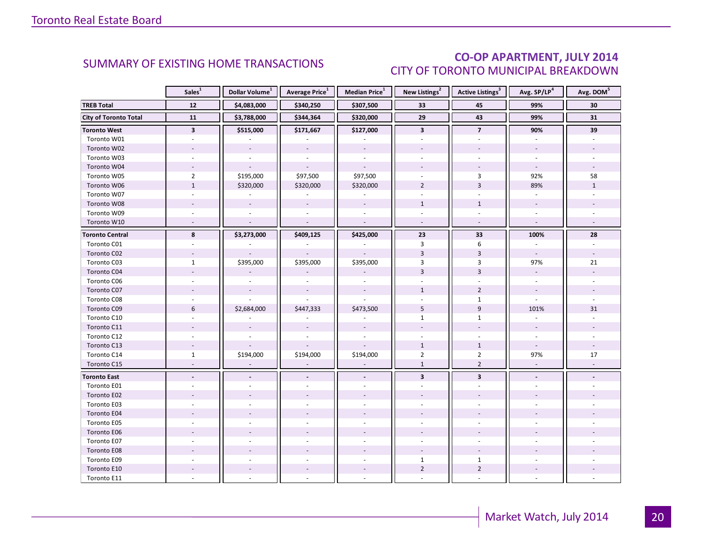### CO-OP APARTMENT, JULY 2014 CITY OF TORONTO MUNICIPAL BREAKDOWN

<span id="page-19-0"></span>

|                              | Sales <sup>1</sup>       | Dollar Volume <sup>1</sup> | Average Price <sup>1</sup> | Median Price <sup>1</sup> | New Listings <sup>2</sup> | Active Listings <sup>3</sup> | Avg. SP/LP <sup>4</sup>     | Avg. DOM <sup>5</sup>    |
|------------------------------|--------------------------|----------------------------|----------------------------|---------------------------|---------------------------|------------------------------|-----------------------------|--------------------------|
| <b>TREB Total</b>            | $12$                     | \$4,083,000                | \$340,250                  | \$307,500                 | 33                        | 45                           | 99%                         | 30                       |
| <b>City of Toronto Total</b> | 11                       | \$3,788,000                | \$344,364                  | \$320,000                 | 29                        | 43                           | 99%                         | 31                       |
| <b>Toronto West</b>          | $\overline{\mathbf{3}}$  | \$515,000                  | \$171,667                  | \$127,000                 | $\mathbf{3}$              | $\overline{7}$               | 90%                         | 39                       |
| Toronto W01                  |                          |                            |                            |                           |                           |                              |                             |                          |
| Toronto W02                  |                          |                            |                            |                           |                           |                              |                             |                          |
| Toronto W03                  | $\bar{a}$                |                            | $\sim$                     | $\overline{a}$            |                           | $\mathbf{r}$                 | $\sim$                      |                          |
| Toronto W04                  |                          |                            |                            |                           |                           |                              |                             |                          |
| Toronto W05                  | $\overline{2}$           | \$195,000                  | \$97,500                   | \$97,500                  |                           | 3                            | 92%                         | 58                       |
| Toronto W06                  | $\mathbf{1}$             | \$320,000                  | \$320,000                  | \$320,000                 | $\overline{2}$            | $\overline{3}$               | 89%                         | $\mathbf{1}$             |
| Toronto W07                  | $\omega$                 | ÷.                         | $\sim$                     | $\sim$                    | ÷.                        | ÷                            | ÷.                          |                          |
| Toronto W08                  |                          |                            | $\overline{\phantom{a}}$   |                           | $\mathbf{1}$              | $\mathbf{1}$                 |                             |                          |
| Toronto W09                  | $\sim$                   |                            |                            | $\sim$                    |                           |                              | $\sim$                      |                          |
| Toronto W10                  | $\sim$                   | $\mathbf{r}$               | $\mathcal{L}$              | $\sim$                    | $\sim$                    | $\sim$                       | $\bar{\phantom{a}}$         |                          |
| <b>Toronto Central</b>       | 8                        | \$3,273,000                | \$409,125                  | \$425,000                 | 23                        | 33                           | 100%                        | 28                       |
| Toronto C01                  |                          |                            |                            |                           | 3                         | 6                            |                             |                          |
| Toronto C02                  | $\sim$                   |                            |                            |                           | $\overline{3}$            | $\overline{3}$               | $\overline{\phantom{a}}$    | $\overline{\phantom{a}}$ |
| Toronto C03                  | $\mathbf{1}$             | \$395,000                  | \$395,000                  | \$395,000                 | 3                         | 3                            | 97%                         | 21                       |
| Toronto C04                  |                          |                            |                            |                           | $\overline{3}$            | $\overline{3}$               |                             |                          |
| Toronto C06                  |                          |                            |                            |                           |                           |                              |                             |                          |
| Toronto C07                  |                          |                            |                            |                           | $\mathbf{1}$              | $\overline{2}$               | $\sim$                      |                          |
| Toronto C08                  |                          |                            |                            |                           |                           | $\mathbf{1}$                 |                             |                          |
| Toronto C09                  | 6                        | \$2,684,000                | \$447,333                  | \$473,500                 | 5                         | $\overline{9}$               | 101%                        | 31                       |
| Toronto C10                  |                          |                            |                            |                           | $\mathbf{1}$              | $\mathbf{1}$                 |                             |                          |
| Toronto C11                  |                          |                            |                            |                           |                           |                              |                             |                          |
| Toronto C12                  |                          |                            |                            |                           |                           |                              |                             |                          |
| Toronto C13                  |                          |                            |                            |                           | $1\,$                     | $\mathbf{1}$                 |                             |                          |
| Toronto C14                  | $\mathbf{1}$             | \$194,000                  | \$194,000                  | \$194,000                 | $\overline{2}$            | $\overline{2}$               | 97%                         | 17                       |
| Toronto C15                  | $\sim$                   | $\bar{a}$                  | $\overline{\phantom{a}}$   | $\sim$                    | $\mathbf 1$               | $\overline{2}$               | $\mathcal{L}_{\mathcal{A}}$ |                          |
| <b>Toronto East</b>          | $\overline{\phantom{a}}$ |                            |                            |                           | $\mathbf{3}$              | $\overline{\mathbf{3}}$      | $\overline{\phantom{a}}$    |                          |
| Toronto E01                  |                          |                            |                            |                           |                           |                              |                             |                          |
| Toronto E02                  |                          |                            |                            |                           |                           |                              |                             |                          |
| Toronto E03                  |                          |                            |                            |                           |                           |                              |                             |                          |
| Toronto E04                  |                          |                            |                            |                           |                           |                              |                             |                          |
| Toronto E05                  |                          |                            |                            |                           |                           |                              |                             |                          |
| Toronto E06                  |                          |                            |                            |                           |                           |                              |                             |                          |
| Toronto E07                  |                          |                            |                            |                           |                           |                              |                             |                          |
| Toronto E08                  |                          |                            |                            |                           |                           |                              |                             |                          |
| Toronto E09                  |                          |                            |                            |                           | $\mathbf{1}$              | $\mathbf{1}$                 |                             |                          |
| Toronto E10                  |                          |                            |                            |                           | $\overline{2}$            | $\overline{2}$               |                             |                          |
| Toronto E11                  |                          |                            |                            |                           |                           |                              |                             |                          |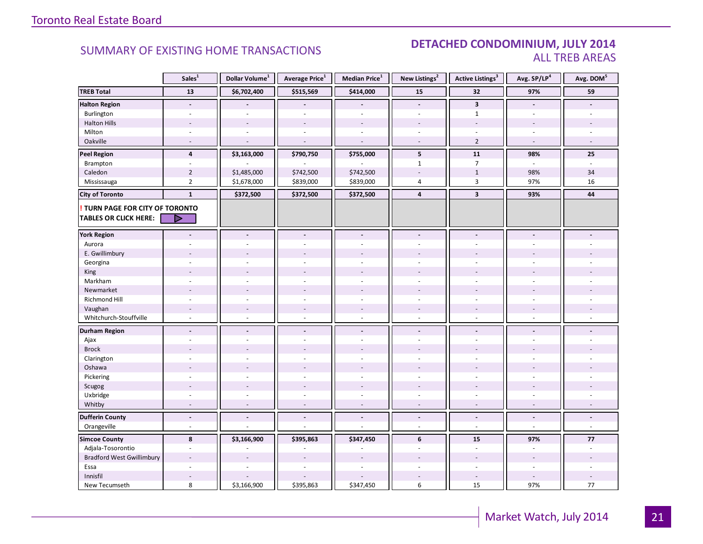#### **Industrial Leasing SUMMARY OF EXISTING HOME TRANSACTIONS DETACHED CONDOMINIUM, JULY 2014** ALL TREB AREAS

|                                  | Sales <sup>1</sup>       | Dollar Volume <sup>1</sup> | Average Price <sup>1</sup> | Median Price <sup>1</sup> | New Listings <sup>2</sup>    | <b>Active Listings<sup>3</sup></b> | Avg. SP/LP <sup>4</sup>  | Avg. DOM <sup>5</sup>       |
|----------------------------------|--------------------------|----------------------------|----------------------------|---------------------------|------------------------------|------------------------------------|--------------------------|-----------------------------|
| <b>TREB Total</b>                | 13                       | \$6,702,400                | \$515,569                  | \$414,000                 | 15                           | 32                                 | 97%                      | 59                          |
| <b>Halton Region</b>             | $\overline{a}$           |                            |                            |                           | $\overline{a}$               | $\overline{\mathbf{3}}$            |                          |                             |
| Burlington                       |                          |                            |                            |                           |                              | $\mathbf{1}$                       |                          |                             |
| <b>Halton Hills</b>              |                          |                            | $\overline{a}$             |                           |                              | $\overline{a}$                     |                          |                             |
| Milton                           | ÷                        |                            | $\overline{a}$             | $\sim$                    | $\overline{a}$               |                                    | ÷.                       |                             |
| Oakville                         | $\overline{\phantom{a}}$ |                            | ÷,                         | ÷.                        | $\sim$                       | $\overline{2}$                     | $\overline{\phantom{a}}$ |                             |
| <b>Peel Region</b>               | $\overline{4}$           | \$3,163,000                | \$790,750                  | \$755,000                 | 5                            | 11                                 | 98%                      | 25                          |
| Brampton                         | ÷,                       |                            |                            |                           | $\mathbf{1}$                 | $\overline{7}$                     | ÷.                       |                             |
| Caledon                          | $\overline{2}$           | \$1,485,000                | \$742,500                  | \$742,500                 |                              | $\mathbf{1}$                       | 98%                      | 34                          |
| Mississauga                      | $\overline{2}$           | \$1,678,000                | \$839,000                  | \$839,000                 | 4                            | 3                                  | 97%                      | 16                          |
| <b>City of Toronto</b>           | $\mathbf{1}$             | \$372,500                  | \$372,500                  | \$372,500                 | $\overline{4}$               | $\overline{\mathbf{3}}$            | 93%                      | 44                          |
| TURN PAGE FOR CITY OF TORONTO    |                          |                            |                            |                           |                              |                                    |                          |                             |
| <b>TABLES OR CLICK HERE:</b>     | ▷                        |                            |                            |                           |                              |                                    |                          |                             |
|                                  |                          |                            |                            |                           |                              |                                    |                          |                             |
| <b>York Region</b>               | $\blacksquare$           | $\overline{\phantom{a}}$   | $\blacksquare$             | $\overline{\phantom{a}}$  | $\qquad \qquad \blacksquare$ | $\blacksquare$                     |                          |                             |
| Aurora                           |                          |                            | ÷,                         | ÷.                        |                              | ÷.                                 |                          |                             |
| E. Gwillimbury                   |                          |                            |                            |                           |                              |                                    |                          |                             |
| Georgina                         |                          |                            |                            |                           |                              |                                    |                          |                             |
| King                             |                          |                            |                            |                           |                              |                                    |                          |                             |
| Markham                          | ÷.                       |                            |                            |                           |                              | $\overline{a}$                     |                          |                             |
| Newmarket                        |                          |                            |                            |                           |                              |                                    |                          |                             |
| Richmond Hill                    | $\overline{\phantom{a}}$ |                            |                            |                           |                              | $\overline{a}$                     |                          |                             |
| Vaughan                          | $\overline{a}$           |                            | $\overline{a}$             |                           | $\overline{\phantom{a}}$     | $\overline{a}$                     |                          |                             |
| Whitchurch-Stouffville           | L.                       |                            | $\bar{a}$                  | ÷.                        | ä,                           | $\bar{a}$                          |                          |                             |
| <b>Durham Region</b>             | $\overline{a}$           | $\blacksquare$             | $\blacksquare$             | $\blacksquare$            | $\blacksquare$               | $\blacksquare$                     | $\overline{a}$           |                             |
| Ajax                             |                          |                            | ÷,                         | ÷.                        | ÷                            |                                    |                          |                             |
| <b>Brock</b>                     |                          |                            |                            |                           |                              |                                    |                          |                             |
| Clarington                       | ä,                       |                            | ä,                         | $\sim$                    |                              | ä,                                 |                          |                             |
| Oshawa                           |                          |                            |                            |                           |                              |                                    |                          |                             |
| Pickering                        |                          |                            |                            |                           |                              |                                    |                          |                             |
| Scugog                           |                          |                            |                            |                           |                              |                                    |                          |                             |
| Uxbridge                         | ÷,                       |                            | ÷.                         | $\sim$                    | ÷                            | ÷.                                 | ÷                        |                             |
| Whitby                           | $\overline{a}$           | $\sim$                     | $\overline{\phantom{a}}$   | ÷.                        | $\overline{\phantom{a}}$     | $\overline{\phantom{a}}$           | $\overline{\phantom{a}}$ |                             |
| <b>Dufferin County</b>           | $\blacksquare$           | $\blacksquare$             | $\blacksquare$             | $\blacksquare$            | $\blacksquare$               | $\blacksquare$                     | $\blacksquare$           | $\frac{1}{2}$               |
| Orangeville                      | $\omega$                 |                            | $\overline{a}$             | $\sim$                    | $\omega$                     | $\omega$                           | $\omega$                 | $\mathcal{L}^{\mathcal{L}}$ |
| <b>Simcoe County</b>             | 8                        | \$3,166,900                | \$395,863                  | \$347,450                 | 6                            | 15                                 | 97%                      | 77                          |
| Adjala-Tosorontio                | L.                       |                            |                            |                           |                              | ÷,                                 |                          |                             |
| <b>Bradford West Gwillimbury</b> |                          |                            |                            |                           |                              |                                    |                          |                             |
| Essa                             |                          |                            |                            |                           |                              |                                    |                          |                             |
| Innisfil                         |                          |                            |                            |                           |                              |                                    |                          |                             |
| New Tecumseth                    | 8                        | \$3,166,900                | \$395,863                  | \$347,450                 | 6                            | 15                                 | 97%                      | 77                          |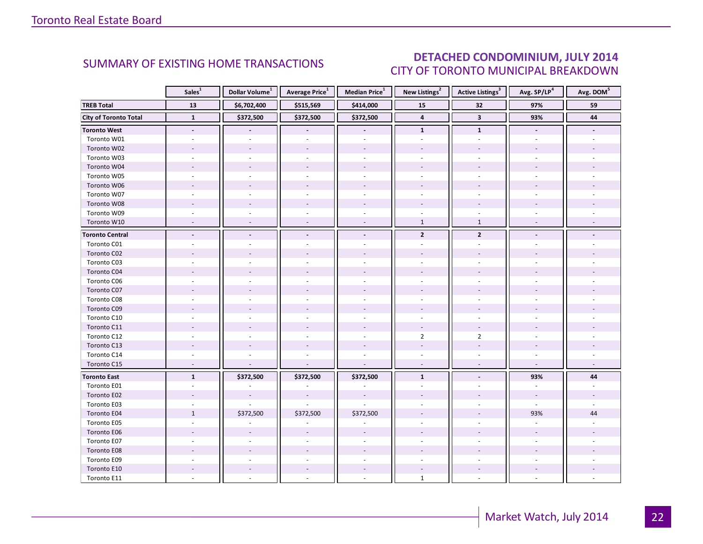### DETACHED CONDOMINIUM, JULY 2014 CITY OF TORONTO MUNICIPAL BREAKDOWN

<span id="page-21-0"></span>

|                              | Sales <sup>1</sup>       | Dollar Volume <sup>1</sup> | <b>Average Price</b> <sup>1</sup> | Median Price <sup>1</sup> | New Listings <sup>2</sup> | Active Listings <sup>3</sup> | Avg. SP/LP <sup>4</sup>  | Avg. DOM <sup>5</sup> |
|------------------------------|--------------------------|----------------------------|-----------------------------------|---------------------------|---------------------------|------------------------------|--------------------------|-----------------------|
| <b>TREB Total</b>            | 13                       | \$6,702,400                | \$515,569                         | \$414,000                 | 32<br>15                  |                              | 97%                      | 59                    |
| <b>City of Toronto Total</b> | $\mathbf{1}$             | \$372,500                  | \$372,500                         | \$372,500                 | $\overline{4}$            | $\overline{\mathbf{3}}$      | 93%                      | 44                    |
| <b>Toronto West</b>          | $\overline{\phantom{a}}$ |                            | $\blacksquare$                    | $\overline{\phantom{a}}$  | $\mathbf{1}$              | $\mathbf{1}$                 | $\overline{\phantom{a}}$ |                       |
| Toronto W01                  |                          |                            |                                   |                           |                           |                              |                          |                       |
| Toronto W02                  |                          |                            |                                   |                           |                           |                              |                          |                       |
| Toronto W03                  | $\bar{a}$                |                            | $\overline{a}$                    | $\sim$                    |                           | $\overline{a}$               |                          |                       |
| Toronto W04                  |                          |                            |                                   |                           |                           |                              |                          |                       |
| Toronto W05                  |                          |                            |                                   |                           |                           |                              |                          |                       |
| Toronto W06                  |                          |                            |                                   |                           |                           |                              |                          |                       |
| Toronto W07                  |                          |                            |                                   | $\overline{a}$            |                           |                              |                          |                       |
| Toronto W08                  |                          |                            |                                   |                           |                           |                              |                          |                       |
| Toronto W09                  | $\sim$                   |                            |                                   | $\sim$                    |                           |                              |                          |                       |
| Toronto W10                  |                          |                            |                                   |                           | $\mathbf{1}$              | $\mathbf{1}$                 |                          |                       |
| <b>Toronto Central</b>       | $\overline{a}$           |                            | $\overline{\phantom{a}}$          | $\blacksquare$            | $\mathbf{2}$              | $\overline{2}$               |                          |                       |
| Toronto C01                  |                          |                            |                                   |                           |                           |                              |                          |                       |
| Toronto C02                  |                          |                            |                                   |                           |                           |                              |                          |                       |
| Toronto C03                  |                          |                            |                                   |                           |                           |                              |                          |                       |
| Toronto C04                  |                          |                            |                                   |                           |                           |                              |                          |                       |
| Toronto C06                  |                          |                            |                                   |                           |                           |                              |                          |                       |
| Toronto C07                  |                          |                            |                                   |                           |                           |                              |                          |                       |
| Toronto C08                  |                          |                            |                                   |                           |                           |                              |                          |                       |
| Toronto C09                  |                          |                            |                                   |                           |                           |                              |                          |                       |
| Toronto C10                  |                          |                            |                                   |                           |                           |                              |                          |                       |
| Toronto C11                  |                          |                            |                                   |                           |                           |                              |                          |                       |
| Toronto C12                  |                          |                            |                                   |                           | $\overline{2}$            | $\overline{2}$               |                          |                       |
| Toronto C13                  |                          |                            |                                   |                           |                           |                              |                          |                       |
| Toronto C14                  |                          |                            |                                   |                           |                           |                              |                          |                       |
| Toronto C15                  | $\overline{\phantom{a}}$ |                            |                                   |                           |                           |                              |                          |                       |
| <b>Toronto East</b>          | $\mathbf{1}$             | \$372,500                  | \$372,500                         | \$372,500                 | $\mathbf{1}$              |                              | 93%                      | 44                    |
| Toronto E01                  |                          |                            |                                   |                           |                           |                              |                          |                       |
| Toronto E02                  |                          |                            |                                   |                           |                           |                              |                          |                       |
| Toronto E03                  |                          |                            |                                   |                           |                           |                              |                          |                       |
| Toronto E04                  | $\mathbf{1}$             | \$372,500                  | \$372,500                         | \$372,500                 |                           |                              | 93%                      | 44                    |
| Toronto E05                  | $\sim$                   |                            |                                   |                           |                           |                              |                          |                       |
| Toronto E06                  |                          |                            |                                   |                           |                           |                              |                          |                       |
| Toronto E07                  |                          |                            |                                   |                           |                           |                              |                          |                       |
| Toronto E08                  |                          |                            |                                   |                           |                           |                              |                          |                       |
| Toronto E09                  |                          |                            |                                   |                           |                           |                              |                          |                       |
| Toronto E10                  |                          |                            |                                   |                           |                           |                              |                          |                       |
| Toronto E11                  |                          |                            |                                   |                           | $\mathbf{1}$              |                              |                          |                       |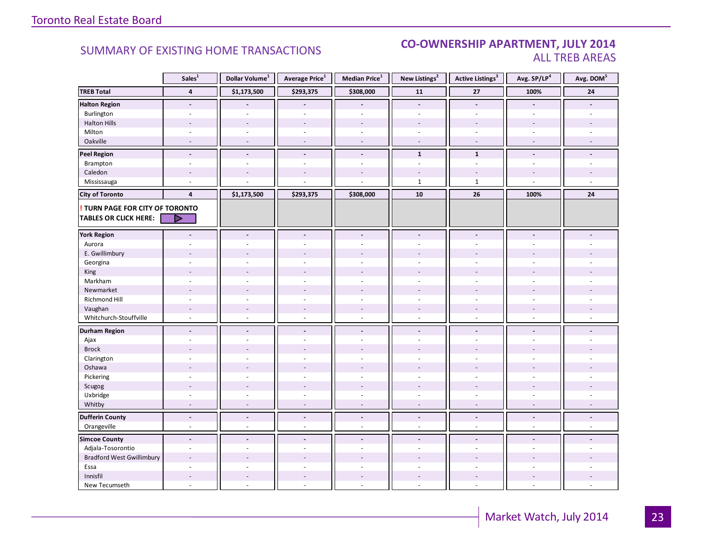#### **Industrial Leasing SUMMARY OF EXISTING HOME TRANSACTIONS CO-OWNERSHIP APARTMENT, JULY 2014** ALL TREB AREAS

|                                        | Sales <sup>1</sup>       | Dollar Volume <sup>1</sup> | Average Price <sup>1</sup>                     | Median Price <sup>1</sup> | New Listings <sup>2</sup> | <b>Active Listings<sup>3</sup></b> | Avg. SP/LP <sup>4</sup>  | Avg. DOM <sup>5</sup>    |
|----------------------------------------|--------------------------|----------------------------|------------------------------------------------|---------------------------|---------------------------|------------------------------------|--------------------------|--------------------------|
| <b>TREB Total</b>                      | $\overline{\mathbf{4}}$  | \$1,173,500                | \$293,375                                      | \$308,000                 | 11                        | 27                                 | 100%                     | ${\bf 24}$               |
| <b>Halton Region</b>                   | $\blacksquare$           |                            |                                                |                           | $\overline{a}$            | $\blacksquare$                     | $\blacksquare$           |                          |
| Burlington                             | $\overline{a}$           |                            |                                                | $\overline{a}$            | $\sim$                    | ä,                                 | ÷.                       |                          |
| <b>Halton Hills</b>                    | $\overline{a}$           | $\sim$                     | $\overline{a}$                                 | $\overline{a}$            | $\sim$                    | $\overline{a}$                     | $\overline{a}$           |                          |
| Milton                                 | $\overline{\phantom{a}}$ | $\sim$                     | $\sim$                                         | $\omega$                  | $\overline{\phantom{a}}$  | $\overline{\phantom{a}}$           | $\sim$                   |                          |
| Oakville                               | $\sim$                   | $\overline{a}$             | $\sim$                                         | $\sim$                    | $\sim$                    | $\sim$                             | $\sim$                   | $\sim$                   |
| <b>Peel Region</b>                     | $\overline{\phantom{a}}$ | $\blacksquare$             | $\qquad \qquad \blacksquare$                   | $\overline{\phantom{a}}$  | $\mathbf{1}$              | $\mathbf{1}$                       | $\blacksquare$           |                          |
| Brampton                               | $\sim$                   | $\sim$                     | ÷.                                             | ä,                        | ÷.                        | ÷.                                 | $\sim$                   |                          |
| Caledon                                |                          |                            |                                                |                           |                           |                                    |                          |                          |
| Mississauga                            | ÷.                       |                            |                                                | ÷,                        | $\mathbf{1}$              | $\mathbf{1}$                       | $\sim$                   |                          |
| <b>City of Toronto</b>                 | $\overline{4}$           | \$1,173,500                | \$293,375                                      | \$308,000                 | 10                        | 26                                 | 100%                     | 24                       |
| <b>! TURN PAGE FOR CITY OF TORONTO</b> |                          |                            |                                                |                           |                           |                                    |                          |                          |
| <b>TABLES OR CLICK HERE:</b>           |                          |                            |                                                |                           |                           |                                    |                          |                          |
|                                        |                          |                            |                                                |                           |                           |                                    |                          |                          |
| <b>York Region</b>                     | $\blacksquare$           | $\blacksquare$             | $\overline{a}$                                 | $\overline{\phantom{a}}$  | $\blacksquare$            | $\blacksquare$                     | $\overline{a}$           |                          |
| Aurora                                 |                          |                            |                                                | $\sim$                    |                           |                                    |                          |                          |
| E. Gwillimbury                         |                          |                            |                                                |                           |                           |                                    |                          |                          |
| Georgina                               |                          |                            |                                                |                           |                           |                                    |                          |                          |
| King                                   | $\overline{a}$           |                            | $\overline{a}$                                 | $\overline{a}$            |                           |                                    |                          |                          |
| Markham                                | $\sim$                   | $\sim$                     | ÷.                                             | ÷,                        | $\sim$                    | $\sim$                             | $\sim$                   |                          |
| Newmarket                              | ÷.                       |                            |                                                | ÷.                        |                           |                                    |                          |                          |
| Richmond Hill                          |                          |                            |                                                |                           |                           |                                    |                          |                          |
| Vaughan                                | $\overline{\phantom{a}}$ | $\overline{a}$             | $\qquad \qquad \blacksquare$<br>$\overline{a}$ | $\overline{\phantom{a}}$  | $\overline{\phantom{a}}$  | $\overline{\phantom{a}}$           |                          |                          |
| Whitchurch-Stouffville                 | $\omega$                 |                            |                                                | $\sim$                    | $\sim$                    | $\omega$                           | $\sim$                   |                          |
| <b>Durham Region</b>                   | $\blacksquare$           | $\overline{\phantom{a}}$   | $\overline{\phantom{a}}$                       | $\overline{\phantom{a}}$  | $\overline{\phantom{a}}$  | $\overline{\phantom{a}}$           | $\blacksquare$           |                          |
| Ajax                                   | $\sim$                   |                            | $\overline{a}$                                 | ÷,                        | $\omega$                  | $\sim$                             | $\sim$                   |                          |
| <b>Brock</b>                           |                          |                            |                                                |                           |                           |                                    |                          |                          |
| Clarington                             | ÷.                       | $\sim$                     | ÷                                              | ÷.                        | $\sim$                    | $\sim$                             |                          |                          |
| Oshawa                                 | $\blacksquare$           |                            |                                                |                           |                           |                                    |                          |                          |
| Pickering                              | ÷.                       |                            | ÷.                                             | ÷,                        |                           | L.                                 |                          |                          |
| Scugog                                 |                          |                            | L.                                             | $\overline{a}$            |                           | $\overline{a}$                     |                          |                          |
| Uxbridge                               | $\sim$                   | $\sim$                     | ä,                                             | $\sim$                    | $\bar{a}$                 | $\omega$                           | $\sim$                   |                          |
| Whitby                                 | $\overline{\phantom{a}}$ | $\sim$                     | $\overline{\phantom{a}}$                       | $\sim$                    | $\overline{\phantom{a}}$  | $\overline{\phantom{a}}$           | $\overline{\phantom{a}}$ | $\overline{\phantom{a}}$ |
| <b>Dufferin County</b>                 | $\blacksquare$           | $\overline{\phantom{a}}$   | $\blacksquare$                                 | $\blacksquare$            | $\overline{\phantom{a}}$  | $\overline{\phantom{a}}$           | $\overline{\phantom{a}}$ | $\blacksquare$           |
| Orangeville                            | $\blacksquare$           | $\omega$                   | $\overline{\phantom{a}}$                       | $\overline{\phantom{a}}$  | $\overline{\phantom{a}}$  | $\overline{\phantom{a}}$           | $\omega$                 | $\omega$                 |
| <b>Simcoe County</b>                   | $\blacksquare$           | $\blacksquare$             | $\blacksquare$                                 | $\blacksquare$            | $\blacksquare$            | $\blacksquare$                     |                          |                          |
| Adjala-Tosorontio                      | $\overline{\phantom{a}}$ | ÷.                         | $\sim$                                         | $\sim$                    | $\sim$                    | $\sim$                             | ÷.                       |                          |
| <b>Bradford West Gwillimbury</b>       | $\sim$                   |                            |                                                |                           |                           |                                    |                          |                          |
| Essa                                   | $\overline{a}$           |                            |                                                | υ.                        |                           |                                    |                          |                          |
| Innisfil                               | $\sim$                   | $\sim$                     | $\sim$                                         | $\overline{\phantom{a}}$  | $\sim$                    | $\sim$                             | $\overline{a}$           |                          |
| New Tecumseth                          | $\bar{a}$                |                            | ä,                                             | ÷,                        | $\sim$                    | $\sim$                             | ÷.                       |                          |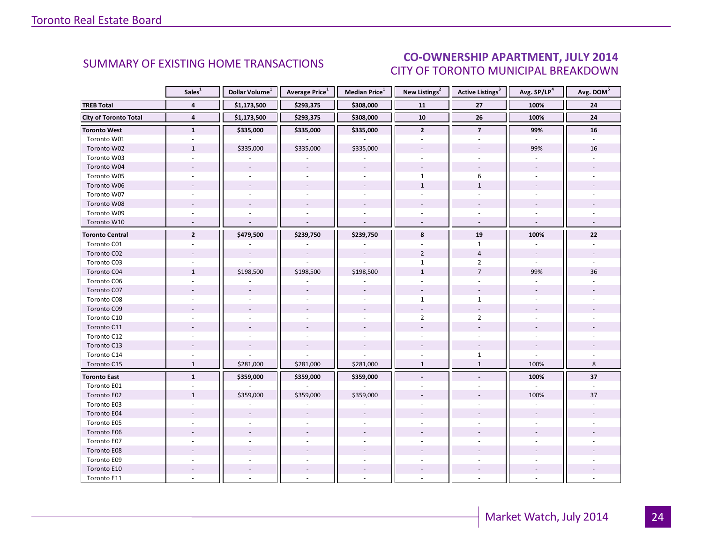### CO-OWNERSHIP APARTMENT, JULY 2014 CITY OF TORONTO MUNICIPAL BREAKDOWN

<span id="page-23-0"></span>

|                              | Sales <sup>1</sup>       | Dollar Volume <sup>1</sup> | Average Price <sup>1</sup> | Median Price <sup>1</sup> | New Listings <sup>2</sup> | Active Listings <sup>3</sup> | Avg. SP/LP <sup>4</sup>  | Avg. DOM <sup>5</sup> |
|------------------------------|--------------------------|----------------------------|----------------------------|---------------------------|---------------------------|------------------------------|--------------------------|-----------------------|
| <b>TREB Total</b>            | $\overline{4}$           | \$1,173,500                | \$293,375                  | \$308,000                 | 11                        | 27                           | 100%                     | ${\bf 24}$            |
| <b>City of Toronto Total</b> | $\overline{\mathbf{4}}$  | \$1,173,500                | \$293,375                  | \$308,000                 | 10                        | 26                           | 100%                     | 24                    |
| <b>Toronto West</b>          | $\mathbf{1}$             | \$335,000                  | \$335,000                  | \$335,000                 | $\mathbf{2}$              | $\overline{\mathbf{z}}$      | 99%                      | 16                    |
| Toronto W01                  |                          |                            |                            |                           |                           |                              |                          |                       |
| Toronto W02                  | $\mathbf{1}$             | \$335,000                  | \$335,000                  | \$335,000                 |                           |                              | 99%                      | 16                    |
| Toronto W03                  | ÷.                       |                            |                            |                           |                           |                              | ÷.                       |                       |
| Toronto W04                  |                          |                            |                            |                           |                           | $\bar{a}$                    |                          |                       |
| Toronto W05                  |                          |                            |                            |                           | $\mathbf{1}$              | 6                            |                          |                       |
| Toronto W06                  |                          |                            |                            | $\overline{a}$            | $\mathbf{1}$              | $\mathbf{1}$                 |                          |                       |
| Toronto W07                  | $\sim$                   | $\sim$                     | ÷.                         | ÷.                        | ÷.                        | ÷.                           | $\sim$                   |                       |
| Toronto W08                  |                          |                            |                            |                           |                           |                              |                          |                       |
| Toronto W09                  |                          |                            |                            |                           |                           |                              |                          |                       |
| Toronto W10                  | $\overline{\phantom{a}}$ |                            |                            | $\sim$                    |                           | $\omega$                     | $\overline{\phantom{a}}$ |                       |
| <b>Toronto Central</b>       | $\overline{2}$           | \$479,500                  | \$239,750                  | \$239,750                 | 8                         | 19                           | 100%                     | 22                    |
| Toronto C01                  |                          |                            |                            |                           |                           | $\mathbf{1}$                 |                          |                       |
| Toronto C02                  |                          | $\overline{\phantom{a}}$   | $\frac{1}{2}$              | $\sim$                    | $\overline{2}$            | $\overline{4}$               | $\overline{\phantom{a}}$ |                       |
| Toronto C03                  | ÷.                       |                            |                            |                           | $\mathbf{1}$              | $\overline{2}$               | $\sim$                   |                       |
| Toronto C04                  | $\mathbf{1}$             | \$198,500                  | \$198,500                  | \$198,500                 | $1\,$                     | $\overline{7}$               | 99%                      | 36                    |
| Toronto C06                  |                          |                            |                            |                           |                           |                              |                          |                       |
| Toronto C07                  |                          |                            |                            |                           | $\sim$                    |                              |                          |                       |
| Toronto C08                  |                          |                            |                            | $\sim$                    | $\mathbf{1}$              | $\mathbf{1}$                 |                          |                       |
| Toronto C09                  |                          |                            |                            |                           |                           |                              |                          |                       |
| Toronto C10                  |                          |                            |                            |                           | $\overline{2}$            | $\overline{2}$               |                          |                       |
| Toronto C11                  |                          |                            |                            |                           |                           |                              |                          |                       |
| Toronto C12                  |                          |                            |                            | $\sim$                    |                           |                              |                          |                       |
| Toronto C13                  |                          |                            |                            |                           |                           |                              |                          |                       |
| Toronto C14                  |                          |                            |                            |                           |                           | $\mathbf{1}$                 | $\overline{a}$           |                       |
| Toronto C15                  | $\mathbf{1}$             | \$281,000                  | \$281,000                  | \$281,000                 | $\mathbf{1}$              | $\mathbf{1}$                 | 100%                     | 8                     |
| <b>Toronto East</b>          | $\mathbf{1}$             | \$359,000                  | \$359,000                  | \$359,000                 | $\overline{\phantom{a}}$  | $\overline{\phantom{a}}$     | 100%                     | 37                    |
| Toronto E01                  |                          |                            |                            |                           |                           |                              | $\sim$                   |                       |
| Toronto E02                  | $\mathbf{1}$             | \$359,000                  | \$359,000                  | \$359,000                 |                           |                              | 100%                     | 37                    |
| Toronto E03                  |                          |                            |                            |                           |                           |                              |                          |                       |
| Toronto E04                  |                          |                            |                            |                           |                           |                              |                          |                       |
| Toronto E05                  |                          |                            |                            | $\overline{a}$            |                           |                              |                          |                       |
| Toronto E06                  |                          |                            |                            |                           |                           |                              |                          |                       |
| Toronto E07                  |                          |                            |                            | $\overline{a}$            |                           |                              |                          |                       |
| Toronto E08                  |                          |                            |                            |                           |                           |                              |                          |                       |
| Toronto E09                  |                          |                            |                            |                           |                           |                              |                          |                       |
| Toronto E10                  |                          |                            |                            | $\overline{\phantom{a}}$  |                           |                              |                          |                       |
| Toronto E11                  |                          |                            |                            |                           |                           |                              |                          |                       |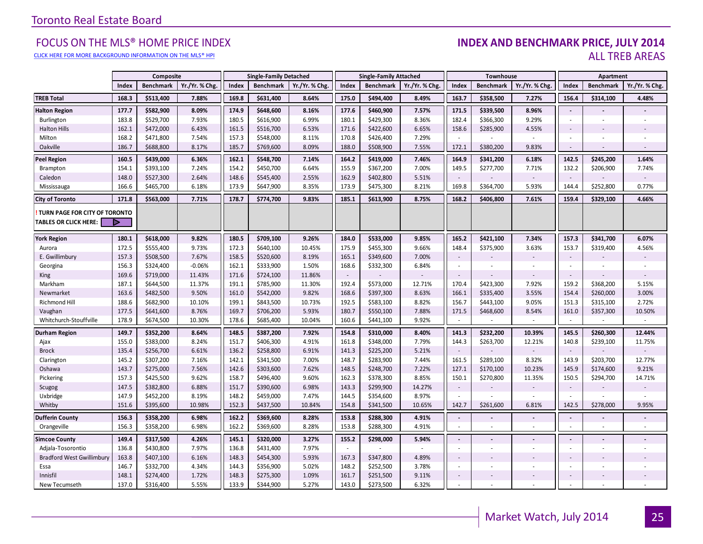[CLICK HERE FOR MORE BACKGROUND INFORMATION ON THE MLS® HPI](http://www.torontorealestateboard.com/market_news/home_price_index/index.htm)

#### FOCUS ON THE MLS® HOME PRICE INDEX **INDEX AND BENCHMARK PRICE, JULY 2014**<br>Elick here for more background information on the mls® hpi ALL TREB AREAS

|                                                               |       | Composite        |               |       | <b>Single-Family Detached</b> |                |        | <b>Single-Family Attached</b> |                |                          | Townhouse        |                |                          | Apartment                |                |
|---------------------------------------------------------------|-------|------------------|---------------|-------|-------------------------------|----------------|--------|-------------------------------|----------------|--------------------------|------------------|----------------|--------------------------|--------------------------|----------------|
|                                                               | Index | <b>Benchmark</b> | Yr./Yr. % Chg | Index | <b>Benchmark</b>              | Yr./Yr. % Chg. | Index  | <b>Benchmark</b>              | Yr./Yr. % Chg. | Index                    | <b>Benchmark</b> | Yr./Yr. % Chg  | Index                    | <b>Benchmark</b>         | Yr./Yr. % Chg. |
| <b>TREB Total</b>                                             | 168.3 | \$513,400        | 7.88%         | 169.8 | \$631,400                     | 8.64%          | 175.0  | \$494,400                     | 8.49%          | 163.7                    | \$358,500        | 7.27%          | 156.4                    | \$314,100                | 4.48%          |
| <b>Halton Region</b>                                          | 177.7 | \$582,900        | 8.09%         | 174.9 | \$648,600                     | 8.16%          | 177.6  | \$460,900                     | 7.57%          | 171.5                    | \$339,500        | 8.96%          | $\blacksquare$           |                          |                |
| Burlington                                                    | 183.8 | \$529,700        | 7.93%         | 180.5 | \$616,900                     | 6.99%          | 180.1  | \$429,300                     | 8.36%          | 182.4                    | \$366,300        | 9.29%          | $\sim$                   | ×.                       |                |
| <b>Halton Hills</b>                                           | 162.1 | \$472,000        | 6.43%         | 161.5 | \$516,700                     | 6.53%          | 171.6  | \$422,600                     | 6.65%          | 158.6                    | \$285,900        | 4.55%          | $\sim$                   |                          |                |
| Milton                                                        | 168.2 | \$471,800        | 7.54%         | 157.3 | \$548,000                     | 8.11%          | 170.8  | \$426,400                     | 7.29%          | $\sim$                   |                  |                |                          |                          |                |
| Oakville                                                      | 186.7 | \$688,800        | 8.17%         | 185.7 | \$769,600                     | 8.09%          | 188.0  | \$508,900                     | 7.55%          | 172.1                    | \$380,200        | 9.83%          | $\sim$                   |                          |                |
| <b>Peel Region</b>                                            | 160.5 | \$439,000        | 6.36%         | 162.1 | \$548,700                     | 7.14%          | 164.2  | \$419,000                     | 7.46%          | 164.9                    | \$341,200        | 6.18%          | 142.5                    | \$245,200                | 1.64%          |
| Brampton                                                      | 154.1 | \$393,100        | 7.24%         | 154.2 | \$450,700                     | 6.64%          | 155.9  | \$367,200                     | 7.00%          | 149.5                    | \$277,700        | 7.71%          | 132.2                    | \$206,900                | 7.74%          |
| Caledon                                                       | 148.0 | \$527,300        | 2.64%         | 148.6 | \$545,400                     | 2.55%          | 162.9  | \$402,800                     | 5.51%          | $\sim$                   |                  |                | $\sim$                   |                          |                |
| Mississauga                                                   | 166.6 | \$465,700        | 6.18%         | 173.9 | \$647,900                     | 8.35%          | 173.9  | \$475,300                     | 8.21%          | 169.8                    | \$364,700        | 5.93%          | 144.4                    | \$252,800                | 0.77%          |
| <b>City of Toronto</b>                                        | 171.8 | \$563,000        | 7.71%         | 178.7 | \$774,700                     | 9.83%          | 185.1  | \$613,900                     | 8.75%          | 168.2                    | \$406,800        | 7.61%          | 159.4                    | \$329,100                | 4.66%          |
| TURN PAGE FOR CITY OF TORONTO<br><b>TABLES OR CLICK HERE:</b> | Þ     |                  |               |       |                               |                |        |                               |                |                          |                  |                |                          |                          |                |
| <b>York Region</b>                                            | 180.1 | \$618,000        | 9.82%         | 180.5 | \$709,100                     | 9.26%          | 184.0  | \$533,000                     | 9.85%          | 165.2                    | \$421,100        | 7.34%          | 157.3                    | \$341,700                | 6.07%          |
| Aurora                                                        | 172.5 | \$555,400        | 9.73%         | 172.3 | \$640,100                     | 10.45%         | 175.9  | \$455,300                     | 9.66%          | 148.4                    | \$375,900        | 3.63%          | 153.7                    | \$319,400                | 4.56%          |
| E. Gwillimbury                                                | 157.3 | \$508,500        | 7.67%         | 158.5 | \$520,600                     | 8.19%          | 165.1  | \$349,600                     | 7.00%          | $\sim$                   |                  |                | $\sim$                   |                          |                |
| Georgina                                                      | 156.3 | \$324,400        | $-0.06%$      | 162.1 | \$333,900                     | 1.50%          | 168.6  | \$332,300                     | 6.84%          | $\sim$                   |                  |                | $\sim$                   | $\overline{\phantom{a}}$ |                |
| <b>King</b>                                                   | 169.6 | \$719,000        | 11.43%        | 171.6 | \$724,100                     | 11.86%         | $\sim$ |                               |                | $\overline{\phantom{a}}$ |                  |                | $\overline{\phantom{a}}$ |                          |                |
| Markham                                                       | 187.1 | \$644,500        | 11.37%        | 191.1 | \$785,900                     | 11.30%         | 192.4  | \$573,000                     | 12.71%         | 170.4                    | \$423,300        | 7.92%          | 159.2                    | \$368,200                | 5.15%          |
| Newmarket                                                     | 163.6 | \$482,500        | 9.50%         | 161.0 | \$542,000                     | 9.82%          | 168.6  | \$397,300                     | 8.63%          | 166.1                    | \$335,400        | 3.55%          | 154.4                    | \$260,000                | 3.00%          |
| <b>Richmond Hill</b>                                          | 188.6 | \$682,900        | 10.10%        | 199.1 | \$843,500                     | 10.73%         | 192.5  | \$583,100                     | 8.82%          | 156.7                    | \$443,100        | 9.05%          | 151.3                    | \$315,100                | 2.72%          |
| Vaughan                                                       | 177.5 | \$641,600        | 8.76%         | 169.7 | \$706,200                     | 5.93%          | 180.7  | \$550,100                     | 7.88%          | 171.5                    | \$468,600        | 8.54%          | 161.0                    | \$357,300                | 10.50%         |
| Whitchurch-Stouffville                                        | 178.9 | \$674,500        | 10.30%        | 178.6 | \$685,400                     | 10.04%         | 160.6  | \$441,100                     | 9.92%          | $\sim$                   |                  | $\sim$         | $\sim$                   | ×.                       | $\sim$         |
| <b>Durham Region</b>                                          | 149.7 | \$352,200        | 8.64%         | 148.5 | \$387,200                     | 7.92%          | 154.8  | \$310,000                     | 8.40%          | 141.3                    | \$232,200        | 10.39%         | 145.5                    | \$260,300                | 12.44%         |
| Ajax                                                          | 155.0 | \$383,000        | 8.24%         | 151.7 | \$406,300                     | 4.91%          | 161.8  | \$348,000                     | 7.79%          | 144.3                    | \$263,700        | 12.21%         | 140.8                    | \$239,100                | 11.75%         |
| <b>Brock</b>                                                  | 135.4 | \$256,700        | 6.61%         | 136.2 | \$258,800                     | 6.91%          | 141.3  | \$225,200                     | 5.21%          | $\sim$                   |                  |                | $\sim$                   |                          |                |
| Clarington                                                    | 145.2 | \$307,200        | 7.16%         | 142.1 | \$341,500                     | 7.00%          | 148.7  | \$283,900                     | 7.44%          | 161.5                    | \$289,100        | 8.32%          | 143.9                    | \$203,700                | 12.77%         |
| Oshawa                                                        | 143.7 | \$275,000        | 7.56%         | 142.6 | \$303,600                     | 7.62%          | 148.5  | \$248,700                     | 7.22%          | 127.1                    | \$170,100        | 10.23%         | 145.9                    | \$174,600                | 9.21%          |
| Pickering                                                     | 157.3 | \$425,500        | 9.62%         | 158.7 | \$496,400                     | 9.60%          | 162.3  | \$378,300                     | 8.85%          | 150.1                    | \$270,800        | 11.35%         | 150.5                    | \$294,700                | 14.71%         |
| Scugog                                                        | 147.5 | \$382,800        | 6.88%         | 151.7 | \$390,600                     | 6.98%          | 143.3  | \$299,900                     | 14.27%         | $\sim$                   |                  |                | $\sim$                   |                          |                |
| Uxbridge                                                      | 147.9 | \$452,200        | 8.19%         | 148.2 | \$459,000                     | 7.47%          | 144.5  | \$354,600                     | 8.97%          |                          |                  |                |                          |                          |                |
| Whitby                                                        | 151.6 | \$395,600        | 10.98%        | 152.3 | \$437,500                     | 10.84%         | 154.8  | \$341,500                     | 10.65%         | 142.7                    | \$261,600        | 6.81%          | 142.5                    | \$278,000                | 9.95%          |
| <b>Dufferin County</b>                                        | 156.3 | \$358,200        | 6.98%         | 162.2 | \$369,600                     | 8.28%          | 153.8  | \$288,300                     | 4.91%          | $\blacksquare$           |                  | $\overline{a}$ | $\blacksquare$           | $\blacksquare$           |                |
| Orangeville                                                   | 156.3 | \$358,200        | 6.98%         | 162.2 | \$369,600                     | 8.28%          | 153.8  | \$288,300                     | 4.91%          | $\overline{\phantom{a}}$ | $\sim$           | ÷.             | $\sim$                   | ×.                       | $\sim$         |
| <b>Simcoe County</b>                                          | 149.4 | \$317,500        | 4.26%         | 145.1 | \$320,000                     | 3.27%          | 155.2  | \$298,000                     | 5.94%          | $\omega$                 |                  |                | $\blacksquare$           | $\overline{a}$           |                |
| Adjala-Tosorontio                                             | 136.8 | \$430,800        | 7.97%         | 136.8 | \$431,400                     | 7.97%          | $\sim$ |                               | ×.             | $\sim$                   |                  | ÷.             | $\sim$                   | ×.                       |                |
| <b>Bradford West Gwillimbury</b>                              | 163.8 | \$407,100        | 6.16%         | 148.3 | \$454,300                     | 5.93%          | 167.3  | \$347,800                     | 4.89%          | $\overline{\phantom{a}}$ |                  |                |                          |                          |                |
| Essa                                                          | 146.7 | \$332,700        | 4.34%         | 144.3 | \$356,900                     | 5.02%          | 148.2  | \$252,500                     | 3.78%          | $\sim$                   |                  |                | $\overline{\phantom{a}}$ | ÷.                       |                |
| Innisfil                                                      | 148.1 | \$274,400        | 1.72%         | 148.3 | \$275,300                     | 1.09%          | 161.7  | \$251,500                     | 9.11%          | $\sim$                   |                  |                | $\sim$                   |                          |                |
| New Tecumseth                                                 | 137.0 | \$316,400        | 5.55%         | 133.9 | \$344,900                     | 5.27%          | 143.0  | \$273,500                     | 6.32%          |                          |                  |                |                          |                          |                |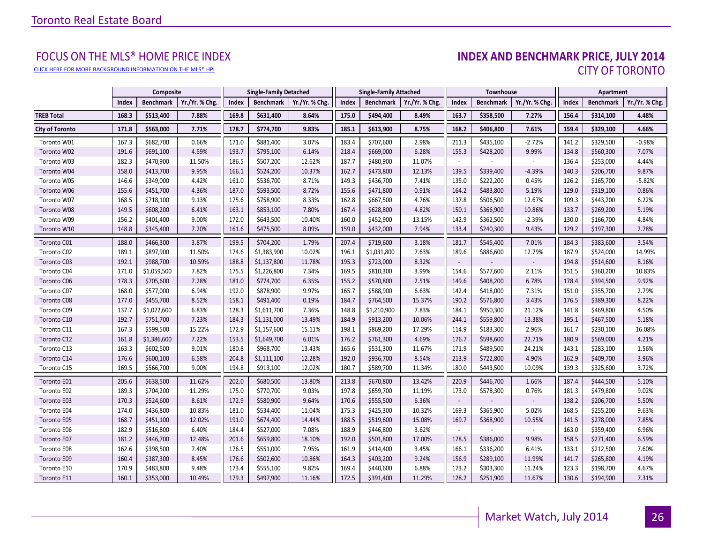[CLICK HERE FOR MORE BACKGROUND INFORMATION ON THE MLS® HPI](http://www.torontorealestateboard.com/market_news/home_price_index/index.htm)

# FOCUS ON THE MLS® HOME PRICE INDEX<br>**INDEX AND BENCHMARK PRICE, JULY 2014** CITY OF TORONTO

|                        |       | Composite        |                | <b>Single-Family Attached</b><br><b>Single-Family Detached</b> |                  | Townhouse      |       |                  | <b>Apartment</b> |        |                  |                |       |                  |                |
|------------------------|-------|------------------|----------------|----------------------------------------------------------------|------------------|----------------|-------|------------------|------------------|--------|------------------|----------------|-------|------------------|----------------|
|                        | Index | <b>Benchmark</b> | Yr./Yr. % Chg. | Index                                                          | <b>Benchmark</b> | Yr./Yr. % Chg. | Index | <b>Benchmark</b> | Yr./Yr. % Chg.   | Index  | <b>Benchmark</b> | Yr./Yr. % Chg. | Index | <b>Benchmark</b> | Yr./Yr. % Chg. |
| <b>TREB Total</b>      | 168.3 | \$513,400        | 7.88%          | 169.8                                                          | \$631,400        | 8.64%          | 175.0 | \$494,400        | 8.49%            | 163.7  | \$358,500        | 7.27%          | 156.4 | \$314,100        | 4.48%          |
| <b>City of Toronto</b> | 171.8 | \$563,000        | 7.71%          | 178.7                                                          | \$774,700        | 9.83%          | 185.1 | \$613,900        | 8.75%            | 168.2  | \$406,800        | 7.61%          | 159.4 | \$329,100        | 4.66%          |
| Toronto W01            | 167.3 | \$682,700        | 0.66%          | 171.0                                                          | \$881,400        | 3.07%          | 183.4 | \$707,600        | 2.98%            | 211.3  | \$435,100        | $-2.72%$       | 141.2 | \$329,500        | $-0.98%$       |
| Toronto W02            | 191.6 | \$691,100        | 4.59%          | 193.7                                                          | \$795,100        | 6.14%          | 218.4 | \$669,000        | 6.28%            | 155.3  | \$428,200        | 9.99%          | 134.8 | \$560,300        | 7.07%          |
| Toronto W03            | 182.3 | \$470,900        | 11.50%         | 186.5                                                          | \$507,200        | 12.62%         | 187.7 | \$480,900        | 11.07%           | $\sim$ |                  |                | 136.4 | \$253,000        | 4.44%          |
| Toronto W04            | 158.0 | \$413,700        | 9.95%          | 166.1                                                          | \$524,200        | 10.37%         | 162.7 | \$473,800        | 12.13%           | 139.5  | \$339,400        | $-4.39%$       | 140.3 | \$206,700        | 9.87%          |
| Toronto W05            | 146.6 | \$349,000        | 4.42%          | 161.0                                                          | \$536,700        | 8.71%          | 149.3 | \$436,700        | 7.41%            | 135.0  | \$222,200        | 0.45%          | 126.2 | \$165,700        | $-5.82%$       |
| Toronto W06            | 155.6 | \$451,700        | 4.36%          | 187.0                                                          | \$593,500        | 8.72%          | 155.6 | \$471,800        | 0.91%            | 164.2  | \$483,800        | 5.19%          | 129.0 | \$319,100        | 0.86%          |
| Toronto W07            | 168.5 | \$718,100        | 9.13%          | 175.6                                                          | \$758,900        | 8.33%          | 162.8 | \$667,500        | 4.76%            | 137.8  | \$506,500        | 12.67%         | 109.3 | \$443,200        | 6.22%          |
| Toronto W08            | 149.5 | \$608,200        | 6.41%          | 163.1                                                          | \$853,100        | 7.80%          | 167.4 | \$628,800        | 4.82%            | 150.1  | \$366,900        | 10.86%         | 133.7 | \$269,200        | 5.19%          |
| Toronto W09            | 156.2 | \$401,400        | 9.00%          | 172.0                                                          | \$643,500        | 10.40%         | 160.0 | \$452,900        | 13.15%           | 142.9  | \$362,500        | $-2.39%$       | 130.0 | \$166,700        | 4.84%          |
| Toronto W10            | 148.8 | \$345,400        | 7.20%          | 161.6                                                          | \$475,500        | 8.09%          | 159.0 | \$432,000        | 7.94%            | 133.4  | \$240,300        | 9.43%          | 129.2 | \$197,300        | 2.78%          |
| Toronto C01            | 188.0 | \$466,300        | 3.87%          | 199.5                                                          | \$704,200        | 1.79%          | 207.4 | \$719,600        | 3.18%            | 181.7  | \$545,400        | 7.01%          | 184.3 | \$383,600        | 3.54%          |
| Toronto C02            | 189.1 | \$897,900        | 11.50%         | 174.6                                                          | \$1,383,900      | 10.02%         | 196.1 | \$1,031,800      | 7.63%            | 189.6  | \$886,600        | 12.79%         | 187.9 | \$524,000        | 14.99%         |
| Toronto C03            | 192.1 | \$988,700        | 10.59%         | 188.8                                                          | \$1,137,800      | 11.78%         | 195.3 | \$723,000        | 8.32%            | $\sim$ |                  |                | 194.8 | \$514,600        | 8.16%          |
| Toronto C04            | 171.0 | \$1,059,500      | 7.82%          | 175.5                                                          | \$1,226,800      | 7.34%          | 169.5 | \$810,300        | 3.99%            | 154.6  | \$577,600        | 2.11%          | 151.5 | \$360,200        | 10.83%         |
| Toronto C06            | 178.3 | \$705,600        | 7.28%          | 181.0                                                          | \$774,700        | 6.35%          | 155.2 | \$570,800        | 2.51%            | 149.6  | \$408,200        | 6.78%          | 178.4 | \$394,500        | 9.92%          |
| Toronto C07            | 168.0 | \$577,000        | 6.94%          | 192.0                                                          | \$878,900        | 9.97%          | 165.7 | \$588,900        | 6.63%            | 142.4  | \$418,000        | 7.31%          | 151.0 | \$355,700        | 2.79%          |
| Toronto C08            | 177.0 | \$455,700        | 8.52%          | 158.1                                                          | \$491,400        | 0.19%          | 184.7 | \$764,500        | 15.37%           | 190.2  | \$576,800        | 3.43%          | 176.5 | \$389,300        | 8.22%          |
| Toronto C09            | 137.7 | \$1,022,600      | 6.83%          | 128.3                                                          | \$1,611,700      | 7.36%          | 148.8 | \$1,210,900      | 7.83%            | 184.1  | \$950,300        | 21.12%         | 141.8 | \$469,800        | 4.50%          |
| Toronto C10            | 192.7 | \$751,700        | 7.23%          | 184.3                                                          | \$1,131,000      | 13.49%         | 184.9 | \$913,200        | 10.06%           | 244.1  | \$559,800        | 13.38%         | 195.1 | \$467,500        | 5.18%          |
| Toronto C11            | 167.3 | \$599,500        | 15.22%         | 172.9                                                          | \$1,157,600      | 15.11%         | 198.1 | \$869,200        | 17.29%           | 114.9  | \$183,300        | 2.96%          | 161.7 | \$230,100        | 16.08%         |
| Toronto C12            | 161.8 | \$1,386,600      | 7.22%          | 153.5                                                          | \$1,649,700      | 6.01%          | 176.2 | \$761,300        | 4.69%            | 176.7  | \$598,600        | 22.71%         | 180.9 | \$569,000        | 4.21%          |
| Toronto C13            | 163.3 | \$602,500        | 9.01%          | 180.8                                                          | \$968,700        | 13.43%         | 165.6 | \$531,300        | 11.67%           | 171.9  | \$489,500        | 24.21%         | 143.1 | \$283,100        | 1.56%          |
| Toronto C14            | 176.6 | \$600,100        | 6.58%          | 204.8                                                          | \$1,111,100      | 12.28%         | 192.0 | \$936,700        | 8.54%            | 213.9  | \$722,800        | 4.90%          | 162.9 | \$409,700        | 3.96%          |
| Toronto C15            | 169.5 | \$566,700        | 9.00%          | 194.8                                                          | \$913,100        | 12.02%         | 180.7 | \$589,700        | 11.34%           | 180.0  | \$443,500        | 10.09%         | 139.3 | \$325,600        | 3.72%          |
| Toronto E01            | 205.6 | \$638,500        | 11.62%         | 202.0                                                          | \$680,500        | 13.80%         | 213.8 | \$670,800        | 13.42%           | 220.9  | \$446,700        | 1.66%          | 187.4 | \$444,500        | 5.10%          |
| Toronto E02            | 189.3 | \$704,200        | 11.29%         | 175.0                                                          | \$770,700        | 9.03%          | 197.8 | \$659,700        | 11.19%           | 173.0  | \$578,300        | 0.76%          | 181.3 | \$479,800        | 9.02%          |
| Toronto E03            | 170.3 | \$524,600        | 8.61%          | 172.9                                                          | \$580,900        | 9.64%          | 170.6 | \$555,500        | 6.36%            | $\sim$ |                  |                | 138.2 | \$206,700        | 5.50%          |
| Toronto E04            | 174.0 | \$436,800        | 10.83%         | 181.0                                                          | \$534,400        | 11.04%         | 175.3 | \$425,300        | 10.32%           | 169.3  | \$365,900        | 5.02%          | 168.5 | \$255,200        | 9.63%          |
| Toronto E05            | 168.7 | \$451,100        | 12.02%         | 191.0                                                          | \$674,400        | 14.44%         | 188.5 | \$519,600        | 15.08%           | 169.7  | \$368,900        | 10.55%         | 141.5 | \$278,000        | 7.85%          |
| Toronto E06            | 182.9 | \$516,800        | 6.40%          | 184.4                                                          | \$527,000        | 7.08%          | 188.9 | \$446,800        | 3.62%            | $\sim$ |                  |                | 163.0 | \$359,400        | 6.96%          |
| Toronto E07            | 181.2 | \$446,700        | 12.48%         | 201.6                                                          | \$659,800        | 18.10%         | 192.0 | \$501,800        | 17.00%           | 178.5  | \$386,000        | 9.98%          | 158.5 | \$271,400        | 6.59%          |
| Toronto E08            | 162.6 | \$398,500        | 7.40%          | 176.5                                                          | \$551,000        | 7.95%          | 161.9 | \$414,400        | 3.45%            | 166.1  | \$336,200        | 6.41%          | 133.1 | \$212,500        | 7.60%          |
| Toronto E09            | 160.4 | \$387,300        | 8.45%          | 176.6                                                          | \$502,600        | 10.86%         | 164.3 | \$403,200        | 9.24%            | 156.9  | \$289,100        | 11.99%         | 141.7 | \$265,800        | 4.19%          |
| Toronto E10            | 170.9 | \$483,800        | 9.48%          | 173.4                                                          | \$555,100        | 9.82%          | 169.4 | \$440,600        | 6.88%            | 173.2  | \$303,300        | 11.24%         | 123.3 | \$198,700        | 4.67%          |
| Toronto E11            | 160.1 | \$353,000        | 10.49%         | 179.3                                                          | \$497,900        | 11.16%         | 172.5 | \$391,400        | 11.29%           | 128.2  | \$251,900        | 11.67%         | 130.6 | \$194,900        | 7.31%          |